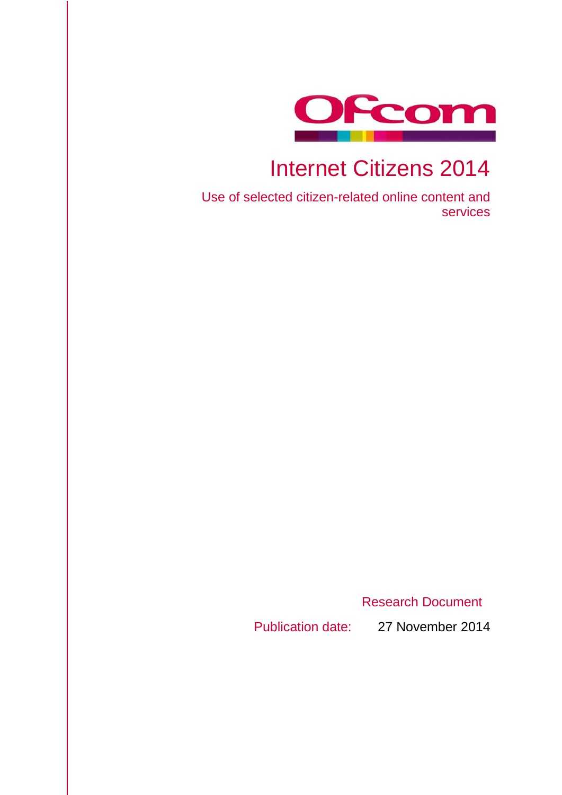

# Internet Citizens 2014

Use of selected citizen-related online content and services

Research Document

Publication date: 27 November 2014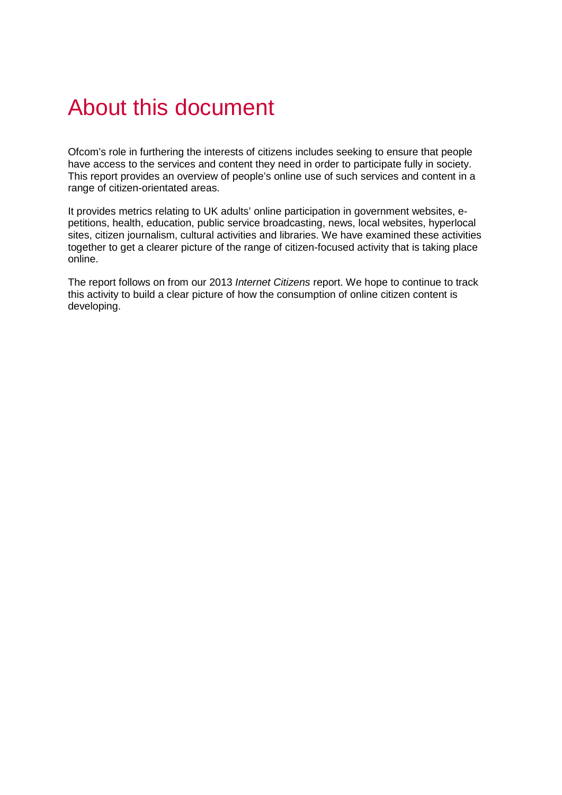# About this document

Ofcom's role in furthering the interests of citizens includes seeking to ensure that people have access to the services and content they need in order to participate fully in society. This report provides an overview of people's online use of such services and content in a range of citizen-orientated areas.

It provides metrics relating to UK adults' online participation in government websites, epetitions, health, education, public service broadcasting, news, local websites, hyperlocal sites, citizen journalism, cultural activities and libraries. We have examined these activities together to get a clearer picture of the range of citizen-focused activity that is taking place online.

The report follows on from our 2013 *Internet Citizens* report. We hope to continue to track this activity to build a clear picture of how the consumption of online citizen content is developing.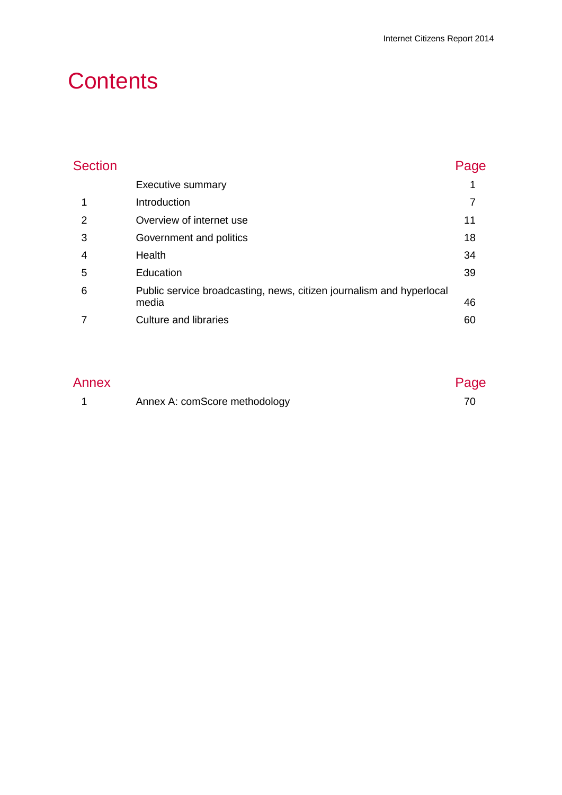# **Contents**

| <b>Section</b> |                                                                               | Page |
|----------------|-------------------------------------------------------------------------------|------|
|                | Executive summary                                                             |      |
|                | Introduction                                                                  |      |
| 2              | Overview of internet use                                                      | 11   |
| 3              | Government and politics                                                       | 18   |
| 4              | Health                                                                        | 34   |
| 5              | Education                                                                     | 39   |
| 6              | Public service broadcasting, news, citizen journalism and hyperlocal<br>media | 46   |
|                | <b>Culture and libraries</b>                                                  | 60   |

| Annex |                               | Page |  |
|-------|-------------------------------|------|--|
|       | Annex A: comScore methodology |      |  |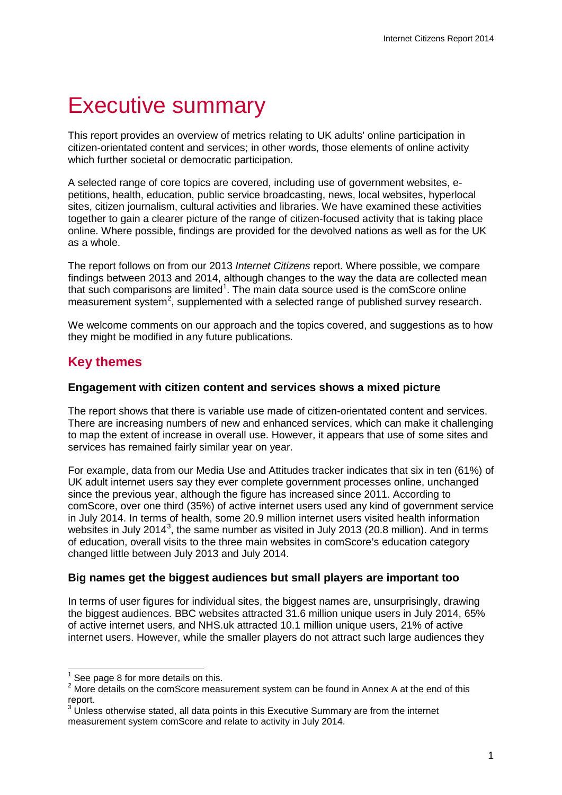# <span id="page-3-0"></span>Executive summary

This report provides an overview of metrics relating to UK adults' online participation in citizen-orientated content and services; in other words, those elements of online activity which further societal or democratic participation.

A selected range of core topics are covered, including use of government websites, epetitions, health, education, public service broadcasting, news, local websites, hyperlocal sites, citizen journalism, cultural activities and libraries. We have examined these activities together to gain a clearer picture of the range of citizen-focused activity that is taking place online. Where possible, findings are provided for the devolved nations as well as for the UK as a whole.

The report follows on from our 2013 *Internet Citizens* report. Where possible, we compare findings between 2013 and 2014, although changes to the way the data are collected mean that such comparisons are limited<sup>[1](#page-3-1)</sup>. The main data source used is the comScore online measurement system<sup>[2](#page-3-2)</sup>, supplemented with a selected range of published survey research.

We welcome comments on our approach and the topics covered, and suggestions as to how they might be modified in any future publications.

# **Key themes**

### **Engagement with citizen content and services shows a mixed picture**

The report shows that there is variable use made of citizen-orientated content and services. There are increasing numbers of new and enhanced services, which can make it challenging to map the extent of increase in overall use. However, it appears that use of some sites and services has remained fairly similar year on year.

For example, data from our Media Use and Attitudes tracker indicates that six in ten (61%) of UK adult internet users say they ever complete government processes online, unchanged since the previous year, although the figure has increased since 2011. According to comScore, over one third (35%) of active internet users used any kind of government service in July 2014. In terms of health, some 20.9 million internet users visited health information websites in July 2014<sup>[3](#page-3-3)</sup>, the same number as visited in July 2013 (20.8 million). And in terms of education, overall visits to the three main websites in comScore's education category changed little between July 2013 and July 2014.

## **Big names get the biggest audiences but small players are important too**

In terms of user figures for individual sites, the biggest names are, unsurprisingly, drawing the biggest audiences. BBC websites attracted 31.6 million unique users in July 2014, 65% of active internet users, and NHS.uk attracted 10.1 million unique users, 21% of active internet users. However, while the smaller players do not attract such large audiences they

See page 8 for more details on this.  $\overline{a}$ 

<span id="page-3-2"></span><span id="page-3-1"></span><sup>&</sup>lt;sup>2</sup> More details on the comScore measurement system can be found in Annex A at the end of this report.

<span id="page-3-3"></span><sup>&</sup>lt;sup>3</sup> Unless otherwise stated, all data points in this Executive Summary are from the internet measurement system comScore and relate to activity in July 2014.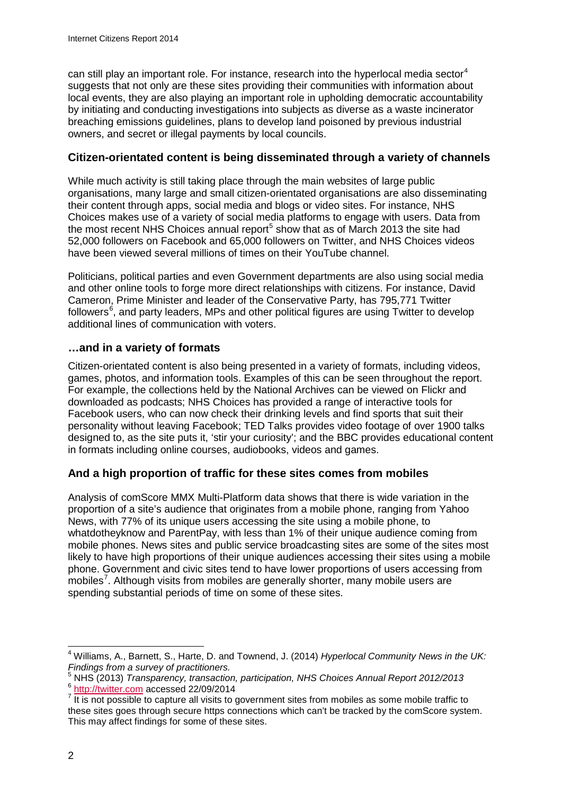can still play an important role. For instance, research into the hyperlocal media sector<sup>[4](#page-4-0)</sup> suggests that not only are these sites providing their communities with information about local events, they are also playing an important role in upholding democratic accountability by initiating and conducting investigations into subjects as diverse as a waste incinerator breaching emissions guidelines, plans to develop land poisoned by previous industrial owners, and secret or illegal payments by local councils.

## **Citizen-orientated content is being disseminated through a variety of channels**

While much activity is still taking place through the main websites of large public organisations, many large and small citizen-orientated organisations are also disseminating their content through apps, social media and blogs or video sites. For instance, NHS Choices makes use of a variety of social media platforms to engage with users. Data from the most recent NHS Choices annual report $<sup>5</sup>$  $<sup>5</sup>$  $<sup>5</sup>$  show that as of March 2013 the site had</sup> 52,000 followers on Facebook and 65,000 followers on Twitter, and NHS Choices videos have been viewed several millions of times on their YouTube channel.

Politicians, political parties and even Government departments are also using social media and other online tools to forge more direct relationships with citizens. For instance, David Cameron, Prime Minister and leader of the Conservative Party, has 795,771 Twitter followers $^6$  $^6$ , and party leaders, MPs and other political figures are using Twitter to develop additional lines of communication with voters.

## **…and in a variety of formats**

Citizen-orientated content is also being presented in a variety of formats, including videos, games, photos, and information tools. Examples of this can be seen throughout the report. For example, the collections held by the National Archives can be viewed on Flickr and downloaded as podcasts; NHS Choices has provided a range of interactive tools for Facebook users, who can now check their drinking levels and find sports that suit their personality without leaving Facebook; TED Talks provides video footage of over 1900 talks designed to, as the site puts it, 'stir your curiosity'; and the BBC provides educational content in formats including online courses, audiobooks, videos and games.

## **And a high proportion of traffic for these sites comes from mobiles**

Analysis of comScore MMX Multi-Platform data shows that there is wide variation in the proportion of a site's audience that originates from a mobile phone, ranging from Yahoo News, with 77% of its unique users accessing the site using a mobile phone, to whatdotheyknow and ParentPay, with less than 1% of their unique audience coming from mobile phones. News sites and public service broadcasting sites are some of the sites most likely to have high proportions of their unique audiences accessing their sites using a mobile phone. Government and civic sites tend to have lower proportions of users accessing from mobiles<sup>[7](#page-4-3)</sup>. Although visits from mobiles are generally shorter, many mobile users are spending substantial periods of time on some of these sites.

<span id="page-4-0"></span><sup>4</sup> Williams, A., Barnett, S., Harte, D. and Townend, J. (2014) *Hyperlocal Community News in the UK: Findings from a survey of practitioners.*  $\overline{\phantom{a}}$ 

<span id="page-4-2"></span><span id="page-4-1"></span> $\frac{6 \text{ http://twitter.com}}{7 \text{ It is not possible to capture all visits to government sites from mobile as some mobile traffic to}}$  $\frac{6 \text{ http://twitter.com}}{7 \text{ It is not possible to capture all visits to government sites from mobile as some mobile traffic to}}$  $\frac{6 \text{ http://twitter.com}}{7 \text{ It is not possible to capture all visits to government sites from mobile as some mobile traffic to}}$ 

<span id="page-4-3"></span>these sites goes through secure https connections which can't be tracked by the comScore system. This may affect findings for some of these sites.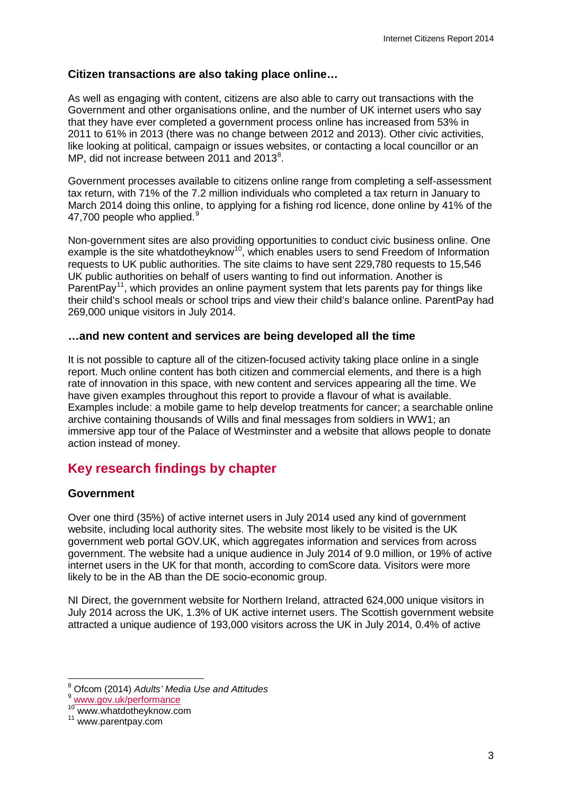## **Citizen transactions are also taking place online…**

As well as engaging with content, citizens are also able to carry out transactions with the Government and other organisations online, and the number of UK internet users who say that they have ever completed a government process online has increased from 53% in 2011 to 61% in 2013 (there was no change between 2012 and 2013). Other civic activities, like looking at political, campaign or issues websites, or contacting a local councillor or an MP, did not increase between 2011 and 2013 $^8$  $^8$ .

Government processes available to citizens online range from completing a self-assessment tax return, with 71% of the 7.2 million individuals who completed a tax return in January to March 2014 doing this online, to applying for a fishing rod licence, done online by 41% of the 47,700 people who applied.<sup>[9](#page-5-1)</sup>

Non-government sites are also providing opportunities to conduct civic business online. One example is the site whatdotheyknow<sup>[10](#page-5-2)</sup>, which enables users to send Freedom of Information requests to UK public authorities. The site claims to have sent 229,780 requests to 15,546 UK public authorities on behalf of users wanting to find out information. Another is ParentPay<sup>11</sup>, which provides an online payment system that lets parents pay for things like their child's school meals or school trips and view their child's balance online. ParentPay had 269,000 unique visitors in July 2014.

## **…and new content and services are being developed all the time**

It is not possible to capture all of the citizen-focused activity taking place online in a single report. Much online content has both citizen and commercial elements, and there is a high rate of innovation in this space, with new content and services appearing all the time. We have given examples throughout this report to provide a flavour of what is available. Examples include: a mobile game to help develop treatments for cancer; a searchable online archive containing thousands of Wills and final messages from soldiers in WW1; an immersive app tour of the Palace of Westminster and a website that allows people to donate action instead of money.

# **Key research findings by chapter**

## **Government**

Over one third (35%) of active internet users in July 2014 used any kind of government website, including local authority sites. The website most likely to be visited is the UK government web portal GOV.UK, which aggregates information and services from across government. The website had a unique audience in July 2014 of 9.0 million, or 19% of active internet users in the UK for that month, according to comScore data. Visitors were more likely to be in the AB than the DE socio-economic group.

NI Direct, the government website for Northern Ireland, attracted 624,000 unique visitors in July 2014 across the UK, 1.3% of UK active internet users. The Scottish government website attracted a unique audience of 193,000 visitors across the UK in July 2014, 0.4% of active

<sup>8</sup> Ofcom (2014) *Adults' Media Use and Attitudes*  $\overline{a}$ 

<span id="page-5-1"></span><span id="page-5-0"></span><sup>9</sup> [www.gov.uk/performance](http://www.gov.uk/performance)

<span id="page-5-2"></span><sup>&</sup>lt;sup>10</sup> www.whatdotheyknow.com<br><sup>11</sup> www.parentpay.com

<span id="page-5-3"></span>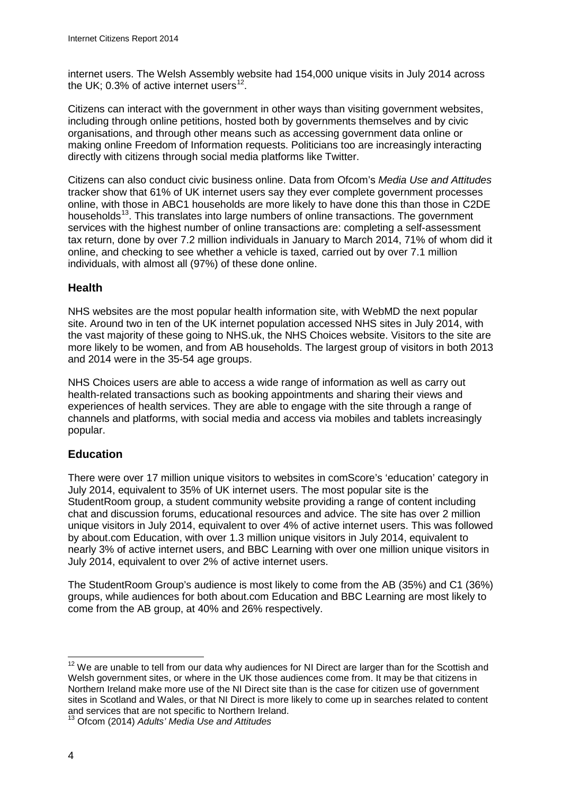internet users. The Welsh Assembly website had 154,000 unique visits in July 2014 across the UK; 0.3% of active internet users $^{12}$ .

Citizens can interact with the government in other ways than visiting government websites, including through online petitions, hosted both by governments themselves and by civic organisations, and through other means such as accessing government data online or making online Freedom of Information requests. Politicians too are increasingly interacting directly with citizens through social media platforms like Twitter.

Citizens can also conduct civic business online. Data from Ofcom's *Media Use and Attitudes* tracker show that 61% of UK internet users say they ever complete government processes online, with those in ABC1 households are more likely to have done this than those in C2DE households<sup>[13](#page-6-1)</sup>. This translates into large numbers of online transactions. The government services with the highest number of online transactions are: completing a self-assessment tax return, done by over 7.2 million individuals in January to March 2014, 71% of whom did it online, and checking to see whether a vehicle is taxed, carried out by over 7.1 million individuals, with almost all (97%) of these done online.

## **Health**

NHS websites are the most popular health information site, with WebMD the next popular site. Around two in ten of the UK internet population accessed NHS sites in July 2014, with the vast majority of these going to NHS.uk, the NHS Choices website. Visitors to the site are more likely to be women, and from AB households. The largest group of visitors in both 2013 and 2014 were in the 35-54 age groups.

NHS Choices users are able to access a wide range of information as well as carry out health-related transactions such as booking appointments and sharing their views and experiences of health services. They are able to engage with the site through a range of channels and platforms, with social media and access via mobiles and tablets increasingly popular.

## **Education**

There were over 17 million unique visitors to websites in comScore's 'education' category in July 2014, equivalent to 35% of UK internet users. The most popular site is the StudentRoom group, a student community website providing a range of content including chat and discussion forums, educational resources and advice. The site has over 2 million unique visitors in July 2014, equivalent to over 4% of active internet users. This was followed by about.com Education, with over 1.3 million unique visitors in July 2014, equivalent to nearly 3% of active internet users, and BBC Learning with over one million unique visitors in July 2014, equivalent to over 2% of active internet users.

The StudentRoom Group's audience is most likely to come from the AB (35%) and C1 (36%) groups, while audiences for both about.com Education and BBC Learning are most likely to come from the AB group, at 40% and 26% respectively.

<span id="page-6-0"></span> $12$  We are unable to tell from our data why audiences for NI Direct are larger than for the Scottish and Welsh government sites, or where in the UK those audiences come from. It may be that citizens in Northern Ireland make more use of the NI Direct site than is the case for citizen use of government sites in Scotland and Wales, or that NI Direct is more likely to come up in searches related to content and services that are not specific to Northern Ireland.  $\overline{a}$ 

<span id="page-6-1"></span><sup>13</sup> Ofcom (2014) *Adults' Media Use and Attitudes*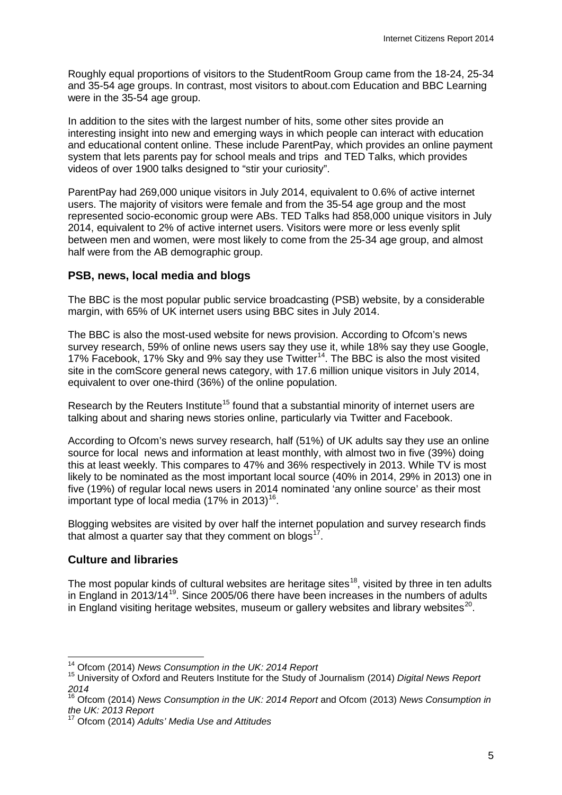Roughly equal proportions of visitors to the StudentRoom Group came from the 18-24, 25-34 and 35-54 age groups. In contrast, most visitors to about.com Education and BBC Learning were in the 35-54 age group.

In addition to the sites with the largest number of hits, some other sites provide an interesting insight into new and emerging ways in which people can interact with education and educational content online. These include ParentPay, which provides an online payment system that lets parents pay for school meals and trips and TED Talks, which provides videos of over 1900 talks designed to "stir your curiosity".

ParentPay had 269,000 unique visitors in July 2014, equivalent to 0.6% of active internet users. The majority of visitors were female and from the 35-54 age group and the most represented socio-economic group were ABs. TED Talks had 858,000 unique visitors in July 2014, equivalent to 2% of active internet users. Visitors were more or less evenly split between men and women, were most likely to come from the 25-34 age group, and almost half were from the AB demographic group.

## **PSB, news, local media and blogs**

The BBC is the most popular public service broadcasting (PSB) website, by a considerable margin, with 65% of UK internet users using BBC sites in July 2014.

The BBC is also the most-used website for news provision. According to Ofcom's news survey research, 59% of online news users say they use it, while 18% say they use Google, 17% Facebook, 17% Sky and 9% say they use Twitter<sup>[14](#page-7-0)</sup>. The BBC is also the most visited site in the comScore general news category, with 17.6 million unique visitors in July 2014, equivalent to over one-third (36%) of the online population.

Research by the Reuters Institute<sup>[15](#page-7-1)</sup> found that a substantial minority of internet users are talking about and sharing news stories online, particularly via Twitter and Facebook.

According to Ofcom's news survey research, half (51%) of UK adults say they use an online source for local news and information at least monthly, with almost two in five (39%) doing this at least weekly. This compares to 47% and 36% respectively in 2013. While TV is most likely to be nominated as the most important local source (40% in 2014, 29% in 2013) one in five (19%) of regular local news users in 2014 nominated 'any online source' as their most important type of local media  $(17\% \text{ in } 2013)^{16}$  $(17\% \text{ in } 2013)^{16}$  $(17\% \text{ in } 2013)^{16}$ .

Blogging websites are visited by over half the internet population and survey research finds that almost a quarter say that they comment on blogs $17$ .

## **Culture and libraries**

The most popular kinds of cultural websites are heritage sites<sup>18</sup>, visited by three in ten adults in England in 2013/14<sup>19</sup>. Since 2005/06 there have been increases in the numbers of adults in England visiting heritage websites, museum or gallery websites and library websites $^{20}$  $^{20}$  $^{20}$ .

<span id="page-7-4"></span><span id="page-7-0"></span><sup>&</sup>lt;sup>14</sup> Ofcom (2014) News Consumption in the UK: 2014 Report

<span id="page-7-1"></span><sup>&</sup>lt;sup>15</sup> University of Oxford and Reuters Institute for the Study of Journalism (2014) *Digital News Report 2014*

<span id="page-7-2"></span><sup>16</sup> Ofcom (2014) *News Consumption in the UK: 2014 Report* and Ofcom (2013) *News Consumption in the UK: 2013 Report*

<span id="page-7-5"></span><span id="page-7-3"></span><sup>17</sup> Ofcom (2014) *Adults' Media Use and Attitudes*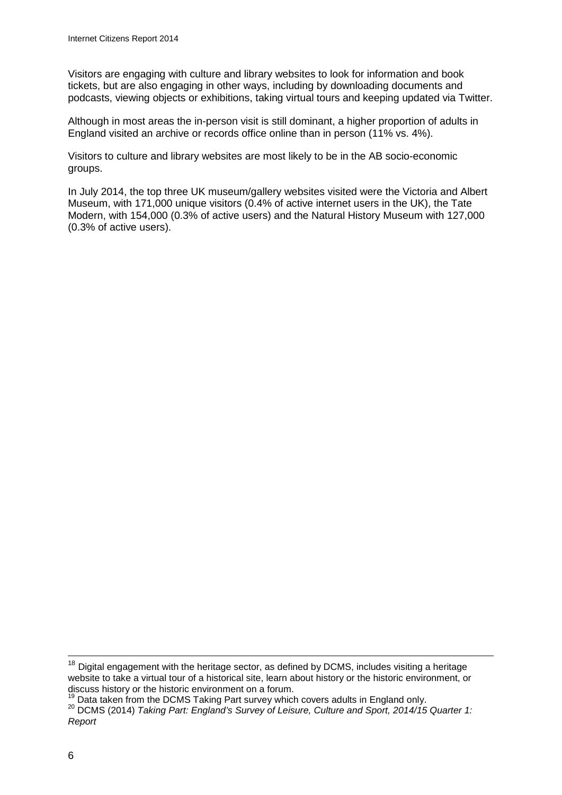Visitors are engaging with culture and library websites to look for information and book tickets, but are also engaging in other ways, including by downloading documents and podcasts, viewing objects or exhibitions, taking virtual tours and keeping updated via Twitter.

Although in most areas the in-person visit is still dominant, a higher proportion of adults in England visited an archive or records office online than in person (11% vs. 4%).

Visitors to culture and library websites are most likely to be in the AB socio-economic groups.

In July 2014, the top three UK museum/gallery websites visited were the Victoria and Albert Museum, with 171,000 unique visitors (0.4% of active internet users in the UK), the Tate Modern, with 154,000 (0.3% of active users) and the Natural History Museum with 127,000 (0.3% of active users).

 $\overline{\phantom{a}}$ 

 $18$  Digital engagement with the heritage sector, as defined by DCMS, includes visiting a heritage website to take a virtual tour of a historical site, learn about history or the historic environment, or discuss history or the historic environment on a forum.<br><sup>19</sup> Data taken from the DCMS Taking Part survey which covers adults in England only.

<sup>&</sup>lt;sup>20</sup> DCMS (2014) Taking Part: England's Survey of Leisure, Culture and Sport, 2014/15 Quarter 1: *Report*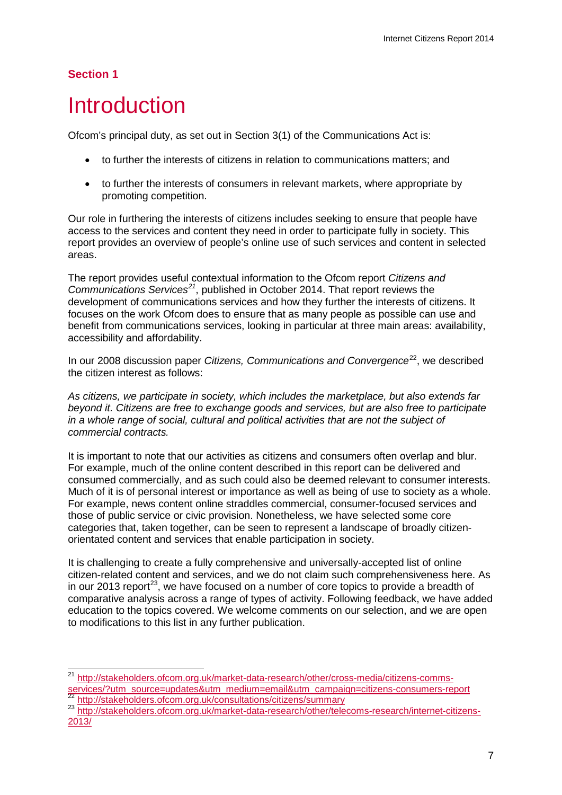# **Section 1**

 $\overline{a}$ 

# <span id="page-9-0"></span>**Introduction**

Ofcom's principal duty, as set out in Section 3(1) of the Communications Act is:

- to further the interests of citizens in relation to communications matters; and
- to further the interests of consumers in relevant markets, where appropriate by promoting competition.

Our role in furthering the interests of citizens includes seeking to ensure that people have access to the services and content they need in order to participate fully in society. This report provides an overview of people's online use of such services and content in selected areas.

The report provides useful contextual information to the Ofcom report *Citizens and Communications Services[21](#page-9-1)*, published in October 2014. That report reviews the development of communications services and how they further the interests of citizens. It focuses on the work Ofcom does to ensure that as many people as possible can use and benefit from communications services, looking in particular at three main areas: availability, accessibility and affordability.

In our 2008 discussion paper *Citizens, Communications and Convergence*<sup>22</sup>, we described the citizen interest as follows:

*As citizens, we participate in society, which includes the marketplace, but also extends far beyond it. Citizens are free to exchange goods and services, but are also free to participate in a whole range of social, cultural and political activities that are not the subject of commercial contracts.*

It is important to note that our activities as citizens and consumers often overlap and blur. For example, much of the online content described in this report can be delivered and consumed commercially, and as such could also be deemed relevant to consumer interests. Much of it is of personal interest or importance as well as being of use to society as a whole. For example, news content online straddles commercial, consumer-focused services and those of public service or civic provision. Nonetheless, we have selected some core categories that, taken together, can be seen to represent a landscape of broadly citizenorientated content and services that enable participation in society.

It is challenging to create a fully comprehensive and universally-accepted list of online citizen-related content and services, and we do not claim such comprehensiveness here. As in our 2013 report<sup>[23](#page-9-3)</sup>, we have focused on a number of core topics to provide a breadth of comparative analysis across a range of types of activity. Following feedback, we have added education to the topics covered. We welcome comments on our selection, and we are open to modifications to this list in any further publication.

<span id="page-9-1"></span><sup>&</sup>lt;sup>21</sup> [http://stakeholders.ofcom.org.uk/market-data-research/other/cross-media/citizens-comms](http://stakeholders.ofcom.org.uk/market-data-research/other/cross-media/citizens-comms-services/?utm_source=updates&utm_medium=email&utm_campaign=citizens-consumers-report)[services/?utm\\_source=updates&utm\\_medium=email&utm\\_campaign=citizens-consumers-report](http://stakeholders.ofcom.org.uk/market-data-research/other/cross-media/citizens-comms-services/?utm_source=updates&utm_medium=email&utm_campaign=citizens-consumers-report)<br>
22 <http://stakeholders.ofcom.org.uk/consultations/citizens/summary><br>
23 http://stakeholders.ofcom.org.uk/market-data-research/other/telec

<span id="page-9-3"></span><span id="page-9-2"></span>[<sup>2013/</sup>](http://stakeholders.ofcom.org.uk/market-data-research/other/telecoms-research/internet-citizens-2013/)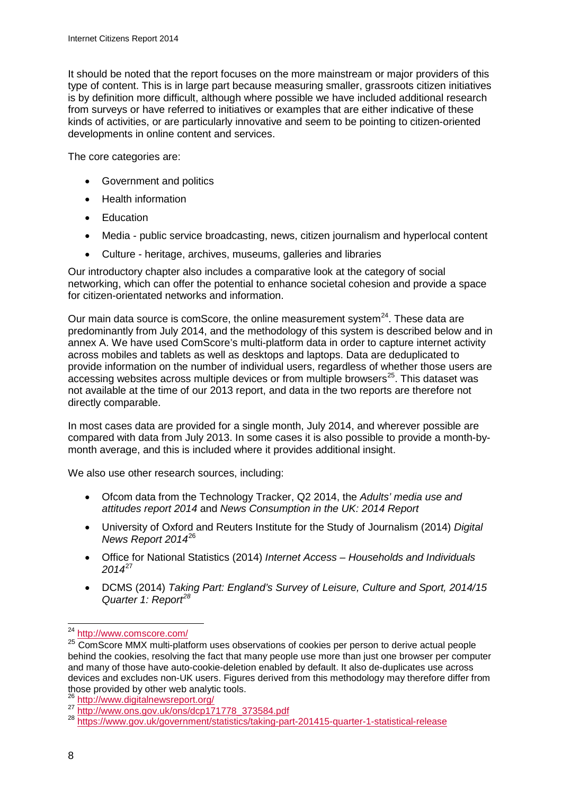It should be noted that the report focuses on the more mainstream or major providers of this type of content. This is in large part because measuring smaller, grassroots citizen initiatives is by definition more difficult, although where possible we have included additional research from surveys or have referred to initiatives or examples that are either indicative of these kinds of activities, or are particularly innovative and seem to be pointing to citizen-oriented developments in online content and services.

The core categories are:

- Government and politics
- Health information
- Education
- Media public service broadcasting, news, citizen journalism and hyperlocal content
- Culture heritage, archives, museums, galleries and libraries

Our introductory chapter also includes a comparative look at the category of social networking, which can offer the potential to enhance societal cohesion and provide a space for citizen-orientated networks and information.

Our main data source is comScore, the online measurement system $^{24}$ . These data are predominantly from July 2014, and the methodology of this system is described below and in annex A. We have used ComScore's multi-platform data in order to capture internet activity across mobiles and tablets as well as desktops and laptops. Data are deduplicated to provide information on the number of individual users, regardless of whether those users are  $\alpha$  accessing websites across multiple devices or from multiple browsers<sup>[25](#page-10-1)</sup>. This dataset was not available at the time of our 2013 report, and data in the two reports are therefore not directly comparable.

In most cases data are provided for a single month, July 2014, and wherever possible are compared with data from July 2013. In some cases it is also possible to provide a month-bymonth average, and this is included where it provides additional insight.

We also use other research sources, including:

- Ofcom data from the Technology Tracker, Q2 2014, the *Adults' media use and attitudes report 2014* and *News Consumption in the UK: 2014 Report*
- University of Oxford and Reuters Institute for the Study of Journalism (2014) *Digital News Report 2014*[26](#page-10-2)
- Office for National Statistics (2014) *Internet Access – Households and Individuals 2014*[27](#page-10-3)
- DCMS (2014) *Taking Part: England's Survey of Leisure, Culture and Sport, 2014/15 Quarter 1: Report[28](#page-10-4)*

<sup>&</sup>lt;sup>24</sup> <http://www.comscore.com/>  $\overline{a}$ 

<span id="page-10-1"></span><span id="page-10-0"></span> $25$  ComScore MMX multi-platform uses observations of cookies per person to derive actual people behind the cookies, resolving the fact that many people use more than just one browser per computer and many of those have auto-cookie-deletion enabled by default. It also de-duplicates use across devices and excludes non-UK users. Figures derived from this methodology may therefore differ from those provided by other web analytic tools.<br><sup>26</sup> <http://www.digitalnewsreport.org/><br><sup>27</sup> https://www.ons.gov.uk/ons/dcp171778\_373584.pdf<br>8 https://www.go<u>v.uk/government/statistics/taking-part-201415-quarter-1-statistical-r</u>

<span id="page-10-2"></span>

<span id="page-10-3"></span>

<span id="page-10-4"></span>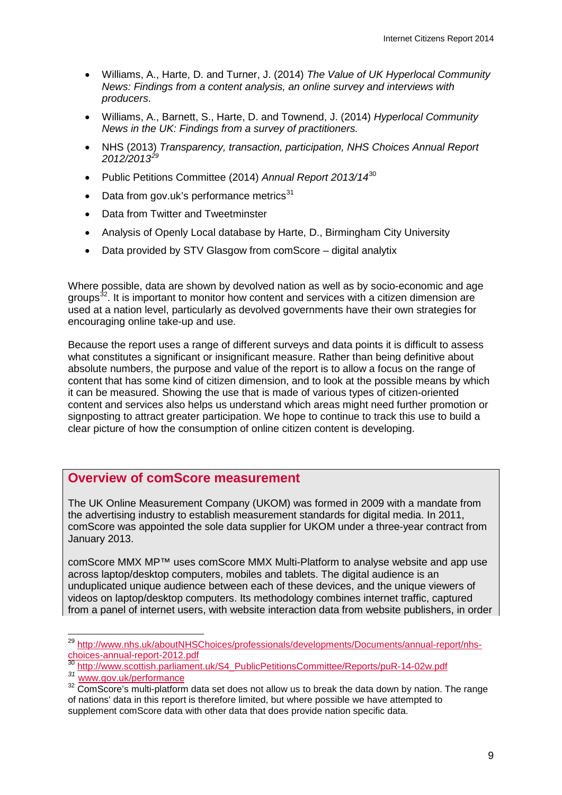- Williams, A., Harte, D. and Turner, J. (2014) *The Value of UK Hyperlocal Community News: Findings from a content analysis, an online survey and interviews with producers*.
- Williams, A., Barnett, S., Harte, D. and Townend, J. (2014) *Hyperlocal Community News in the UK: Findings from a survey of practitioners.*
- NHS (2013) *Transparency, transaction, participation, NHS Choices Annual Report 2012/2013[29](#page-11-0)*
- Public Petitions Committee (2014) *Annual Report 2013/14*[30](#page-11-1)
- Data from gov.uk's performance metrics $31$
- Data from Twitter and Tweetminster
- Analysis of Openly Local database by Harte, D., Birmingham City University
- Data provided by STV Glasgow from comScore digital analytix

Where possible, data are shown by devolved nation as well as by socio-economic and age groups<sup>32</sup>. It is important to monitor how content and services with a citizen dimension are used at a nation level, particularly as devolved governments have their own strategies for encouraging online take-up and use.

Because the report uses a range of different surveys and data points it is difficult to assess what constitutes a significant or insignificant measure. Rather than being definitive about absolute numbers, the purpose and value of the report is to allow a focus on the range of content that has some kind of citizen dimension, and to look at the possible means by which it can be measured. Showing the use that is made of various types of citizen-oriented content and services also helps us understand which areas might need further promotion or signposting to attract greater participation. We hope to continue to track this use to build a clear picture of how the consumption of online citizen content is developing.

## **Overview of comScore measurement**

The UK Online Measurement Company (UKOM) was formed in 2009 with a mandate from the advertising industry to establish measurement standards for digital media. In 2011, comScore was appointed the sole data supplier for UKOM under a three-year contract from January 2013.

comScore MMX MP™ uses comScore MMX Multi-Platform to analyse website and app use across laptop/desktop computers, mobiles and tablets. The digital audience is an unduplicated unique audience between each of these devices, and the unique viewers of videos on laptop/desktop computers. Its methodology combines internet traffic, captured from a panel of internet users, with website interaction data from website publishers, in order

<span id="page-11-0"></span><sup>&</sup>lt;sup>29</sup> [http://www.nhs.uk/aboutNHSChoices/professionals/developments/Documents/annual-report/nhs](http://www.nhs.uk/aboutNHSChoices/professionals/developments/Documents/annual-report/nhs-choices-annual-report-2012.pdf)[choices-annual-report-2012.pdf](http://www.nhs.uk/aboutNHSChoices/professionals/developments/Documents/annual-report/nhs-choices-annual-report-2012.pdf)<br>
<sup>30</sup> [http://www.scottish.parliament.uk/S4\\_PublicPetitionsCommittee/Reports/puR-14-02w.pdf](http://www.scottish.parliament.uk/S4_PublicPetitionsCommittee/Reports/puR-14-02w.pdf)<br>
<sup>31</sup> www.gov.uk/performance  $\overline{a}$ 

<span id="page-11-1"></span>

<span id="page-11-3"></span><span id="page-11-2"></span><sup>&</sup>lt;sup>32</sup> ComScore's multi-platform data set does not allow us to break the data down by nation. The range of nations' data in this report is therefore limited, but where possible we have attempted to supplement comScore data with other data that does provide nation specific data.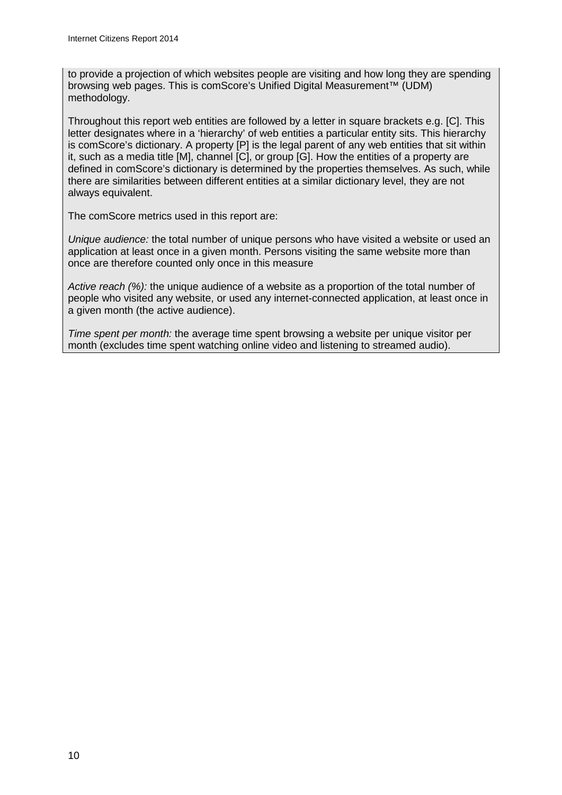to provide a projection of which websites people are visiting and how long they are spending browsing web pages. This is comScore's Unified Digital Measurement™ (UDM) methodology.

Throughout this report web entities are followed by a letter in square brackets e.g. [C]. This letter designates where in a 'hierarchy' of web entities a particular entity sits. This hierarchy is comScore's dictionary. A property [P] is the legal parent of any web entities that sit within it, such as a media title [M], channel [C], or group [G]. How the entities of a property are defined in comScore's dictionary is determined by the properties themselves. As such, while there are similarities between different entities at a similar dictionary level, they are not always equivalent.

The comScore metrics used in this report are:

*Unique audience:* the total number of unique persons who have visited a website or used an application at least once in a given month. Persons visiting the same website more than once are therefore counted only once in this measure

*Active reach (%):* the unique audience of a website as a proportion of the total number of people who visited any website, or used any internet-connected application, at least once in a given month (the active audience).

*Time spent per month:* the average time spent browsing a website per unique visitor per month (excludes time spent watching online video and listening to streamed audio).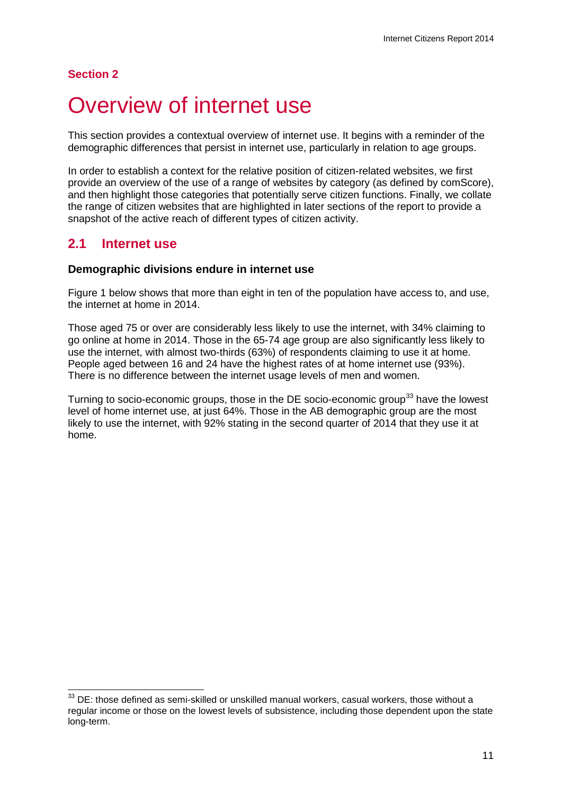## **Section 2**

# <span id="page-13-0"></span>Overview of internet use

This section provides a contextual overview of internet use. It begins with a reminder of the demographic differences that persist in internet use, particularly in relation to age groups.

In order to establish a context for the relative position of citizen-related websites, we first provide an overview of the use of a range of websites by category (as defined by comScore), and then highlight those categories that potentially serve citizen functions. Finally, we collate the range of citizen websites that are highlighted in later sections of the report to provide a snapshot of the active reach of different types of citizen activity.

# **2.1 Internet use**

## **Demographic divisions endure in internet use**

[Figure 1](#page-14-0) below shows that more than eight in ten of the population have access to, and use, the internet at home in 2014.

Those aged 75 or over are considerably less likely to use the internet, with 34% claiming to go online at home in 2014. Those in the 65-74 age group are also significantly less likely to use the internet, with almost two-thirds (63%) of respondents claiming to use it at home. People aged between 16 and 24 have the highest rates of at home internet use (93%). There is no difference between the internet usage levels of men and women.

Turning to socio-economic groups, those in the DE socio-economic group<sup>[33](#page-13-1)</sup> have the lowest level of home internet use, at just 64%. Those in the AB demographic group are the most likely to use the internet, with 92% stating in the second quarter of 2014 that they use it at home.

<span id="page-13-1"></span> $33$  DE: those defined as semi-skilled or unskilled manual workers, casual workers, those without a regular income or those on the lowest levels of subsistence, including those dependent upon the state long-term.  $\overline{a}$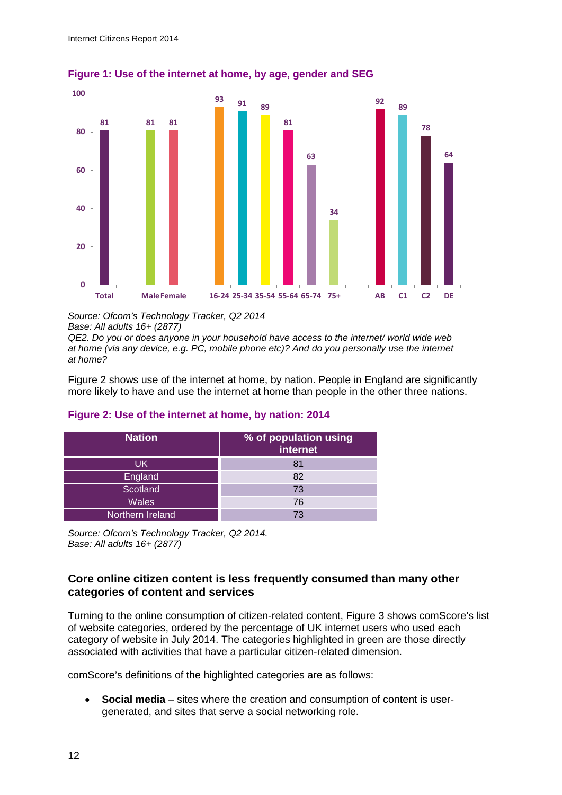

<span id="page-14-0"></span>**Figure 1: Use of the internet at home, by age, gender and SEG**

*Source: Ofcom's Technology Tracker, Q2 2014 Base: All adults 16+ (2877)*

*QE2. Do you or does anyone in your household have access to the internet/ world wide web at home (via any device, e.g. PC, mobile phone etc)? And do you personally use the internet at home?*

[Figure 2](#page-14-1) shows use of the internet at home, by nation. People in England are significantly more likely to have and use the internet at home than people in the other three nations.

| <b>Nation</b>    | % of population using<br>internet |
|------------------|-----------------------------------|
| UK               | 81                                |
| England          | 82                                |
| Scotland         | 73                                |
| <b>Wales</b>     | 76                                |
| Northern Ireland | 73                                |

### <span id="page-14-1"></span>**Figure 2: Use of the internet at home, by nation: 2014**

*Source: Ofcom's Technology Tracker, Q2 2014. Base: All adults 16+ (2877)*

## **Core online citizen content is less frequently consumed than many other categories of content and services**

Turning to the online consumption of citizen-related content, [Figure 3](#page-15-0) shows comScore's list of website categories, ordered by the percentage of UK internet users who used each category of website in July 2014. The categories highlighted in green are those directly associated with activities that have a particular citizen-related dimension.

comScore's definitions of the highlighted categories are as follows:

• **Social media** – sites where the creation and consumption of content is usergenerated, and sites that serve a social networking role.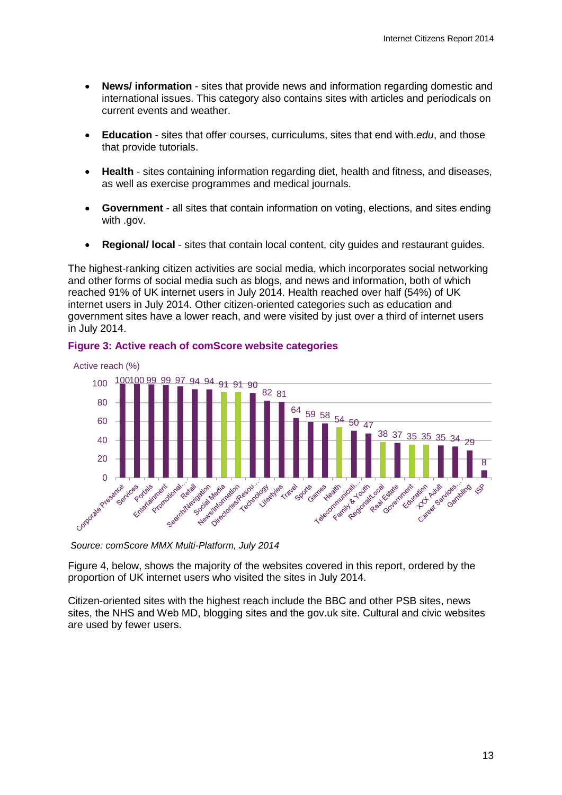- **News/ information**  sites that provide news and information regarding domestic and international issues. This category also contains sites with articles and periodicals on current events and weather.
- **Education**  sites that offer courses, curriculums, sites that end with.*edu*, and those that provide tutorials.
- **Health**  sites containing information regarding diet, health and fitness, and diseases, as well as exercise programmes and medical journals.
- **Government**  all sites that contain information on voting, elections, and sites ending with .gov.
- **Regional/ local** sites that contain local content, city guides and restaurant guides.

The highest-ranking citizen activities are social media, which incorporates social networking and other forms of social media such as blogs, and news and information, both of which reached 91% of UK internet users in July 2014. Health reached over half (54%) of UK internet users in July 2014. Other citizen-oriented categories such as education and government sites have a lower reach, and were visited by just over a third of internet users in July 2014.



#### <span id="page-15-0"></span>**Figure 3: Active reach of comScore website categories**

*Source: comScore MMX Multi-Platform, July 2014*

[Figure 4,](#page-16-0) below, shows the majority of the websites covered in this report, ordered by the proportion of UK internet users who visited the sites in July 2014.

Citizen-oriented sites with the highest reach include the BBC and other PSB sites, news sites, the NHS and Web MD, blogging sites and the gov.uk site. Cultural and civic websites are used by fewer users.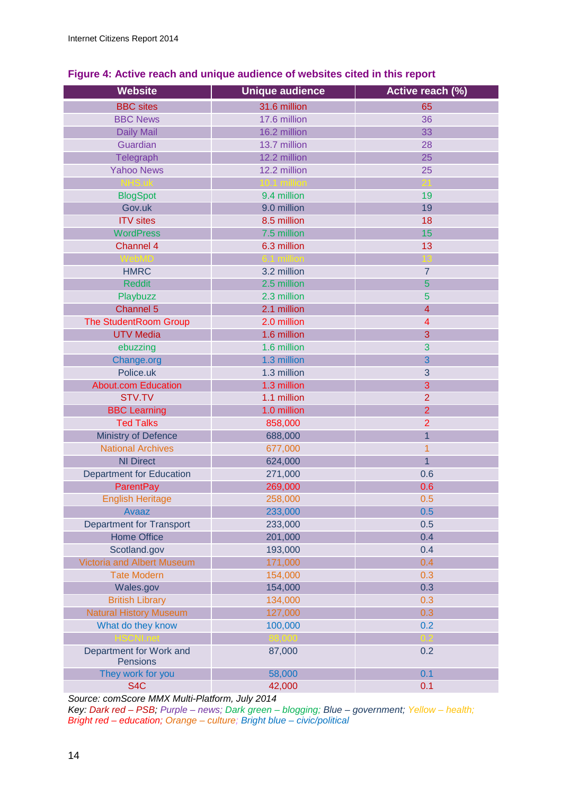| <b>Website</b>                      | <b>Unique audience</b> | Active reach (%) |
|-------------------------------------|------------------------|------------------|
| <b>BBC</b> sites                    | 31.6 million           | 65               |
| <b>BBC News</b>                     | 17.6 million           | 36               |
| <b>Daily Mail</b>                   | 16.2 million           | 33               |
| Guardian                            | 13.7 million           | 28               |
| Telegraph                           | 12.2 million           | 25               |
| <b>Yahoo News</b>                   | 12.2 million           | 25               |
| NHS.uk                              | 10.1 million           | 21               |
| <b>BlogSpot</b>                     | 9.4 million            | 19               |
| Gov.uk                              | 9.0 million            | 19               |
| <b>ITV</b> sites                    | 8.5 million            | 18               |
| <b>WordPress</b>                    | 7.5 million            | 15               |
| Channel 4                           | 6.3 million            | 13               |
| <b>WebMD</b>                        | 6.1 million            | 13               |
| <b>HMRC</b>                         | 3.2 million            | $\overline{7}$   |
| <b>Reddit</b>                       | 2.5 million            | 5                |
| Playbuzz                            | 2.3 million            | 5                |
| Channel 5                           | 2.1 million            | $\overline{4}$   |
| <b>The StudentRoom Group</b>        | 2.0 million            | 4                |
| <b>UTV Media</b>                    | 1.6 million            | 3                |
| ebuzzing                            | 1.6 million            | 3                |
| Change.org                          | 1.3 million            | 3                |
| Police.uk                           | 1.3 million            | 3                |
| <b>About.com Education</b>          | 1.3 million            | 3                |
| STV.TV                              | 1.1 million            | $\overline{2}$   |
| <b>BBC Learning</b>                 | 1.0 million            | $\overline{2}$   |
| <b>Ted Talks</b>                    | 858,000                | $\overline{2}$   |
| Ministry of Defence                 | 688,000                | $\overline{1}$   |
| <b>National Archives</b>            | 677,000                | $\overline{1}$   |
| <b>NI Direct</b>                    | 624,000                | $\overline{1}$   |
| <b>Department for Education</b>     | 271,000                | 0.6              |
| <b>ParentPay</b>                    | 269,000                | 0.6              |
| <b>English Heritage</b>             | 258,000                | 0.5              |
| Avaaz                               | 233,000                | 0.5              |
| <b>Department for Transport</b>     | 233,000                | 0.5              |
| <b>Home Office</b>                  | 201,000                | 0.4              |
| Scotland.gov                        | 193,000                | 0.4              |
| <b>Victoria and Albert Museum</b>   | 171,000                | 0.4              |
| <b>Tate Modern</b>                  | 154,000                | 0.3              |
| Wales.gov                           | 154,000                | 0.3              |
| <b>British Library</b>              | 134,000                | 0.3              |
| <b>Natural History Museum</b>       | 127,000                | 0.3              |
| What do they know                   | 100,000                | 0.2              |
| <b>HSCNLnet</b>                     | 88,000                 | 0.2              |
| Department for Work and<br>Pensions | 87,000                 | 0.2              |
| They work for you                   | 58,000                 | 0.1              |
| S <sub>4</sub> C                    | 42,000                 | 0.1              |

## <span id="page-16-0"></span>**Figure 4: Active reach and unique audience of websites cited in this report**

*Source: comScore MMX Multi-Platform, July 2014*

*Key: Dark red – PSB; Purple – news; Dark green – blogging; Blue – government; Yellow – health; Bright red – education; Orange – culture; Bright blue – civic/political*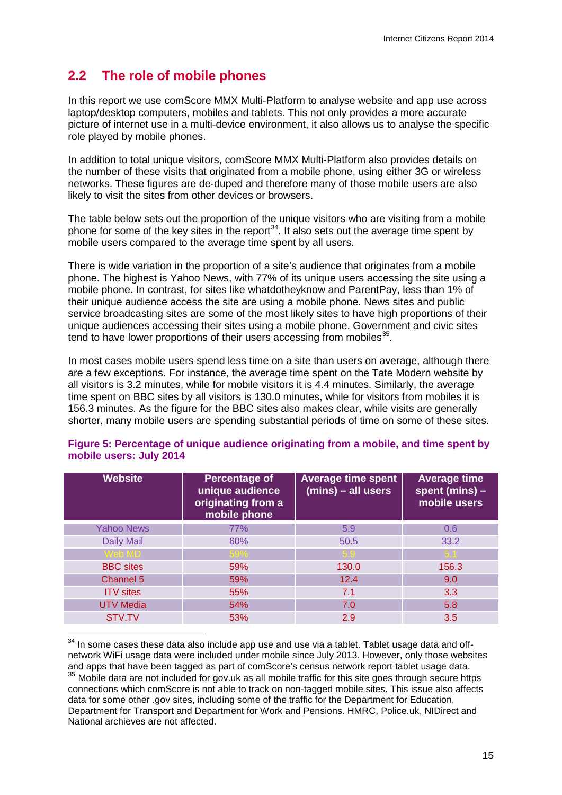# **2.2 The role of mobile phones**

In this report we use comScore MMX Multi-Platform to analyse website and app use across laptop/desktop computers, mobiles and tablets. This not only provides a more accurate picture of internet use in a multi-device environment, it also allows us to analyse the specific role played by mobile phones.

In addition to total unique visitors, comScore MMX Multi-Platform also provides details on the number of these visits that originated from a mobile phone, using either 3G or wireless networks. These figures are de-duped and therefore many of those mobile users are also likely to visit the sites from other devices or browsers.

The table below sets out the proportion of the unique visitors who are visiting from a mobile phone for some of the key sites in the report<sup>34</sup>. It also sets out the average time spent by mobile users compared to the average time spent by all users.

There is wide variation in the proportion of a site's audience that originates from a mobile phone. The highest is Yahoo News, with 77% of its unique users accessing the site using a mobile phone. In contrast, for sites like whatdotheyknow and ParentPay, less than 1% of their unique audience access the site are using a mobile phone. News sites and public service broadcasting sites are some of the most likely sites to have high proportions of their unique audiences accessing their sites using a mobile phone. Government and civic sites tend to have lower proportions of their users accessing from mobiles<sup>35</sup>.

In most cases mobile users spend less time on a site than users on average, although there are a few exceptions. For instance, the average time spent on the Tate Modern website by all visitors is 3.2 minutes, while for mobile visitors it is 4.4 minutes. Similarly, the average time spent on BBC sites by all visitors is 130.0 minutes, while for visitors from mobiles it is 156.3 minutes. As the figure for the BBC sites also makes clear, while visits are generally shorter, many mobile users are spending substantial periods of time on some of these sites.

| <b>Website</b>    | Percentage of<br>unique audience<br>originating from a<br>mobile phone | <b>Average time spent</b><br>(mins) - all users | <b>Average time</b><br>spent (mins) $-$<br>mobile users |
|-------------------|------------------------------------------------------------------------|-------------------------------------------------|---------------------------------------------------------|
| <b>Yahoo News</b> | 77%                                                                    | 5.9                                             | 0.6                                                     |
| <b>Daily Mail</b> | 60%                                                                    | 50.5                                            | 33.2                                                    |
| Web MD            | 59%                                                                    |                                                 |                                                         |
| <b>BBC</b> sites  | 59%                                                                    | 130.0                                           | 156.3                                                   |
| Channel 5         | 59%                                                                    | 12.4                                            | 9.0                                                     |
| <b>ITV</b> sites  | 55%                                                                    | 7.1                                             | 3.3                                                     |
| <b>UTV Media</b>  | 54%                                                                    | 7.0                                             | 5.8                                                     |
| STV.TV            | 53%                                                                    | 2.9                                             | 3.5                                                     |

#### **Figure 5: Percentage of unique audience originating from a mobile, and time spent by mobile users: July 2014**

<span id="page-17-1"></span><span id="page-17-0"></span> $34$  In some cases these data also include app use and use via a tablet. Tablet usage data and offnetwork WiFi usage data were included under mobile since July 2013. However, only those websites and apps that have been tagged as part of comScore's census network report tablet usage data.  $35$  Mobile data are not included for gov.uk as all mobile traffic for this site goes through secure https connections which comScore is not able to track on non-tagged mobile sites. This issue also affects data for some other .gov sites, including some of the traffic for the Department for Education, Department for Transport and Department for Work and Pensions. HMRC, Police.uk, NIDirect and National archieves are not affected.  $\overline{a}$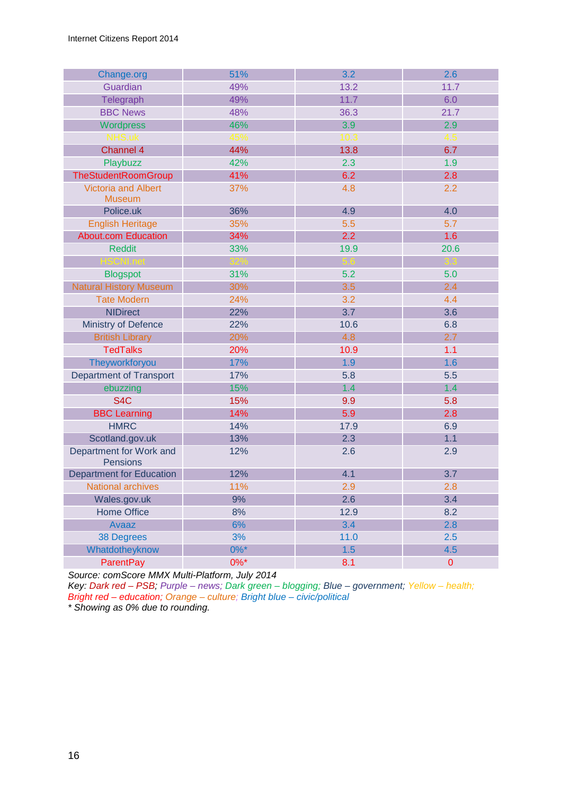| Change.org                                  | 51%     | 3.2  | 2.6       |
|---------------------------------------------|---------|------|-----------|
| Guardian                                    | 49%     | 13.2 | 11.7      |
| Telegraph                                   | 49%     | 11.7 | 6.0       |
| <b>BBC News</b>                             | 48%     | 36.3 | 21.7      |
| Wordpress                                   | 46%     | 3.9  | 2.9       |
| NHS.uk                                      | 45%     | 10.3 | 4.5       |
| Channel 4                                   | 44%     | 13.8 | 6.7       |
| Playbuzz                                    | 42%     | 2.3  | 1.9       |
| <b>TheStudentRoomGroup</b>                  | 41%     | 6.2  | 2.8       |
| <b>Victoria and Albert</b><br><b>Museum</b> | 37%     | 4.8  | 2.2       |
| Police.uk                                   | 36%     | 4.9  | 4.0       |
| <b>English Heritage</b>                     | 35%     | 5.5  | 5.7       |
| <b>About.com Education</b>                  | 34%     | 2.2  | 1.6       |
| <b>Reddit</b>                               | 33%     | 19.9 | 20.6      |
| <b>HSCNI.net</b>                            | 327     | 5.6  | 3.3       |
| <b>Blogspot</b>                             | 31%     | 5.2  | 5.0       |
| <b>Natural History Museum</b>               | 30%     | 3.5  | 2.4       |
| <b>Tate Modern</b>                          | 24%     | 3.2  | 4.4       |
| <b>NIDirect</b>                             | 22%     | 3.7  | 3.6       |
| Ministry of Defence                         | 22%     | 10.6 | 6.8       |
| <b>British Library</b>                      | 20%     | 4.8  | 2.7       |
| <b>TedTalks</b>                             | 20%     | 10.9 | 1.1       |
| Theyworkforyou                              | 17%     | 1.9  | 1.6       |
| <b>Department of Transport</b>              | 17%     | 5.8  | 5.5       |
| ebuzzing                                    | 15%     | 1.4  | 1.4       |
| S <sub>4</sub> C                            | 15%     | 9.9  | 5.8       |
| <b>BBC Learning</b>                         | 14%     | 5.9  | 2.8       |
| <b>HMRC</b>                                 | 14%     | 17.9 | 6.9       |
| Scotland.gov.uk                             | 13%     | 2.3  | 1.1       |
| Department for Work and<br><b>Pensions</b>  | 12%     | 2.6  | 2.9       |
| <b>Department for Education</b>             | 12%     | 4.1  | 3.7       |
| <b>National archives</b>                    | 11%     | 2.9  | 2.8       |
| Wales.gov.uk                                | 9%      | 2.6  | 3.4       |
| <b>Home Office</b>                          | 8%      | 12.9 | 8.2       |
| Avaaz                                       | 6%      | 3.4  | 2.8       |
| <b>38 Degrees</b>                           | 3%      | 11.0 | 2.5       |
| Whatdotheyknow                              | $0\%$ * | 1.5  | 4.5       |
| <b>ParentPay</b>                            | $0\%$ * | 8.1  | $\pmb{0}$ |

*Source: comScore MMX Multi-Platform, July 2014*

*Key: Dark red – PSB; Purple – news; Dark green – blogging; Blue – government; Yellow – health; Bright red – education; Orange – culture; Bright blue – civic/political*

*\* Showing as 0% due to rounding.*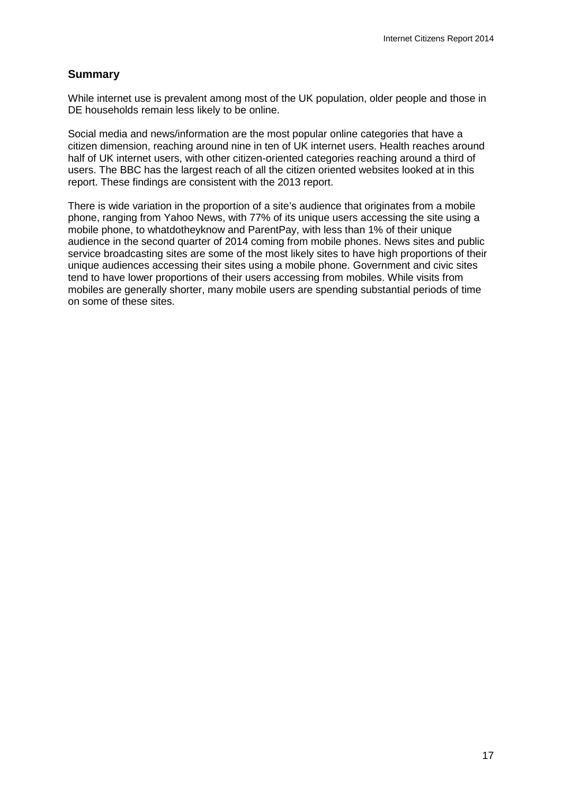## **Summary**

While internet use is prevalent among most of the UK population, older people and those in DE households remain less likely to be online.

Social media and news/information are the most popular online categories that have a citizen dimension, reaching around nine in ten of UK internet users. Health reaches around half of UK internet users, with other citizen-oriented categories reaching around a third of users. The BBC has the largest reach of all the citizen oriented websites looked at in this report. These findings are consistent with the 2013 report.

There is wide variation in the proportion of a site's audience that originates from a mobile phone, ranging from Yahoo News, with 77% of its unique users accessing the site using a mobile phone, to whatdotheyknow and ParentPay, with less than 1% of their unique audience in the second quarter of 2014 coming from mobile phones. News sites and public service broadcasting sites are some of the most likely sites to have high proportions of their unique audiences accessing their sites using a mobile phone. Government and civic sites tend to have lower proportions of their users accessing from mobiles. While visits from mobiles are generally shorter, many mobile users are spending substantial periods of time on some of these sites.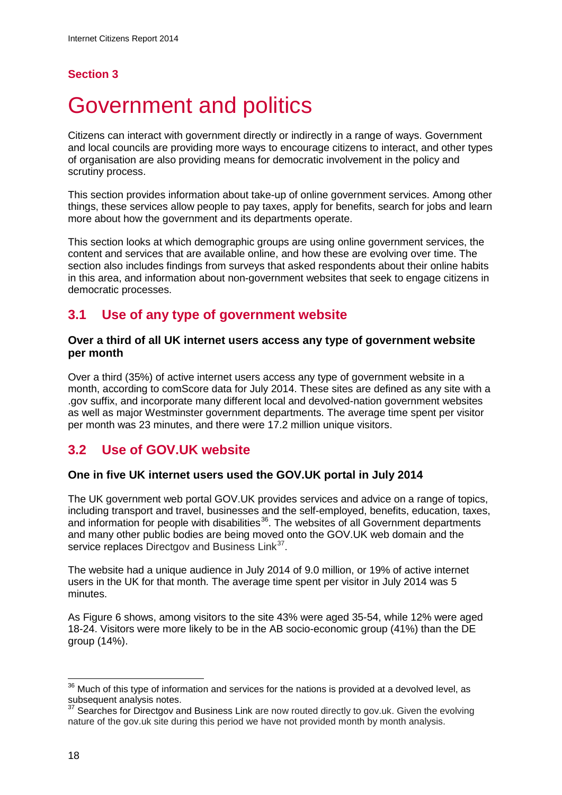## **Section 3**

# <span id="page-20-0"></span>Government and politics

Citizens can interact with government directly or indirectly in a range of ways. Government and local councils are providing more ways to encourage citizens to interact, and other types of organisation are also providing means for democratic involvement in the policy and scrutiny process.

This section provides information about take-up of online government services. Among other things, these services allow people to pay taxes, apply for benefits, search for jobs and learn more about how the government and its departments operate.

This section looks at which demographic groups are using online government services, the content and services that are available online, and how these are evolving over time. The section also includes findings from surveys that asked respondents about their online habits in this area, and information about non-government websites that seek to engage citizens in democratic processes.

# **3.1 Use of any type of government website**

### **Over a third of all UK internet users access any type of government website per month**

Over a third (35%) of active internet users access any type of government website in a month, according to comScore data for July 2014. These sites are defined as any site with a .gov suffix, and incorporate many different local and devolved-nation government websites as well as major Westminster government departments. The average time spent per visitor per month was 23 minutes, and there were 17.2 million unique visitors.

# **3.2 Use of GOV.UK website**

### **One in five UK internet users used the GOV.UK portal in July 2014**

The UK government web portal GOV.UK provides services and advice on a range of topics, including transport and travel, businesses and the self-employed, benefits, education, taxes, and information for people with disabilities $36$ . The websites of all Government departments and many other public bodies are being moved onto the [GOV.UK](http://ov.uk/) web domain and the service replaces Directgov and Business Link<sup>37</sup>.

The website had a unique audience in July 2014 of 9.0 million, or 19% of active internet users in the UK for that month. The average time spent per visitor in July 2014 was 5 minutes.

As [Figure 6](#page-21-0) shows, among visitors to the site 43% were aged 35-54, while 12% were aged 18-24. Visitors were more likely to be in the AB socio-economic group (41%) than the DE group (14%).

 $\overline{1}$ 

<span id="page-20-1"></span> $36$  Much of this type of information and services for the nations is provided at a devolved level, as subsequent analysis notes.

<span id="page-20-2"></span><sup>&</sup>lt;sup>37</sup> Searches for Directgov and Business Link are now routed directly to gov.uk. Given the evolving nature of the gov.uk site during this period we have not provided month by month analysis.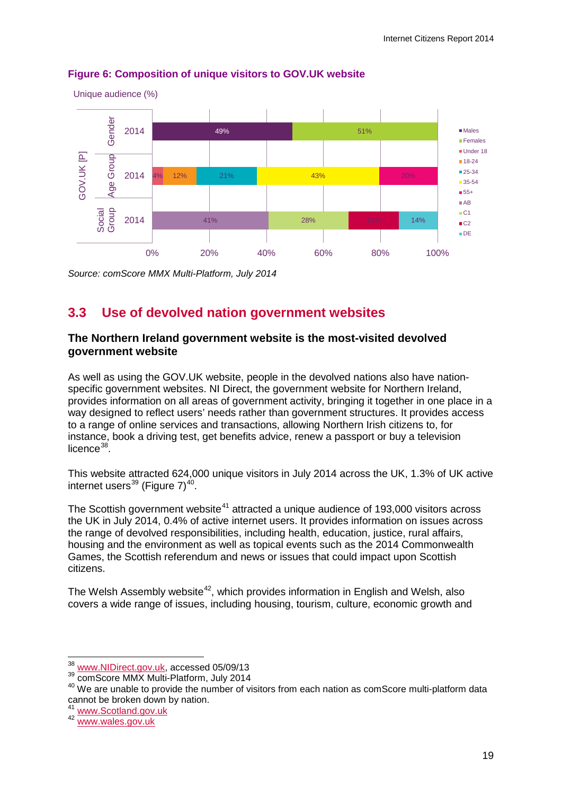

## <span id="page-21-0"></span>**Figure 6: Composition of unique visitors to GOV.UK website**

*Source: comScore MMX Multi-Platform, July 2014*

# **3.3 Use of devolved nation government websites**

## **The Northern Ireland government website is the most-visited devolved government website**

As well as using the GOV.UK website, people in the devolved nations also have nationspecific government websites. NI Direct, the government website for Northern Ireland, provides information on all areas of government activity, bringing it together in one place in a way designed to reflect users' needs rather than government structures. It provides access to a range of online services and transactions, allowing Northern Irish citizens to, for instance, book a driving test, get benefits advice, renew a passport or buy a television licence $38$ .

This website attracted 624,000 unique visitors in July 2014 across the UK, 1.3% of UK active internet users $^{39}$  $^{39}$  $^{39}$  [\(Figure 7\)](#page-22-0)<sup>40</sup>.

The Scottish government website<sup>[41](#page-21-4)</sup> attracted a unique audience of 193,000 visitors across the UK in July 2014, 0.4% of active internet users. It provides information on issues across the range of devolved responsibilities, including health, education, justice, rural affairs, housing and the environment as well as topical events such as the 2014 Commonwealth Games, the Scottish referendum and news or issues that could impact upon Scottish citizens.

The Welsh Assembly website<sup>42</sup>, which provides information in English and Welsh, also covers a wide range of issues, including housing, tourism, culture, economic growth and

 $\overline{a}$ 

<sup>&</sup>lt;sup>38</sup> [www.NIDirect.gov.uk,](http://www.nidirect.gov.uk/) accessed 05/09/13

<span id="page-21-2"></span><span id="page-21-1"></span><sup>&</sup>lt;sup>39</sup> comScore MMX Multi-Platform, July 2014

<span id="page-21-3"></span><sup>40</sup> We are unable to provide the number of visitors from each nation as comScore multi-platform data cannot be broken down by nation.

<span id="page-21-4"></span><sup>&</sup>lt;sup>41</sup> [www.Scotland.gov.uk](http://www.scotland.gov.uk/)<br><sup>42</sup> [www.wales.gov.uk](http://www.wales.gov.uk/)

<span id="page-21-5"></span>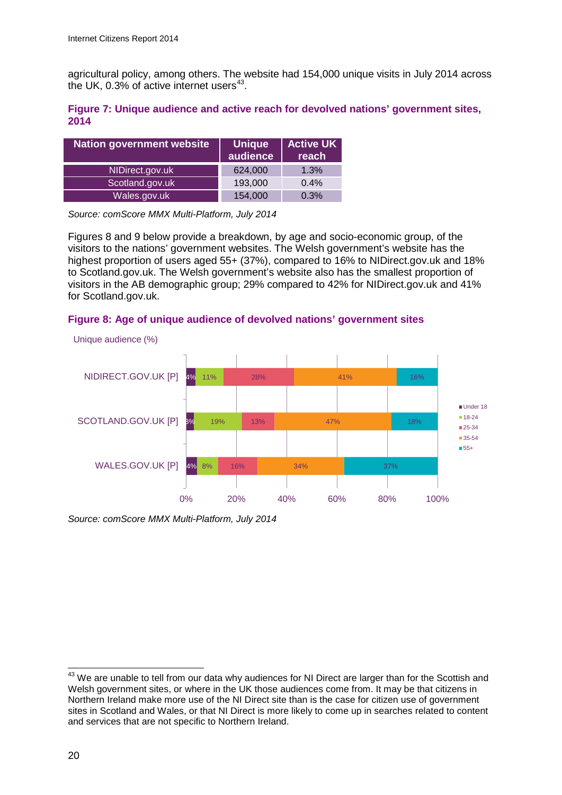agricultural policy, among others. The website had 154,000 unique visits in July 2014 across the UK, 0.3% of active internet users $43$ .

### <span id="page-22-0"></span>**Figure 7: Unique audience and active reach for devolved nations' government sites, 2014**

| <b>Nation government website</b> | <b>Unique</b><br>audience | <b>Active UK</b><br>reach |
|----------------------------------|---------------------------|---------------------------|
| NIDirect.gov.uk                  | 624,000                   | 1.3%                      |
| Scotland.gov.uk                  | 193,000                   | 0.4%                      |
| Wales.gov.uk                     | 154,000                   | 0.3%                      |

*Source: comScore MMX Multi-Platform, July 2014*

[Figures 8](#page-22-1) and 9 below provide a breakdown, by age and socio-economic group, of the visitors to the nations' government websites. The Welsh government's website has the highest proportion of users aged 55+ (37%), compared to 16% to NIDirect.gov.uk and 18% to Scotland.gov.uk. The Welsh government's website also has the smallest proportion of visitors in the AB demographic group; 29% compared to 42% for NIDirect.gov.uk and 41% for Scotland.gov.uk.

### <span id="page-22-1"></span>**Figure 8: Age of unique audience of devolved nations' government sites**



*Source: comScore MMX Multi-Platform, July 2014*

<span id="page-22-2"></span> $43$  We are unable to tell from our data why audiences for NI Direct are larger than for the Scottish and Welsh government sites, or where in the UK those audiences come from. It may be that citizens in Northern Ireland make more use of the NI Direct site than is the case for citizen use of government sites in Scotland and Wales, or that NI Direct is more likely to come up in searches related to content and services that are not specific to Northern Ireland.  $\overline{a}$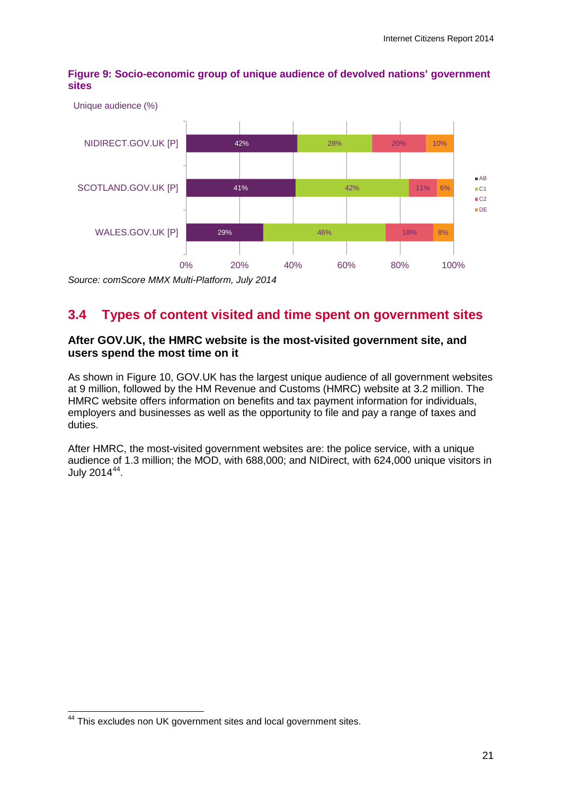**Figure 9: Socio-economic group of unique audience of devolved nations' government sites** 



*Source: comScore MMX Multi-Platform, July 2014*

# **3.4 Types of content visited and time spent on government sites**

## **After GOV.UK, the HMRC website is the most-visited government site, and users spend the most time on it**

As shown in [Figure 10,](#page-24-0) GOV.UK has the largest unique audience of all government websites at 9 million, followed by the HM Revenue and Customs (HMRC) website at 3.2 million. The HMRC website offers information on benefits and tax payment information for individuals, employers and businesses as well as the opportunity to file and pay a range of taxes and duties.

After HMRC, the most-visited government websites are: the police service, with a unique audience of 1.3 million; the MOD, with 688,000; and NIDirect, with 624,000 unique visitors in July 2014<sup>[44](#page-23-0)</sup>.

<span id="page-23-0"></span><sup>&</sup>lt;sup>44</sup> This excludes non UK government sites and local government sites.  $\overline{\phantom{a}}$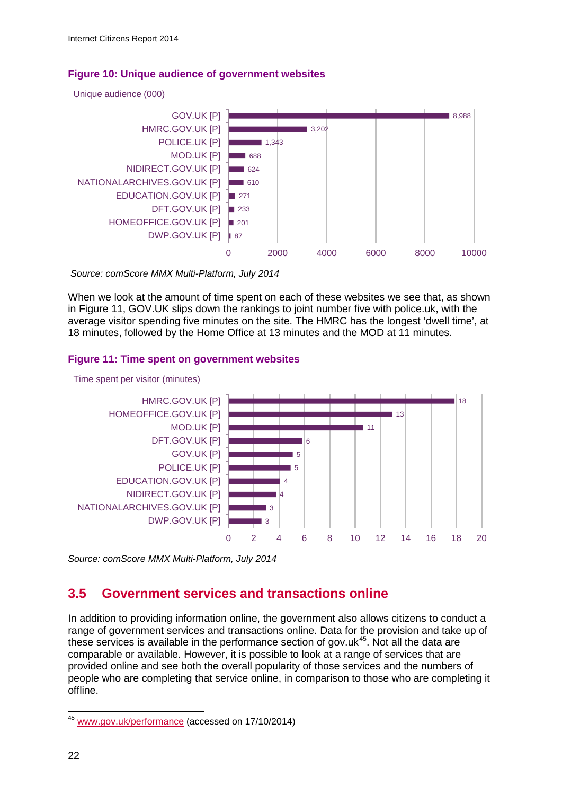### <span id="page-24-0"></span>**Figure 10: Unique audience of government websites**

Unique audience (000)



*Source: comScore MMX Multi-Platform, July 2014*

When we look at the amount of time spent on each of these websites we see that, as shown in Figure 11, GOV.UK slips down the rankings to joint number five with police.uk, with the average visitor spending five minutes on the site. The HMRC has the longest 'dwell time', at 18 minutes, followed by the Home Office at 13 minutes and the MOD at 11 minutes.

### **Figure 11: Time spent on government websites**



Time spent per visitor (minutes)

*Source: comScore MMX Multi-Platform, July 2014*

# **3.5 Government services and transactions online**

In addition to providing information online, the government also allows citizens to conduct a range of government services and transactions online. Data for the provision and take up of these services is available in the performance section of gov.uk $45$ . Not all the data are comparable or available. However, it is possible to look at a range of services that are provided online and see both the overall popularity of those services and the numbers of people who are completing that service online, in comparison to those who are completing it offline.

<span id="page-24-1"></span><sup>&</sup>lt;sup>45</sup> [www.gov.uk/performance](http://www.gov.uk/performance) (accessed on 17/10/2014)  $\overline{\phantom{a}}$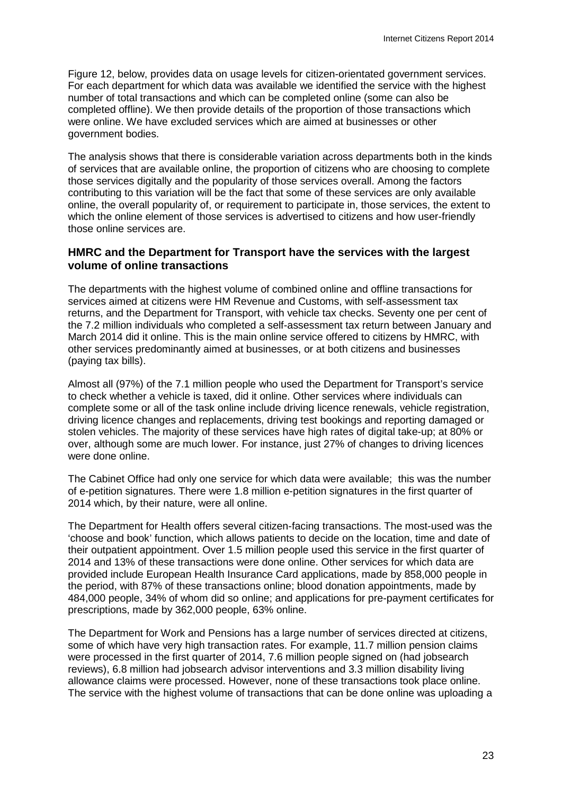Figure 12, below, provides data on usage levels for citizen-orientated government services. For each department for which data was available we identified the service with the highest number of total transactions and which can be completed online (some can also be completed offline). We then provide details of the proportion of those transactions which were online. We have excluded services which are aimed at businesses or other government bodies.

The analysis shows that there is considerable variation across departments both in the kinds of services that are available online, the proportion of citizens who are choosing to complete those services digitally and the popularity of those services overall. Among the factors contributing to this variation will be the fact that some of these services are only available online, the overall popularity of, or requirement to participate in, those services, the extent to which the online element of those services is advertised to citizens and how user-friendly those online services are.

## **HMRC and the Department for Transport have the services with the largest volume of online transactions**

The departments with the highest volume of combined online and offline transactions for services aimed at citizens were HM Revenue and Customs, with self-assessment tax returns, and the Department for Transport, with vehicle tax checks. Seventy one per cent of the 7.2 million individuals who completed a self-assessment tax return between January and March 2014 did it online. This is the main online service offered to citizens by HMRC, with other services predominantly aimed at businesses, or at both citizens and businesses (paying tax bills).

Almost all (97%) of the 7.1 million people who used the Department for Transport's service to check whether a vehicle is taxed, did it online. Other services where individuals can complete some or all of the task online include driving licence renewals, vehicle registration, driving licence changes and replacements, driving test bookings and reporting damaged or stolen vehicles. The majority of these services have high rates of digital take-up; at 80% or over, although some are much lower. For instance, just 27% of changes to driving licences were done online.

The Cabinet Office had only one service for which data were available; this was the number of e-petition signatures. There were 1.8 million e-petition signatures in the first quarter of 2014 which, by their nature, were all online.

The Department for Health offers several citizen-facing transactions. The most-used was the 'choose and book' function, which allows patients to decide on the location, time and date of their outpatient appointment. Over 1.5 million people used this service in the first quarter of 2014 and 13% of these transactions were done online. Other services for which data are provided include European Health Insurance Card applications, made by 858,000 people in the period, with 87% of these transactions online; blood donation appointments, made by 484,000 people, 34% of whom did so online; and applications for pre-payment certificates for prescriptions, made by 362,000 people, 63% online.

The Department for Work and Pensions has a large number of services directed at citizens, some of which have very high transaction rates. For example, 11.7 million pension claims were processed in the first quarter of 2014, 7.6 million people signed on (had jobsearch reviews), 6.8 million had jobsearch advisor interventions and 3.3 million disability living allowance claims were processed. However, none of these transactions took place online. The service with the highest volume of transactions that can be done online was uploading a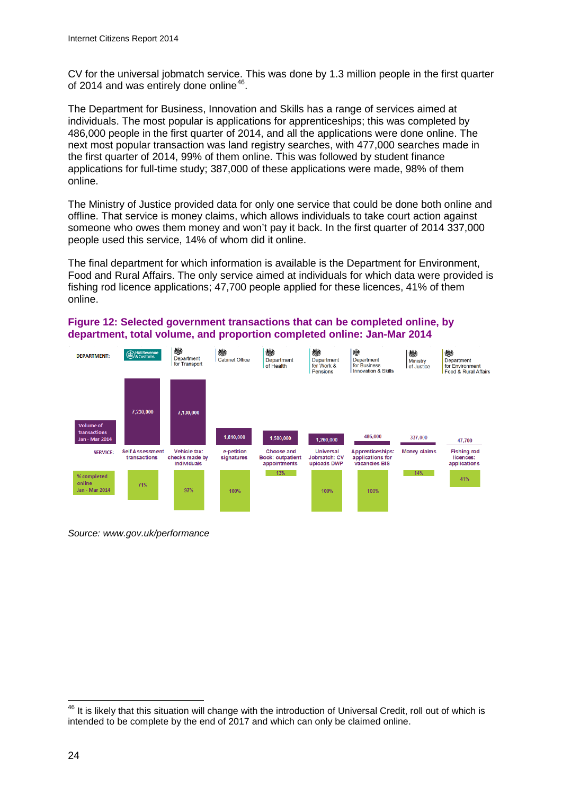CV for the universal jobmatch service. This was done by 1.3 million people in the first quarter of 2014 and was entirely done online<sup>[46](#page-26-0)</sup>.

The Department for Business, Innovation and Skills has a range of services aimed at individuals. The most popular is applications for apprenticeships; this was completed by 486,000 people in the first quarter of 2014, and all the applications were done online. The next most popular transaction was land registry searches, with 477,000 searches made in the first quarter of 2014, 99% of them online. This was followed by student finance applications for full-time study; 387,000 of these applications were made, 98% of them online.

The Ministry of Justice provided data for only one service that could be done both online and offline. That service is money claims, which allows individuals to take court action against someone who owes them money and won't pay it back. In the first quarter of 2014 337,000 people used this service, 14% of whom did it online.

The final department for which information is available is the Department for Environment, Food and Rural Affairs. The only service aimed at individuals for which data were provided is fishing rod licence applications; 47,700 people applied for these licences, 41% of them online.

#### **Figure 12: Selected government transactions that can be completed online, by department, total volume, and proportion completed online: Jan-Mar 2014**



*Source: www.gov.uk/performance*

<span id="page-26-0"></span> $46$  It is likely that this situation will change with the introduction of Universal Credit, roll out of which is intended to be complete by the end of 2017 and which can only be claimed online.  $\overline{a}$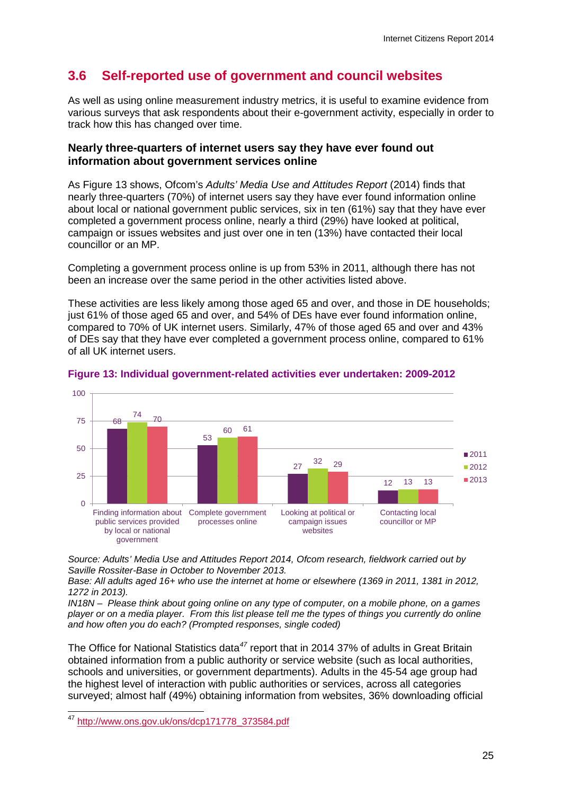# **3.6 Self-reported use of government and council websites**

As well as using online measurement industry metrics, it is useful to examine evidence from various surveys that ask respondents about their e-government activity, especially in order to track how this has changed over time.

### **Nearly three-quarters of internet users say they have ever found out information about government services online**

As [Figure 13](#page-27-0) shows, Ofcom's *Adults' Media Use and Attitudes Report* (2014) finds that nearly three-quarters (70%) of internet users say they have ever found information online about local or national government public services, six in ten (61%) say that they have ever completed a government process online, nearly a third (29%) have looked at political, campaign or issues websites and just over one in ten (13%) have contacted their local councillor or an MP.

Completing a government process online is up from 53% in 2011, although there has not been an increase over the same period in the other activities listed above.

These activities are less likely among those aged 65 and over, and those in DE households; just 61% of those aged 65 and over, and 54% of DEs have ever found information online, compared to 70% of UK internet users. Similarly, 47% of those aged 65 and over and 43% of DEs say that they have ever completed a government process online, compared to 61% of all UK internet users.



#### <span id="page-27-0"></span>**Figure 13: Individual government-related activities ever undertaken: 2009-2012**

*Source: Adults' Media Use and Attitudes Report 2014, Ofcom research, fieldwork carried out by Saville Rossiter-Base in October to November 2013.* 

*Base: All adults aged 16+ who use the internet at home or elsewhere (1369 in 2011, 1381 in 2012, 1272 in 2013).* 

*IN18N – Please think about going online on any type of computer, on a mobile phone, on a games player or on a media player. From this list please tell me the types of things you currently do online and how often you do each? (Prompted responses, single coded)* 

The Office for National Statistics data*[47](#page-27-1)* report that in 2014 37% of adults in Great Britain obtained information from a public authority or service website (such as local authorities, schools and universities, or government departments). Adults in the 45-54 age group had the highest level of interaction with public authorities or services, across all categories surveyed; almost half (49%) obtaining information from websites, 36% downloading official

<span id="page-27-1"></span><sup>47</sup> [http://www.ons.gov.uk/ons/dcp171778\\_373584.pdf](http://www.ons.gov.uk/ons/dcp171778_373584.pdf) 47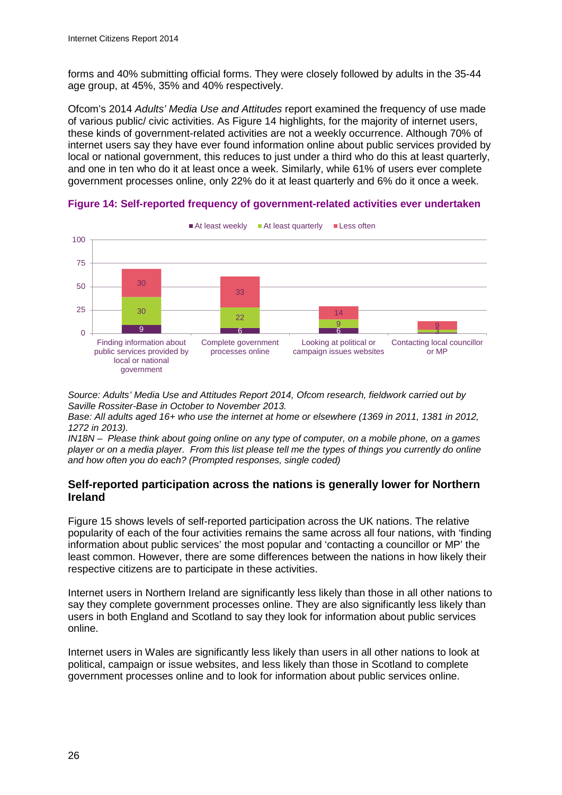forms and 40% submitting official forms. They were closely followed by adults in the 35-44 age group, at 45%, 35% and 40% respectively.

Ofcom's 2014 *Adults' Media Use and Attitudes* report examined the frequency of use made of various public/ civic activities. As [Figure 14](#page-28-0) highlights, for the majority of internet users, these kinds of government-related activities are not a weekly occurrence. Although 70% of internet users say they have ever found information online about public services provided by local or national government, this reduces to just under a third who do this at least quarterly, and one in ten who do it at least once a week. Similarly, while 61% of users ever complete government processes online, only 22% do it at least quarterly and 6% do it once a week.



<span id="page-28-0"></span>**Figure 14: Self-reported frequency of government-related activities ever undertaken**

*Source: Adults' Media Use and Attitudes Report 2014, Ofcom research, fieldwork carried out by Saville Rossiter-Base in October to November 2013.* 

*Base: All adults aged 16+ who use the internet at home or elsewhere (1369 in 2011, 1381 in 2012, 1272 in 2013).* 

*IN18N – Please think about going online on any type of computer, on a mobile phone, on a games player or on a media player. From this list please tell me the types of things you currently do online and how often you do each? (Prompted responses, single coded)*

## **Self-reported participation across the nations is generally lower for Northern Ireland**

[Figure 15](#page-29-0) shows levels of self-reported participation across the UK nations. The relative popularity of each of the four activities remains the same across all four nations, with 'finding information about public services' the most popular and 'contacting a councillor or MP' the least common. However, there are some differences between the nations in how likely their respective citizens are to participate in these activities.

Internet users in Northern Ireland are significantly less likely than those in all other nations to say they complete government processes online. They are also significantly less likely than users in both England and Scotland to say they look for information about public services online.

Internet users in Wales are significantly less likely than users in all other nations to look at political, campaign or issue websites, and less likely than those in Scotland to complete government processes online and to look for information about public services online.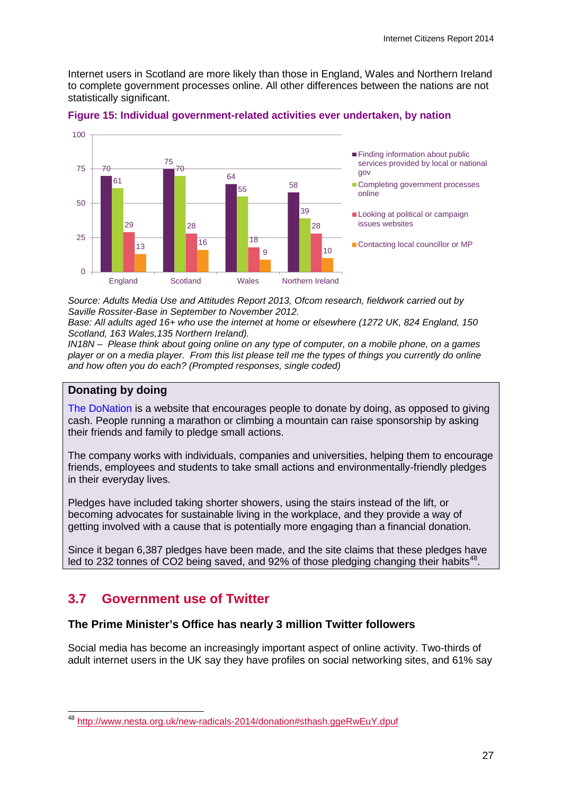Internet users in Scotland are more likely than those in England, Wales and Northern Ireland to complete government processes online. All other differences between the nations are not statistically significant.



### <span id="page-29-0"></span>**Figure 15: Individual government-related activities ever undertaken, by nation**

*Source: Adults Media Use and Attitudes Report 2013, Ofcom research, fieldwork carried out by Saville Rossiter-Base in September to November 2012.* 

*Base: All adults aged 16+ who use the internet at home or elsewhere (1272 UK, 824 England, 150 Scotland, 163 Wales,135 Northern Ireland).* 

*IN18N – Please think about going online on any type of computer, on a mobile phone, on a games player or on a media player. From this list please tell me the types of things you currently do online and how often you do each? (Prompted responses, single coded)*

### **Donating by doing**

[The DoNation](http://www.thedonation.org.uk/) is a website that encourages people to donate by doing, as opposed to giving cash. People running a marathon or climbing a mountain can raise sponsorship by asking their friends and family to pledge small actions.

The company works with individuals, companies and universities, helping them to encourage friends, employees and students to take small actions and environmentally-friendly pledges in their everyday lives.

Pledges have included taking shorter showers, using the stairs instead of the lift, or becoming advocates for sustainable living in the workplace, and they provide a way of getting involved with a cause that is potentially more engaging than a financial donation.

Since it began 6,387 pledges have been made, and the site claims that these pledges have led to 232 tonnes of CO2 being saved, and 92% of those pledging changing their habits<sup>41</sup>

# **3.7 Government use of Twitter**

### **The Prime Minister's Office has nearly 3 million Twitter followers**

Social media has become an increasingly important aspect of online activity. Two-thirds of adult internet users in the UK say they have profiles on social networking sites, and 61% say

<span id="page-29-1"></span><sup>&</sup>lt;sup>48</sup> [http://www.nesta.org.uk/new-radicals-2014/donation#sthash.ggeRwEuY.dpuf](http://www.nesta.org.uk/new-radicals-2014/donation%23sthash.ggeRwEuY.dpuf)  $\overline{\phantom{a}}$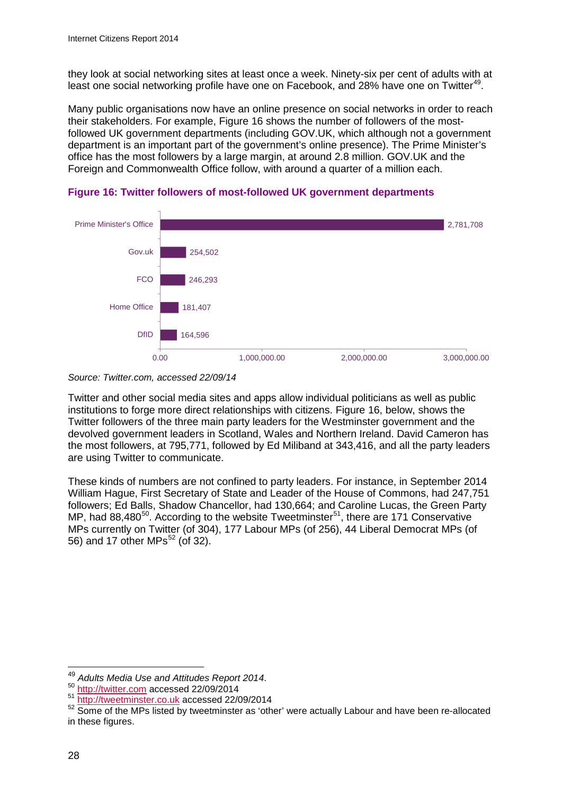they look at social networking sites at least once a week. Ninety-six per cent of adults with at least one social networking profile have one on Facebook, and 28% have one on Twitter<sup>49</sup>.

Many public organisations now have an online presence on social networks in order to reach their stakeholders. For example, [Figure](#page-30-0) 16 shows the number of followers of the mostfollowed UK government departments (including GOV.UK, which although not a government department is an important part of the government's online presence). The Prime Minister's office has the most followers by a large margin, at around 2.8 million. GOV.UK and the Foreign and Commonwealth Office follow, with around a quarter of a million each.



<span id="page-30-0"></span>



Twitter and other social media sites and apps allow individual politicians as well as public institutions to forge more direct relationships with citizens. [Figure](#page-30-0) 16, below, shows the Twitter followers of the three main party leaders for the Westminster government and the devolved government leaders in Scotland, Wales and Northern Ireland. David Cameron has the most followers, at 795,771, followed by Ed Miliband at 343,416, and all the party leaders are using Twitter to communicate.

These kinds of numbers are not confined to party leaders. For instance, in September 2014 William Hague, First Secretary of State and Leader of the House of Commons, had 247,751 followers; Ed Balls, Shadow Chancellor, had 130,664; and Caroline Lucas, the Green Party MP, had  $88,480^{50}$ . According to the website Tweetminster<sup>[51](#page-30-3)</sup>, there are 171 Conservative MPs currently on Twitter (of 304), 177 Labour MPs (of 256), 44 Liberal Democrat MPs (of 56) and 17 other MPs $<sup>52</sup>$  $<sup>52</sup>$  $<sup>52</sup>$  (of 32).</sup>

<span id="page-30-1"></span><sup>&</sup>lt;sup>49</sup> Adults Media Use and Attitudes Report 2014.<br><sup>50</sup> [http://twitter.com](http://twitter.com/) accessed 22/09/2014  $\overline{\phantom{a}}$ 

<span id="page-30-3"></span><span id="page-30-2"></span><sup>51</sup> [http://tweetminster.co.uk](http://tweetminster.co.uk/) accessed 22/09/2014

<span id="page-30-4"></span><sup>52</sup> Some of the MPs listed by tweetminster as 'other' were actually Labour and have been re-allocated in these figures.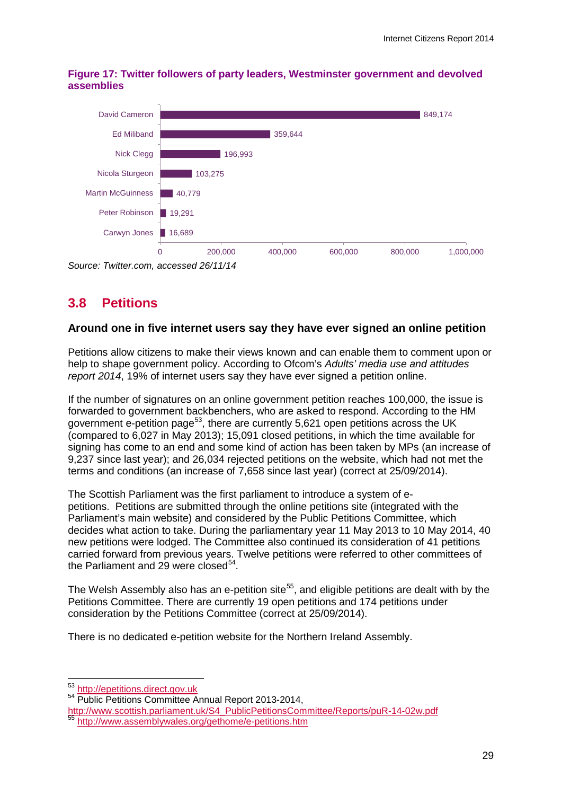

**Figure 17: Twitter followers of party leaders, Westminster government and devolved assemblies**

*Source: Twitter.com, accessed 26/11/14*

# **3.8 Petitions**

## **Around one in five internet users say they have ever signed an online petition**

Petitions allow citizens to make their views known and can enable them to comment upon or help to shape government policy. According to Ofcom's *Adults' media use and attitudes report 2014*, 19% of internet users say they have ever signed a petition online.

If the number of signatures on an online government petition reaches 100,000, the issue is forwarded to government backbenchers, who are asked to respond. According to the HM government e-petition page<sup>[53](#page-31-0)</sup>, there are currently 5,621 open petitions across the UK (compared to 6,027 in May 2013); 15,091 closed petitions, in which the time available for signing has come to an end and some kind of action has been taken by MPs (an increase of 9,237 since last year); and 26,034 rejected petitions on the website, which had not met the terms and conditions (an increase of 7,658 since last year) (correct at 25/09/2014).

The Scottish Parliament was the first parliament to introduce a system of epetitions. Petitions are submitted through the online petitions site (integrated with the Parliament's main website) and considered by the Public Petitions Committee, which decides what action to take. During the parliamentary year 11 May 2013 to 10 May 2014, 40 new petitions were lodged. The Committee also continued its consideration of 41 petitions carried forward from previous years. Twelve petitions were referred to other committees of the Parliament and 29 were closed<sup>54</sup>.

The Welsh Assembly also has an e-petition site<sup>[55](#page-31-2)</sup>, and eligible petitions are dealt with by the Petitions Committee. There are currently 19 open petitions and 174 petitions under consideration by the Petitions Committee (correct at 25/09/2014).

There is no dedicated e-petition website for the Northern Ireland Assembly.

<span id="page-31-0"></span><sup>&</sup>lt;sup>53</sup> http://epetitions.direct.gov.uk

<span id="page-31-1"></span><sup>54</sup> Public Petitions Committee Annual Report 2013-2014,

<span id="page-31-2"></span>[http://www.scottish.parliament.uk/S4\\_PublicPetitionsCommittee/Reports/puR-14-02w.pdf](http://www.scottish.parliament.uk/S4_PublicPetitionsCommittee/Reports/puR-14-02w.pdf)<br>
<sup>55</sup> <http://www.assemblywales.org/gethome/e-petitions.htm>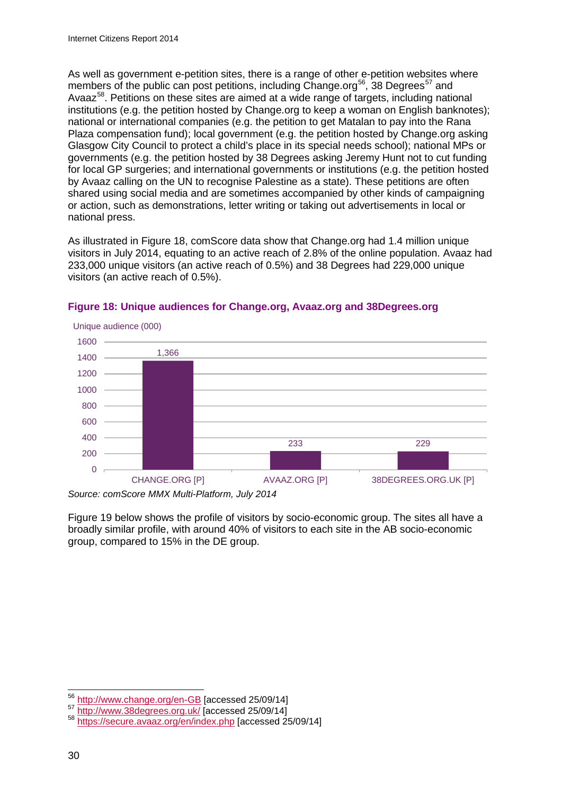As well as government e-petition sites, there is a range of other e-petition websites where members of the public can post petitions, including Change.org<sup>[56](#page-32-0)</sup>, 38 Degrees<sup>[57](#page-32-1)</sup> and Avaaz<sup>58</sup>. Petitions on these sites are aimed at a wide range of targets, including national institutions (e.g. the petition hosted by Change.org to keep a woman on English banknotes); national or international companies (e.g. the petition to get Matalan to pay into the Rana Plaza compensation fund); local government (e.g. the petition hosted by Change.org asking Glasgow City Council to protect a child's place in its special needs school); national MPs or governments (e.g. the petition hosted by 38 Degrees asking Jeremy Hunt not to cut funding for local GP surgeries; and international governments or institutions (e.g. the petition hosted by Avaaz calling on the UN to recognise Palestine as a state). These petitions are often shared using social media and are sometimes accompanied by other kinds of campaigning or action, such as demonstrations, letter writing or taking out advertisements in local or national press.

As illustrated in Figure 18, comScore data show that Change.org had 1.4 million unique visitors in July 2014, equating to an active reach of 2.8% of the online population. Avaaz had 233,000 unique visitors (an active reach of 0.5%) and 38 Degrees had 229,000 unique visitors (an active reach of 0.5%).



### **Figure 18: Unique audiences for Change.org, Avaaz.org and 38Degrees.org**

*Source: comScore MMX Multi-Platform, July 2014*

[Figure 19](#page-33-0) below shows the profile of visitors by socio-economic group. The sites all have a broadly similar profile, with around 40% of visitors to each site in the AB socio-economic group, compared to 15% in the DE group.

<span id="page-32-0"></span><http://www.change.org/en-GB> [accessed 25/09/14]<br>http://www.38degrees.org.uk/ [accessed 25/09/14] 56

<span id="page-32-2"></span><span id="page-32-1"></span><sup>&</sup>lt;sup>58</sup> <https://secure.avaaz.org/en/index.php> [accessed 25/09/14]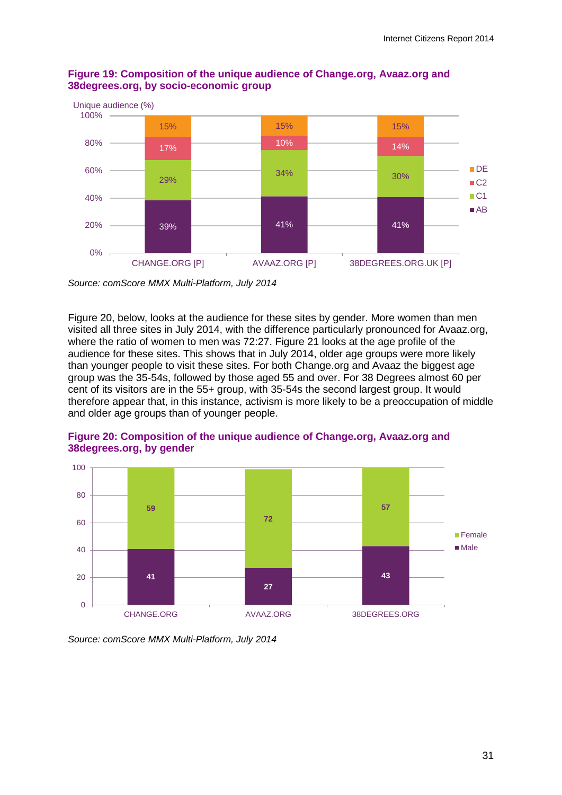

## <span id="page-33-0"></span>**Figure 19: Composition of the unique audience of Change.org, Avaaz.org and 38degrees.org, by socio-economic group**

*Source: comScore MMX Multi-Platform, July 2014*

Figure 20, below, looks at the audience for these sites by gender. More women than men visited all three sites in July 2014, with the difference particularly pronounced for Avaaz.org, where the ratio of women to men was 72:27. Figure 21 looks at the age profile of the audience for these sites. This shows that in July 2014, older age groups were more likely than younger people to visit these sites. For both Change.org and Avaaz the biggest age group was the 35-54s, followed by those aged 55 and over. For 38 Degrees almost 60 per cent of its visitors are in the 55+ group, with 35-54s the second largest group. It would therefore appear that, in this instance, activism is more likely to be a preoccupation of middle and older age groups than of younger people.



**Figure 20: Composition of the unique audience of Change.org, Avaaz.org and 38degrees.org, by gender**

*Source: comScore MMX Multi-Platform, July 2014*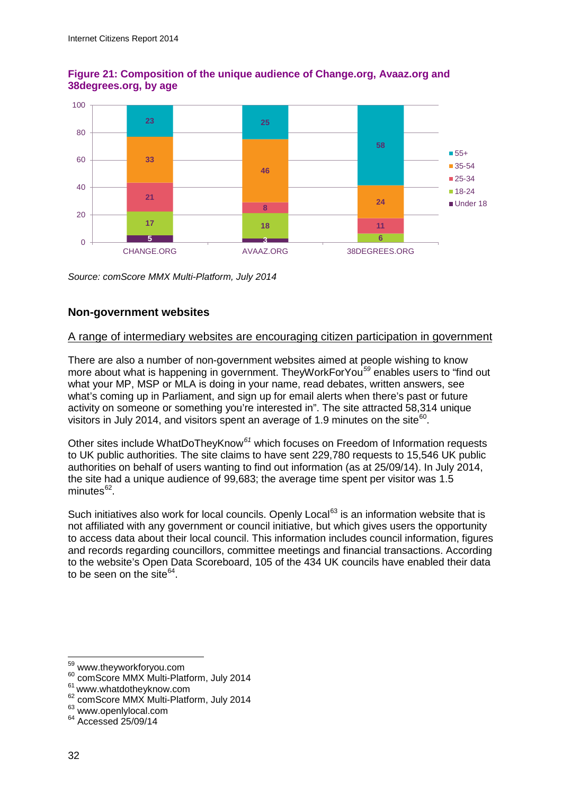

## **Figure 21: Composition of the unique audience of Change.org, Avaaz.org and 38degrees.org, by age**

*Source: comScore MMX Multi-Platform, July 2014*

## **Non-government websites**

### A range of intermediary websites are encouraging citizen participation in government

There are also a number of non-government websites aimed at people wishing to know more about what is happening in government. TheyWorkForYou*[59](#page-34-0)* enables users to "find out what your MP, MSP or MLA is doing in your name, read debates, written answers, see what's coming up in Parliament, and sign up for email alerts when there's past or future activity on someone or something you're interested in". The site attracted 58,314 unique visitors in July 2014, and visitors spent an average of 1.9 minutes on the site $^{60}$  $^{60}$  $^{60}$ .

Other sites include WhatDoTheyKnow*[61](#page-34-2)* which focuses on Freedom of Information requests to UK public authorities. The site claims to have sent 229,780 requests to 15,546 UK public authorities on behalf of users wanting to find out information (as at 25/09/14). In July 2014, the site had a unique audience of 99,683; the average time spent per visitor was 1.5  $minutes<sup>62</sup>$ .

Such initiatives also work for local councils. Openly Local<sup>[63](#page-34-4)</sup> is an information website that is not affiliated with any government or council initiative, but which gives users the opportunity to access data about their local council. This information includes council information, figures and records regarding councillors, committee meetings and financial transactions. According to the website's Open Data Scoreboard, 105 of the 434 UK councils have enabled their data to be seen on the site $64$ .

<sup>59</sup> www.theyworkforyou.com

<span id="page-34-2"></span><span id="page-34-1"></span><span id="page-34-0"></span><sup>&</sup>lt;sup>60</sup> comScore MMX Multi-Platform, July 2014 <sup>61</sup> www.whatdotheyknow.com  $62^{\circ}$  comScore MMX Multi-Platform, July 2014  $63^{\circ}$  www.openlylocal.com  $64^{\circ}$  Accessed 25/09/14

<span id="page-34-3"></span>

<span id="page-34-4"></span>

<span id="page-34-5"></span>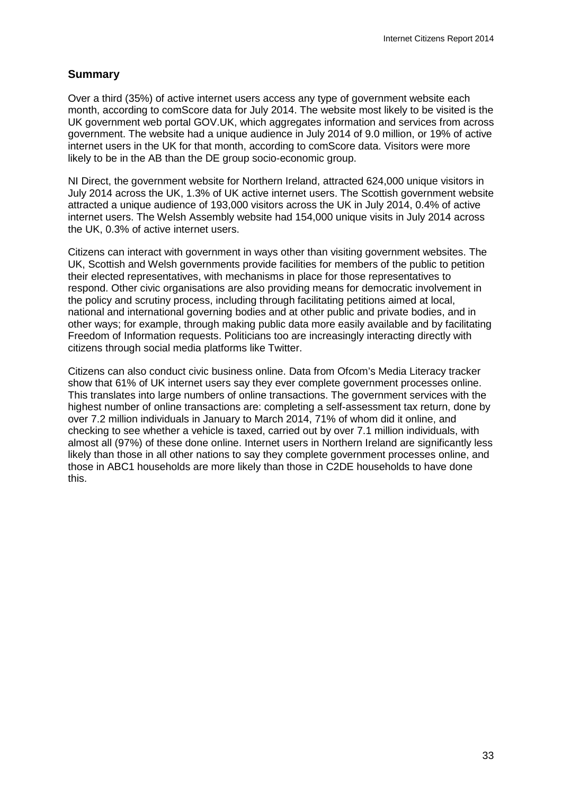## **Summary**

Over a third (35%) of active internet users access any type of government website each month, according to comScore data for July 2014. The website most likely to be visited is the UK government web portal GOV.UK, which aggregates information and services from across government. The website had a unique audience in July 2014 of 9.0 million, or 19% of active internet users in the UK for that month, according to comScore data. Visitors were more likely to be in the AB than the DE group socio-economic group.

NI Direct, the government website for Northern Ireland, attracted 624,000 unique visitors in July 2014 across the UK, 1.3% of UK active internet users. The Scottish government website attracted a unique audience of 193,000 visitors across the UK in July 2014, 0.4% of active internet users. The Welsh Assembly website had 154,000 unique visits in July 2014 across the UK, 0.3% of active internet users.

Citizens can interact with government in ways other than visiting government websites. The UK, Scottish and Welsh governments provide facilities for members of the public to petition their elected representatives, with mechanisms in place for those representatives to respond. Other civic organisations are also providing means for democratic involvement in the policy and scrutiny process, including through facilitating petitions aimed at local, national and international governing bodies and at other public and private bodies, and in other ways; for example, through making public data more easily available and by facilitating Freedom of Information requests. Politicians too are increasingly interacting directly with citizens through social media platforms like Twitter.

Citizens can also conduct civic business online. Data from Ofcom's Media Literacy tracker show that 61% of UK internet users say they ever complete government processes online. This translates into large numbers of online transactions. The government services with the highest number of online transactions are: completing a self-assessment tax return, done by over 7.2 million individuals in January to March 2014, 71% of whom did it online, and checking to see whether a vehicle is taxed, carried out by over 7.1 million individuals, with almost all (97%) of these done online. Internet users in Northern Ireland are significantly less likely than those in all other nations to say they complete government processes online, and those in ABC1 households are more likely than those in C2DE households to have done this.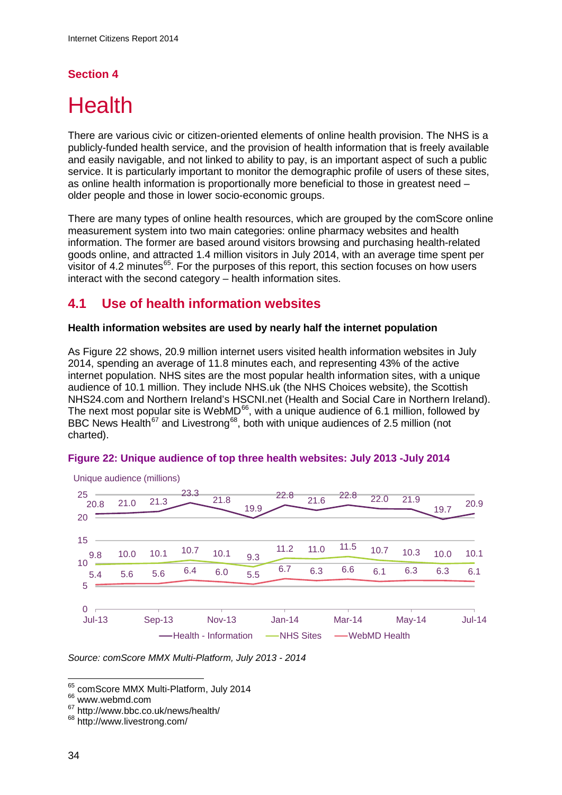## **Section 4**

# **Health**

There are various civic or citizen-oriented elements of online health provision. The NHS is a publicly-funded health service, and the provision of health information that is freely available and easily navigable, and not linked to ability to pay, is an important aspect of such a public service. It is particularly important to monitor the demographic profile of users of these sites, as online health information is proportionally more beneficial to those in greatest need – older people and those in lower socio-economic groups.

There are many types of online health resources, which are grouped by the comScore online measurement system into two main categories: online pharmacy websites and health information. The former are based around visitors browsing and purchasing health-related goods online, and attracted 1.4 million visitors in July 2014, with an average time spent per visitor of 4.2 minutes $^{65}$  $^{65}$  $^{65}$ . For the purposes of this report, this section focuses on how users interact with the second category – health information sites.

# **4.1 Use of health information websites**

#### **Health information websites are used by nearly half the internet population**

As [Figure 22](#page-36-0) shows, 20.9 million internet users visited health information websites in July 2014, spending an average of 11.8 minutes each, and representing 43% of the active internet population. NHS sites are the most popular health information sites, with a unique audience of 10.1 million. They include NHS.uk (the NHS Choices website), the Scottish NHS24.com and Northern Ireland's HSCNI.net (Health and Social Care in Northern Ireland). The next most popular site is WebMD<sup>66</sup>, with a unique audience of 6.1 million, followed by BBC News Health<sup>[67](#page-36-3)</sup> and Livestrong<sup>68</sup>, both with unique audiences of 2.5 million (not charted).

#### <span id="page-36-0"></span>**Figure 22: Unique audience of top three health websites: July 2013 -July 2014**



Unique audience (millions)

*Source: comScore MMX Multi-Platform, July 2013 - 2014*

<sup>&</sup>lt;sup>65</sup> comScore MMX Multi-Platform, July 2014  $\overline{a}$ 

<span id="page-36-2"></span><span id="page-36-1"></span><sup>66</sup> www.webmd.com

<span id="page-36-3"></span> $67$  http://www.bbc.co.uk/news/health/<br> $68$  http://www.livestrong.com/

<span id="page-36-4"></span>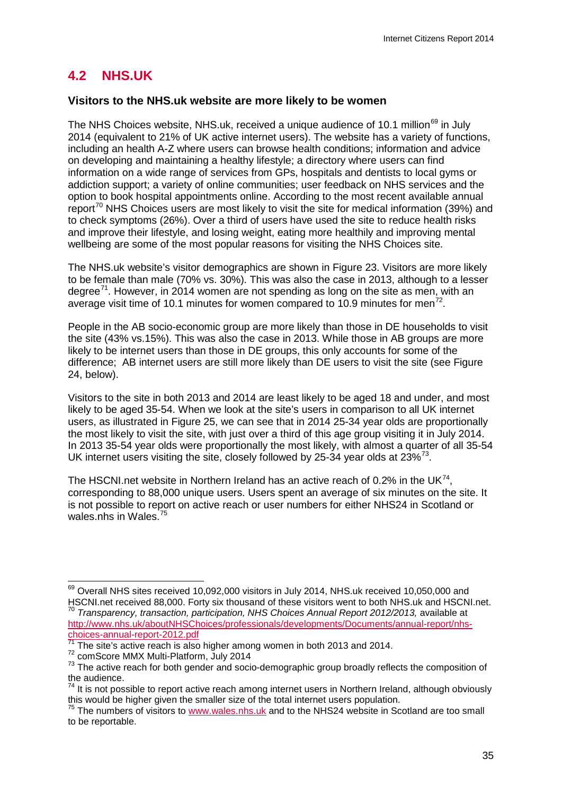# **4.2 NHS.UK**

#### **Visitors to the NHS.uk website are more likely to be women**

The NHS Choices website, NHS.uk, received a unique audience of 10.1 million<sup>[69](#page-37-0)</sup> in July 2014 (equivalent to 21% of UK active internet users). The website has a variety of functions, including an health A-Z where users can browse health conditions; information and advice on developing and maintaining a healthy lifestyle; a directory where users can find information on a wide range of services from GPs, hospitals and dentists to local gyms or addiction support; a variety of online communities; user feedback on NHS services and the option to book hospital appointments online. According to the most recent available annual report<sup>[70](#page-37-1)</sup> NHS Choices users are most likely to visit the site for medical information (39%) and to check symptoms (26%). Over a third of users have used the site to reduce health risks and improve their lifestyle, and losing weight, eating more healthily and improving mental wellbeing are some of the most popular reasons for visiting the NHS Choices site.

The NHS.uk website's visitor demographics are shown in [Figure 23.](#page-38-0) Visitors are more likely to be female than male (70% vs. 30%). This was also the case in 2013, although to a lesser degree<sup>[71](#page-37-2)</sup>. However, in 2014 women are not spending as long on the site as men, with an average visit time of 10.1 minutes for women compared to 10.9 minutes for men<sup>[72](#page-37-3)</sup>.

People in the AB socio-economic group are more likely than those in DE households to visit the site (43% vs.15%). This was also the case in 2013. While those in AB groups are more likely to be internet users than those in DE groups, this only accounts for some of the difference; AB internet users are still more likely than DE users to visit the site (see Figure 24, below).

Visitors to the site in both 2013 and 2014 are least likely to be aged 18 and under, and most likely to be aged 35-54. When we look at the site's users in comparison to all UK internet users, as illustrated in Figure 25, we can see that in 2014 25-34 year olds are proportionally the most likely to visit the site, with just over a third of this age group visiting it in July 2014. In 2013 35-54 year olds were proportionally the most likely, with almost a quarter of all 35-54 UK internet users visiting the site, closely followed by 25-34 year olds at  $23\%^{73}$  $23\%^{73}$  $23\%^{73}$ .

The HSCNI.net website in Northern Ireland has an active reach of 0.2% in the UK $^{74}$ . corresponding to 88,000 unique users. Users spent an average of six minutes on the site. It is not possible to report on active reach or user numbers for either NHS24 in Scotland or wales.nhs in Wales.<sup>[75](#page-37-6)</sup>

<span id="page-37-0"></span> $^{69}$  Overall NHS sites received 10,092,000 visitors in July 2014, NHS.uk received 10,050,000 and HSCNI.net received 88,000. Forty six thousand of these visitors went to both NHS.uk and HSCNI.net.  $\overline{a}$ 

<span id="page-37-1"></span><sup>&</sup>lt;sup>70</sup> Transparency, transaction, participation, NHS Choices Annual Report 2012/2013, available at [http://www.nhs.uk/aboutNHSChoices/professionals/developments/Documents/annual-report/nhs](http://www.nhs.uk/aboutNHSChoices/professionals/developments/Documents/annual-report/nhs-choices-annual-report-2012.pdf)[choices-annual-report-2012.pdf](http://www.nhs.uk/aboutNHSChoices/professionals/developments/Documents/annual-report/nhs-choices-annual-report-2012.pdf)<br>
<sup>71</sup> The site's active reach is also higher among women in both 2013 and 2014.<br>
<sup>72</sup> comScore MMX Multi-Platform, July 2014<br>
<sup>73</sup> The active reach for both gender and socio-demographic group

<span id="page-37-3"></span><span id="page-37-2"></span>

<span id="page-37-4"></span>the audience.

<span id="page-37-5"></span><sup>&</sup>lt;sup>74</sup> It is not possible to report active reach among internet users in Northern Ireland, although obviously this would be higher given the smaller size of the total internet users population.

<span id="page-37-6"></span> $75$  The numbers of visitors to [www.wales.nhs.uk](http://www.wales.nhs.uk/) and to the NHS24 website in Scotland are too small to be reportable.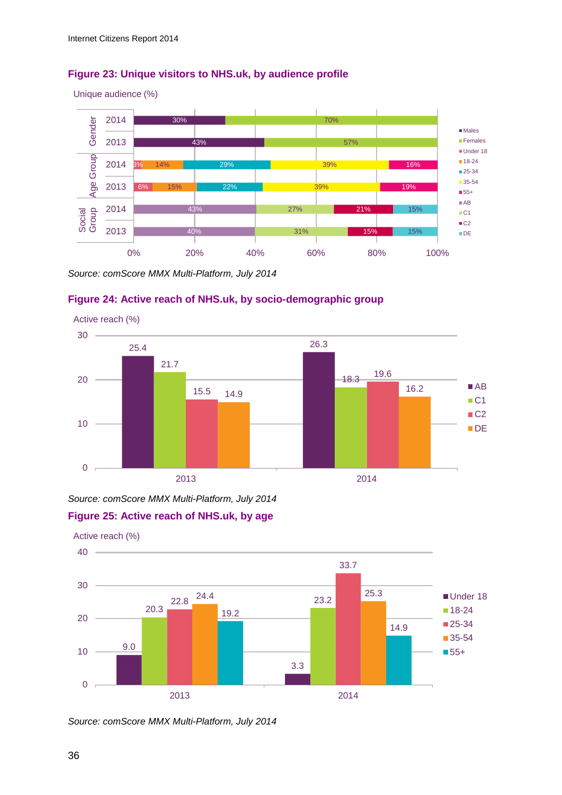#### <span id="page-38-0"></span>**Figure 23: Unique visitors to NHS.uk, by audience profile**



*Source: comScore MMX Multi-Platform, July 2014*

#### **Figure 24: Active reach of NHS.uk, by socio-demographic group**



*Source: comScore MMX Multi-Platform, July 2014*

#### **Figure 25: Active reach of NHS.uk, by age**

9.0 3.3 20.3 22.8 23.2 33.7 24.4  $23.3$ 19.2 14.9 0 10 20 30  $40 -$ 2013 2014 Under 18 ■18-24 ■25-34 ■ 35-54 ■55+ Active reach (%)

*Source: comScore MMX Multi-Platform, July 2014*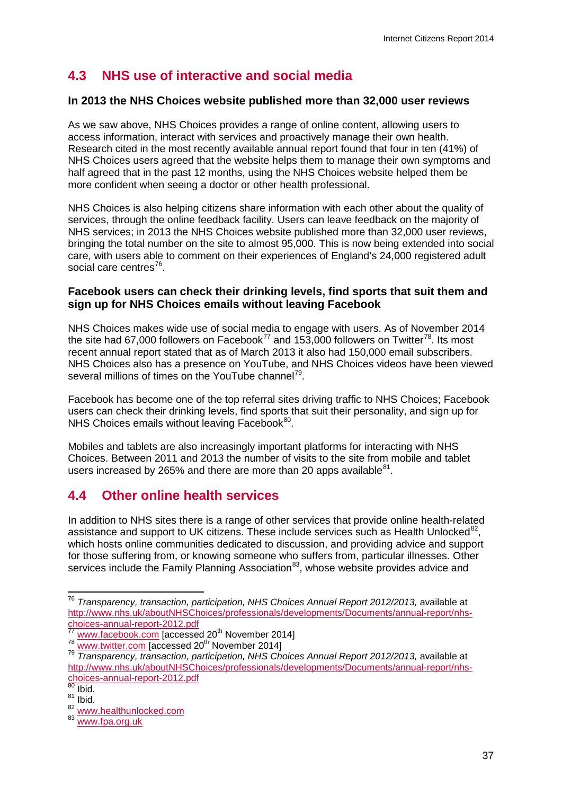# **4.3 NHS use of interactive and social media**

#### **In 2013 the NHS Choices website published more than 32,000 user reviews**

As we saw above, NHS Choices provides a range of online content, allowing users to access information, interact with services and proactively manage their own health. Research cited in the most recently available annual report found that four in ten (41%) of NHS Choices users agreed that the website helps them to manage their own symptoms and half agreed that in the past 12 months, using the NHS Choices website helped them be more confident when seeing a doctor or other health professional.

NHS Choices is also helping citizens share information with each other about the quality of services, through the online feedback facility. Users can leave feedback on the majority of NHS services; in 2013 the NHS Choices website published more than 32,000 user reviews, bringing the total number on the site to almost 95,000. This is now being extended into social care, with users able to comment on their experiences of England's 24,000 registered adult social care centres<sup>76</sup>.

#### **Facebook users can check their drinking levels, find sports that suit them and sign up for NHS Choices emails without leaving Facebook**

NHS Choices makes wide use of social media to engage with users. As of November 2014 the site had 67,000 followers on Facebook<sup>[77](#page-39-1)</sup> and 153,000 followers on Twitter<sup>[78](#page-39-2)</sup>. Its most recent annual report stated that as of March 2013 it also had 150,000 email subscribers. NHS Choices also has a presence on YouTube, and NHS Choices videos have been viewed several millions of times on the YouTube channel<sup>79</sup>.

Facebook has become one of the top referral sites driving traffic to NHS Choices; Facebook users can check their drinking levels, find sports that suit their personality, and sign up for NHS Choices emails without leaving Facebook<sup>[80](#page-39-4)</sup>.

Mobiles and tablets are also increasingly important platforms for interacting with NHS Choices. Between 2011 and 2013 the number of visits to the site from mobile and tablet users increased by 265% and there are more than 20 apps available  $81$ .

# **4.4 Other online health services**

In addition to NHS sites there is a range of other services that provide online health-related assistance and support to UK citizens. These include services such as Health Unlocked $^{82}$ , which hosts online communities dedicated to discussion, and providing advice and support for those suffering from, or knowing someone who suffers from, particular illnesses. Other services include the Family Planning Association<sup>[83](#page-39-7)</sup>, whose website provides advice and

<span id="page-39-3"></span>

 $\overline{a}$ 

<span id="page-39-0"></span><sup>&</sup>lt;sup>76</sup> Transparency, transaction, participation, NHS Choices Annual Report 2012/2013, available at http://www.nhs.uk/aboutNHSChoices/professionals/developments/Documents/annual-report/nhs-<br>choices-annual-report-2012.pdf<br>///www.facebook.com

<span id="page-39-2"></span><span id="page-39-1"></span><sup>77</sup> [www.facebook.com](http://www.facebook.com/) [accessed 20<sup>th</sup> November 2014]<br><sup>78</sup> [www.twitter.com](http://www.twitter.com/) [accessed 20<sup>th</sup> November 2014]<br><sup>79</sup> Transparency, transaction, participation, NHS Choices Annual Report 2012/2013, available at [http://www.nhs.uk/aboutNHSChoices/professionals/developments/Documents/annual-report/nhs](http://www.nhs.uk/aboutNHSChoices/professionals/developments/Documents/annual-report/nhs-choices-annual-report-2012.pdf)[choices-annual-report-2012.pdf](http://www.nhs.uk/aboutNHSChoices/professionals/developments/Documents/annual-report/nhs-choices-annual-report-2012.pdf)<br><sup>80</sup> Ibid.

<span id="page-39-5"></span><span id="page-39-4"></span> $\frac{81}{82}$  Ibid.

[www.healthunlocked.com](http://www.healthunlocked.com/)

<span id="page-39-7"></span><span id="page-39-6"></span><sup>83</sup> [www.fpa.org.uk](http://www.fpa.org.uk/)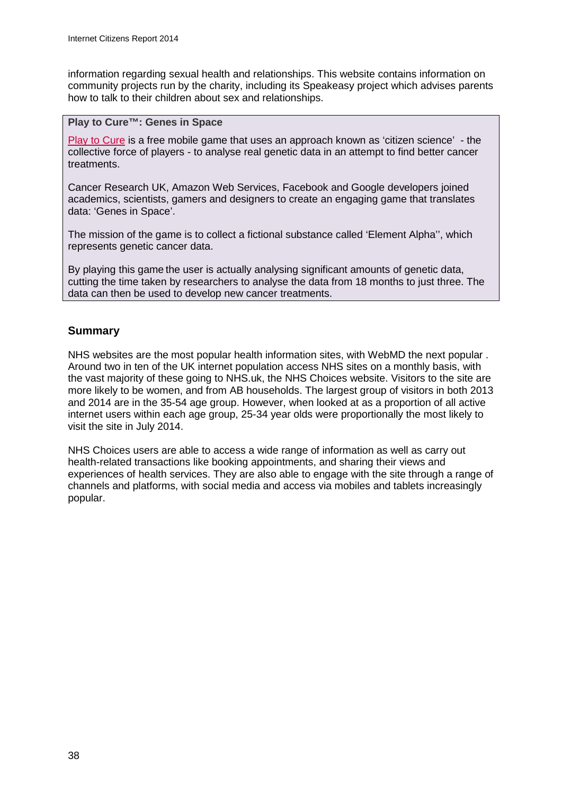information regarding sexual health and relationships. This website contains information on community projects run by the charity, including its Speakeasy project which advises parents how to talk to their children about sex and relationships.

#### **Play to Cure™: Genes in Space**

Play [to Cure](http://www.cancerresearchuk.org/support-us/play-to-cure-genes-in-space) is a free mobile game that uses an approach known as 'citizen science' - the collective force of players - to analyse real genetic data in an attempt to find better cancer treatments.

Cancer Research UK, Amazon Web Services, Facebook and Google developers joined academics, scientists, gamers and designers to create an engaging game that translates data: 'Genes in Space'.

The mission of the game is to collect a fictional substance called 'Element Alpha'', which represents genetic cancer data.

By playing this game the user is actually analysing significant amounts of genetic data, cutting the time taken by researchers to analyse the data from 18 months to just three. The data can then be used to develop new cancer treatments.

## **Summary**

NHS websites are the most popular health information sites, with WebMD the next popular . Around two in ten of the UK internet population access NHS sites on a monthly basis, with the vast majority of these going to NHS.uk, the NHS Choices website. Visitors to the site are more likely to be women, and from AB households. The largest group of visitors in both 2013 and 2014 are in the 35-54 age group. However, when looked at as a proportion of all active internet users within each age group, 25-34 year olds were proportionally the most likely to visit the site in July 2014.

NHS Choices users are able to access a wide range of information as well as carry out health-related transactions like booking appointments, and sharing their views and experiences of health services. They are also able to engage with the site through a range of channels and platforms, with social media and access via mobiles and tablets increasingly popular.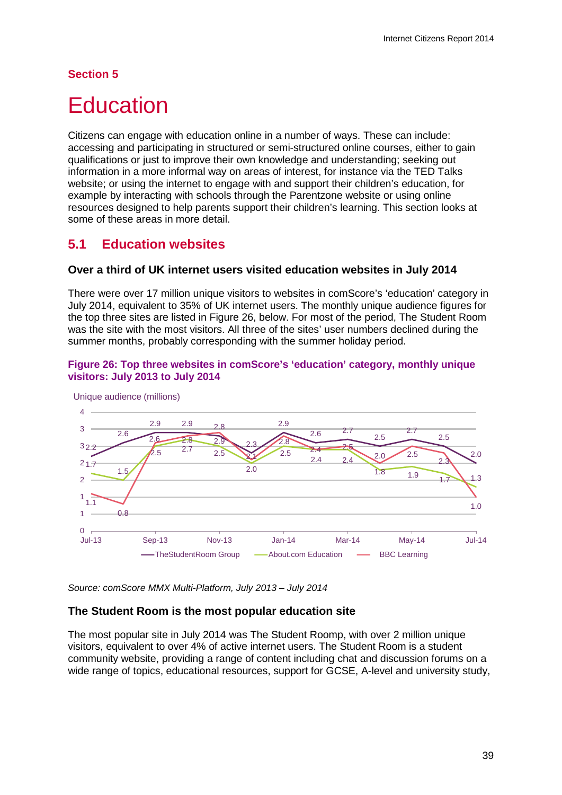## **Section 5**

# **Education**

Citizens can engage with education online in a number of ways. These can include: accessing and participating in structured or semi-structured online courses, either to gain qualifications or just to improve their own knowledge and understanding; seeking out information in a more informal way on areas of interest, for instance via the TED Talks website; or using the internet to engage with and support their children's education, for example by interacting with schools through the Parentzone website or using online resources designed to help parents support their children's learning. This section looks at some of these areas in more detail.

## **5.1 Education websites**

#### **Over a third of UK internet users visited education websites in July 2014**

There were over 17 million unique visitors to websites in comScore's 'education' category in July 2014, equivalent to 35% of UK internet users. The monthly unique audience figures for the top three sites are listed in Figure 26, below. For most of the period. The Student Room was the site with the most visitors. All three of the sites' user numbers declined during the summer months, probably corresponding with the summer holiday period.

#### **Figure 26: Top three websites in comScore's 'education' category, monthly unique visitors: July 2013 to July 2014**



*Source: comScore MMX Multi-Platform, July 2013 – July 2014*

#### **The Student Room is the most popular education site**

The most popular site in July 2014 was The Student Roomp, with over 2 million unique visitors, equivalent to over 4% of active internet users. The Student Room is a student community website, providing a range of content including chat and discussion forums on a wide range of topics, educational resources, support for GCSE, A-level and university study,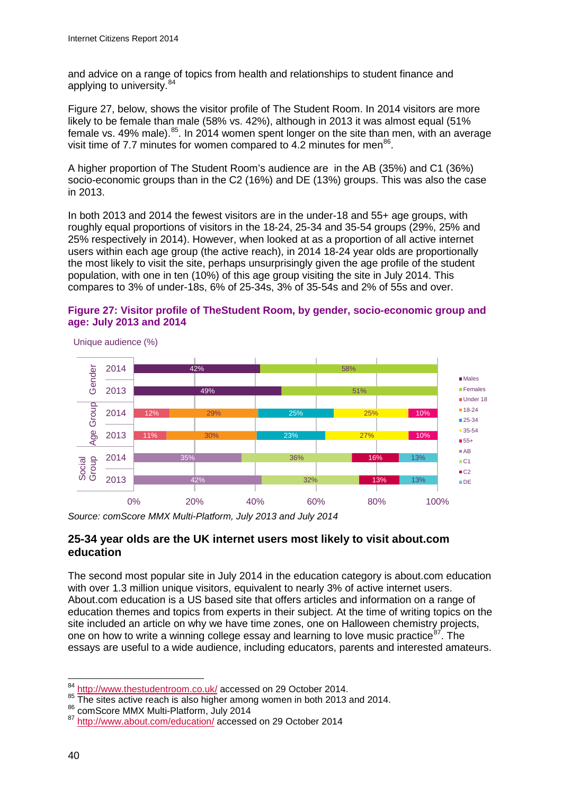and advice on a range of topics from health and relationships to student finance and applying to university.<sup>[84](#page-42-0)</sup>

Figure 27, below, shows the visitor profile of The Student Room. In 2014 visitors are more likely to be female than male (58% vs. 42%), although in 2013 it was almost equal (51% female vs. 49% male).<sup>[85](#page-42-1)</sup>. In 2014 women spent longer on the site than men, with an average visit time of 7.7 minutes for women compared to 4.2 minutes for men<sup>[86](#page-42-2)</sup>.

A higher proportion of The Student Room's audience are in the AB (35%) and C1 (36%) socio-economic groups than in the C2 (16%) and DE (13%) groups. This was also the case in 2013.

In both 2013 and 2014 the fewest visitors are in the under-18 and 55+ age groups, with roughly equal proportions of visitors in the 18-24, 25-34 and 35-54 groups (29%, 25% and 25% respectively in 2014). However, when looked at as a proportion of all active internet users within each age group (the active reach), in 2014 18-24 year olds are proportionally the most likely to visit the site, perhaps unsurprisingly given the age profile of the student population, with one in ten (10%) of this age group visiting the site in July 2014. This compares to 3% of under-18s, 6% of 25-34s, 3% of 35-54s and 2% of 55s and over.





Unique audience (%)

#### **25-34 year olds are the UK internet users most likely to visit about.com education**

The second most popular site in July 2014 in the education category is about.com education with over 1.3 million unique visitors, equivalent to nearly 3% of active internet users. About.com education is a US based site that offers articles and information on a range of education themes and topics from experts in their subject. At the time of writing topics on the site included an article on why we have time zones, one on Halloween chemistry projects, one on how to write a winning college essay and learning to love music practice  $87$ . The essays are useful to a wide audience, including educators, parents and interested amateurs.

*Source: comScore MMX Multi-Platform, July 2013 and July 2014*

<span id="page-42-0"></span><http://www.thestudentroom.co.uk/> accessed on 29 October 2014. 84

<span id="page-42-1"></span><sup>&</sup>lt;sup>85</sup> The sites active reach is also higher among women in both 2013 and 2014.<br><sup>86</sup> comScore MMX Multi-Platform, July 2014<br><sup>87</sup> <http://www.about.com/education/> accessed on 29 October 2014

<span id="page-42-2"></span>

<span id="page-42-3"></span>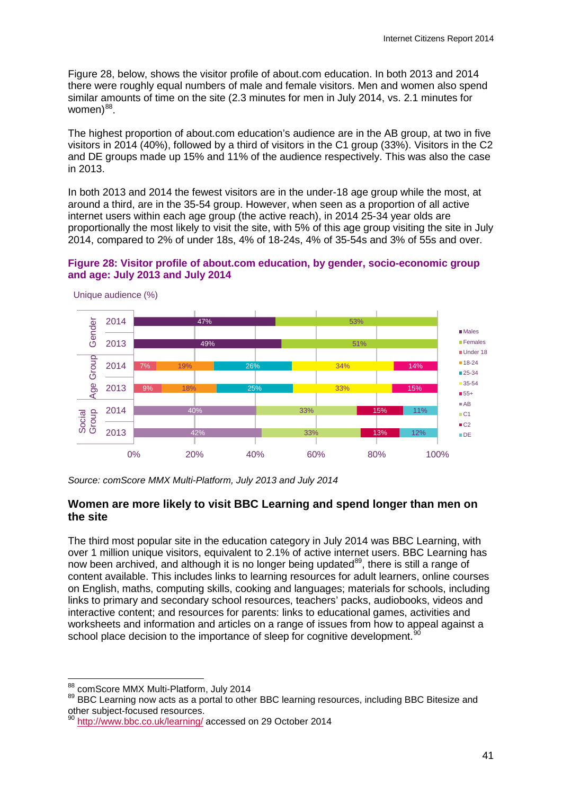Figure 28, below, shows the visitor profile of about.com education. In both 2013 and 2014 there were roughly equal numbers of male and female visitors. Men and women also spend similar amounts of time on the site (2.3 minutes for men in July 2014, vs. 2.1 minutes for women) $88$ .

The highest proportion of about.com education's audience are in the AB group, at two in five visitors in 2014 (40%), followed by a third of visitors in the C1 group (33%). Visitors in the C2 and DE groups made up 15% and 11% of the audience respectively. This was also the case in 2013.

In both 2013 and 2014 the fewest visitors are in the under-18 age group while the most, at around a third, are in the 35-54 group. However, when seen as a proportion of all active internet users within each age group (the active reach), in 2014 25-34 year olds are proportionally the most likely to visit the site, with 5% of this age group visiting the site in July 2014, compared to 2% of under 18s, 4% of 18-24s, 4% of 35-54s and 3% of 55s and over.

#### **Figure 28: Visitor profile of about.com education, by gender, socio-economic group and age: July 2013 and July 2014**



Unique audience (%)

*Source: comScore MMX Multi-Platform, July 2013 and July 2014*

#### **Women are more likely to visit BBC Learning and spend longer than men on the site**

The third most popular site in the education category in July 2014 was BBC Learning, with over 1 million unique visitors, equivalent to 2.1% of active internet users. BBC Learning has now been archived, and although it is no longer being updated<sup>89</sup>, there is still a range of content available. This includes links to learning resources for adult learners, online courses on English, maths, computing skills, cooking and languages; materials for schools, including links to primary and secondary school resources, teachers' packs, audiobooks, videos and interactive content; and resources for parents: links to educational games, activities and worksheets and information and articles on a range of issues from how to appeal against a school place decision to the importance of sleep for cognitive development.<sup>9</sup>

<sup>88</sup> comScore MMX Multi-Platform, July 2014

<span id="page-43-1"></span><span id="page-43-0"></span><sup>89</sup> BBC Learning now acts as a portal to other BBC learning resources, including BBC Bitesize and other subject-focused resources.

<span id="page-43-2"></span><http://www.bbc.co.uk/learning/> accessed on 29 October 2014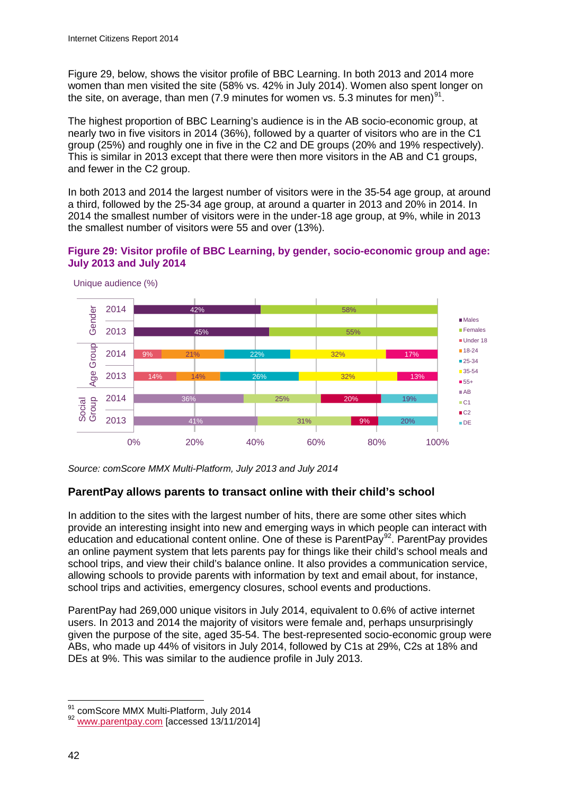Figure 29, below, shows the visitor profile of BBC Learning. In both 2013 and 2014 more women than men visited the site (58% vs. 42% in July 2014). Women also spent longer on the site, on average, than men (7.9 minutes for women vs. 5.3 minutes for men)<sup>[91](#page-44-0)</sup>.

The highest proportion of BBC Learning's audience is in the AB socio-economic group, at nearly two in five visitors in 2014 (36%), followed by a quarter of visitors who are in the C1 group (25%) and roughly one in five in the C2 and DE groups (20% and 19% respectively). This is similar in 2013 except that there were then more visitors in the AB and C1 groups, and fewer in the C2 group.

In both 2013 and 2014 the largest number of visitors were in the 35-54 age group, at around a third, followed by the 25-34 age group, at around a quarter in 2013 and 20% in 2014. In 2014 the smallest number of visitors were in the under-18 age group, at 9%, while in 2013 the smallest number of visitors were 55 and over (13%).

#### **Figure 29: Visitor profile of BBC Learning, by gender, socio-economic group and age: July 2013 and July 2014**



Unique audience (%)

*Source: comScore MMX Multi-Platform, July 2013 and July 2014*

## **ParentPay allows parents to transact online with their child's school**

In addition to the sites with the largest number of hits, there are some other sites which provide an interesting insight into new and emerging ways in which people can interact with education and educational content online. One of these is ParentPay<sup>92</sup>. ParentPay provides an online payment system that lets parents pay for things like their child's school meals and school trips, and view their child's balance online. It also provides a communication service, allowing schools to provide parents with information by text and email about, for instance, school trips and activities, emergency closures, school events and productions.

ParentPay had 269,000 unique visitors in July 2014, equivalent to 0.6% of active internet users. In 2013 and 2014 the majority of visitors were female and, perhaps unsurprisingly given the purpose of the site, aged 35-54. The best-represented socio-economic group were ABs, who made up 44% of visitors in July 2014, followed by C1s at 29%, C2s at 18% and DEs at 9%. This was similar to the audience profile in July 2013.

<span id="page-44-0"></span> $\frac{91}{92}$  comScore MMX Multi-Platform, July 2014<br> $\frac{92}{92}$  [www.parentpay.com](http://www.parentpay.com/) [accessed 13/11/2014] 91

<span id="page-44-1"></span>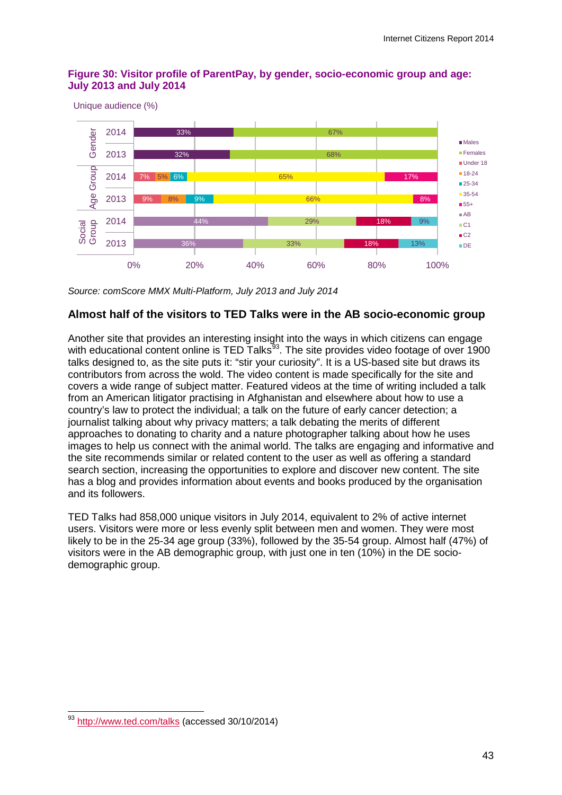#### **Figure 30: Visitor profile of ParentPay, by gender, socio-economic group and age: July 2013 and July 2014**

Unique audience (%)



*Source: comScore MMX Multi-Platform, July 2013 and July 2014*

#### **Almost half of the visitors to TED Talks were in the AB socio-economic group**

Another site that provides an interesting insight into the ways in which citizens can engage with educational content online is TED Talks<sup>[93](#page-45-0)</sup>. The site provides video footage of over 1900 talks designed to, as the site puts it: "stir your curiosity". It is a US-based site but draws its contributors from across the wold. The video content is made specifically for the site and covers a wide range of subject matter. Featured videos at the time of writing included a talk from an American litigator practising in Afghanistan and elsewhere about how to use a country's law to protect the individual; a talk on the future of early cancer detection; a journalist talking about why privacy matters; a talk debating the merits of different approaches to donating to charity and a nature photographer talking about how he uses images to help us connect with the animal world. The talks are engaging and informative and the site recommends similar or related content to the user as well as offering a standard search section, increasing the opportunities to explore and discover new content. The site has a blog and provides information about events and books produced by the organisation and its followers.

TED Talks had 858,000 unique visitors in July 2014, equivalent to 2% of active internet users. Visitors were more or less evenly split between men and women. They were most likely to be in the 25-34 age group (33%), followed by the 35-54 group. Almost half (47%) of visitors were in the AB demographic group, with just one in ten (10%) in the DE sociodemographic group.

<span id="page-45-0"></span><sup>&</sup>lt;sup>93</sup> <http://www.ted.com/talks> (accessed 30/10/2014)  $\overline{a}$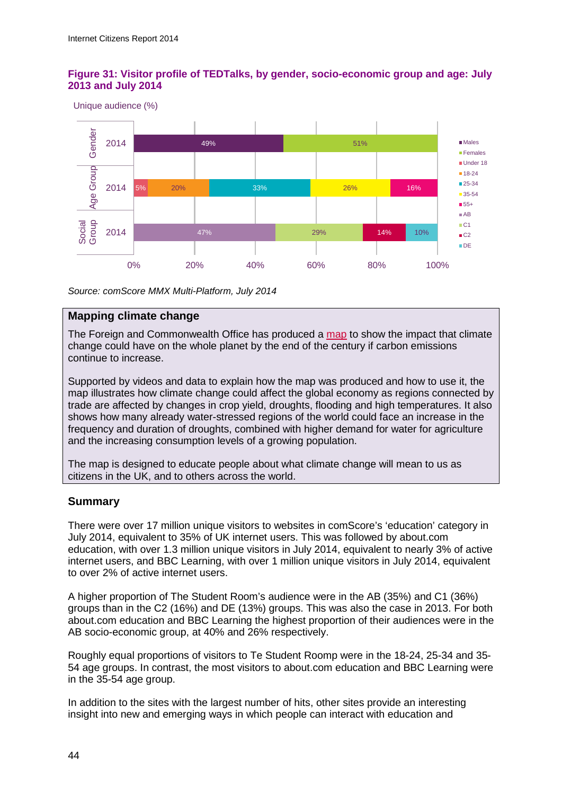#### **Figure 31: Visitor profile of TEDTalks, by gender, socio-economic group and age: July 2013 and July 2014**

Unique audience (%)



*Source: comScore MMX Multi-Platform, July 2014*

#### **Mapping climate change**

The Foreign and Commonwealth Office has produced a [map](http://www.metoffice.gov.uk/climate-guide/climate-change/impacts/human-dynamics) to show the impact that climate change could have on the whole planet by the end of the century if carbon emissions continue to increase.

Supported by videos and data to explain how the map was produced and how to use it, the map illustrates how climate change could affect the global economy as regions connected by trade are affected by changes in crop yield, droughts, flooding and high temperatures. It also shows how many already water-stressed regions of the world could face an increase in the frequency and duration of droughts, combined with higher demand for water for agriculture and the increasing consumption levels of a growing population.

The map is designed to educate people about what climate change will mean to us as citizens in the UK, and to others across the world.

#### **Summary**

There were over 17 million unique visitors to websites in comScore's 'education' category in July 2014, equivalent to 35% of UK internet users. This was followed by about.com education, with over 1.3 million unique visitors in July 2014, equivalent to nearly 3% of active internet users, and BBC Learning, with over 1 million unique visitors in July 2014, equivalent to over 2% of active internet users.

A higher proportion of The Student Room's audience were in the AB (35%) and C1 (36%) groups than in the C2 (16%) and DE (13%) groups. This was also the case in 2013. For both about.com education and BBC Learning the highest proportion of their audiences were in the AB socio-economic group, at 40% and 26% respectively.

Roughly equal proportions of visitors to Te Student Roomp were in the 18-24, 25-34 and 35- 54 age groups. In contrast, the most visitors to about.com education and BBC Learning were in the 35-54 age group.

In addition to the sites with the largest number of hits, other sites provide an interesting insight into new and emerging ways in which people can interact with education and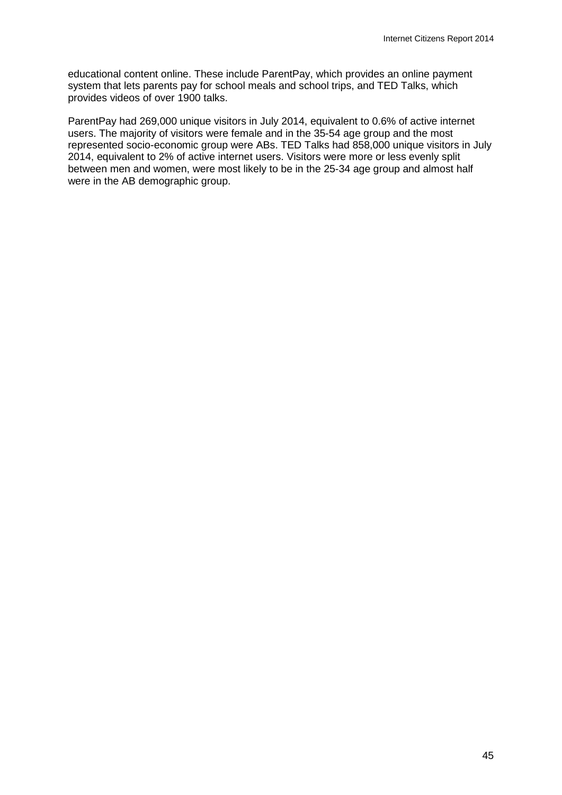educational content online. These include ParentPay, which provides an online payment system that lets parents pay for school meals and school trips, and TED Talks, which provides videos of over 1900 talks.

ParentPay had 269,000 unique visitors in July 2014, equivalent to 0.6% of active internet users. The majority of visitors were female and in the 35-54 age group and the most represented socio-economic group were ABs. TED Talks had 858,000 unique visitors in July 2014, equivalent to 2% of active internet users. Visitors were more or less evenly split between men and women, were most likely to be in the 25-34 age group and almost half were in the AB demographic group.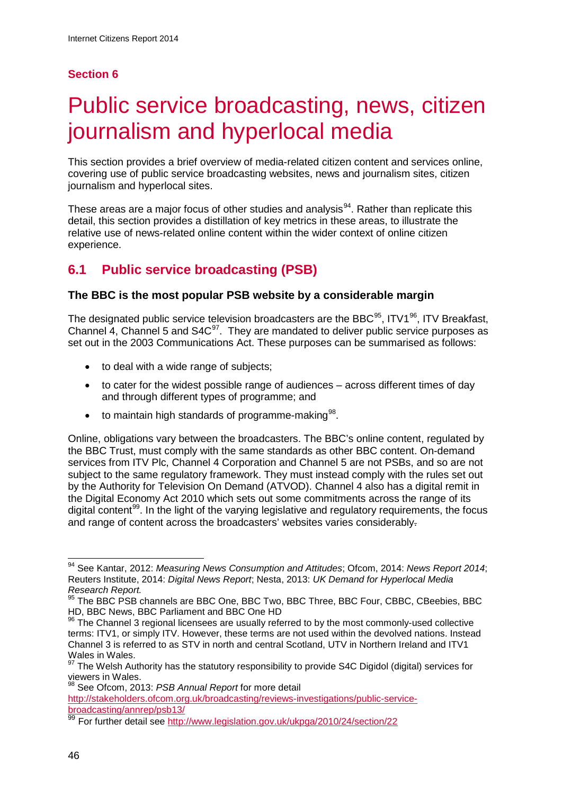## **Section 6**

# Public service broadcasting, news, citizen journalism and hyperlocal media

This section provides a brief overview of media-related citizen content and services online, covering use of public service broadcasting websites, news and journalism sites, citizen journalism and hyperlocal sites.

These areas are a major focus of other studies and analysis<sup>94</sup>. Rather than replicate this detail, this section provides a distillation of key metrics in these areas, to illustrate the relative use of news-related online content within the wider context of online citizen experience.

# **6.1 Public service broadcasting (PSB)**

## **The BBC is the most popular PSB website by a considerable margin**

The designated public service television broadcasters are the BBC $95$ , ITV $196$ , ITV Breakfast, Channel 4, Channel 5 and  $S4C^{97}$  $S4C^{97}$  $S4C^{97}$ . They are mandated to deliver public service purposes as set out in the 2003 Communications Act. These purposes can be summarised as follows:

- to deal with a wide range of subjects;
- to cater for the widest possible range of audiences across different times of day and through different types of programme; and
- $\bullet$  to maintain high standards of programme-making  $98$ .

Online, obligations vary between the broadcasters. The BBC's online content, regulated by the BBC Trust, must comply with the same standards as other BBC content. On-demand services from ITV Plc, Channel 4 Corporation and Channel 5 are not PSBs, and so are not subject to the same regulatory framework. They must instead comply with the rules set out by the Authority for Television On Demand (ATVOD). Channel 4 also has a digital remit in the Digital Economy Act 2010 which sets out some commitments across the range of its digital content<sup>[99](#page-48-5)</sup>. In the light of the varying legislative and regulatory requirements, the focus and range of content across the broadcasters' websites varies considerably.

<span id="page-48-0"></span><sup>94</sup> See Kantar, 2012: *Measuring News Consumption and Attitudes*; Ofcom, 2014: *News Report 2014*; Reuters Institute, 2014: *Digital News Report*; Nesta, 2013: *UK Demand for Hyperlocal Media Research Report.*  $\overline{a}$ 

<span id="page-48-1"></span><sup>&</sup>lt;sup>95</sup> The BBC PSB channels are BBC One, BBC Two, BBC Three, BBC Four, CBBC, CBeebies, BBC HD, BBC News, BBC Parliament and BBC One HD

<span id="page-48-2"></span><sup>96</sup> The Channel 3 regional licensees are usually referred to by the most commonly-used collective terms: ITV1, or simply ITV. However, these terms are not used within the devolved nations. Instead Channel 3 is referred to as STV in north and central Scotland, UTV in Northern Ireland and ITV1 Wales in Wales.

<span id="page-48-3"></span><sup>97</sup> The Welsh Authority has the statutory responsibility to provide S4C Digidol (digital) services for viewers in Wales.

<sup>98</sup> See Ofcom, 2013: *PSB Annual Report* for more detail

<span id="page-48-4"></span>[http://stakeholders.ofcom.org.uk/broadcasting/reviews-investigations/public-service](http://stakeholders.ofcom.org.uk/broadcasting/reviews-investigations/public-service-broadcasting/annrep/psb13/)[broadcasting/annrep/psb13/](http://stakeholders.ofcom.org.uk/broadcasting/reviews-investigations/public-service-broadcasting/annrep/psb13/)

<span id="page-48-5"></span><sup>99</sup> For further detail see <http://www.legislation.gov.uk/ukpga/2010/24/section/22>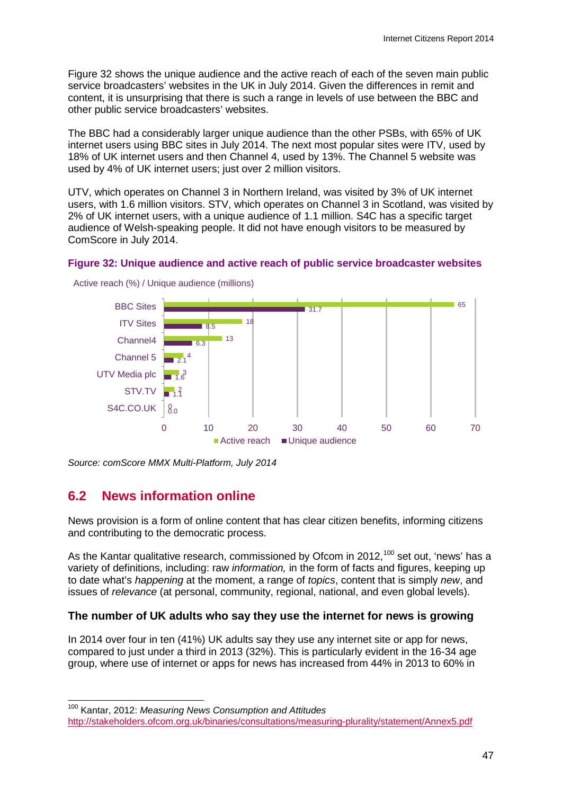[Figure 32](#page-49-0) shows the unique audience and the active reach of each of the seven main public service broadcasters' websites in the UK in July 2014. Given the differences in remit and content, it is unsurprising that there is such a range in levels of use between the BBC and other public service broadcasters' websites.

The BBC had a considerably larger unique audience than the other PSBs, with 65% of UK internet users using BBC sites in July 2014. The next most popular sites were ITV, used by 18% of UK internet users and then Channel 4, used by 13%. The Channel 5 website was used by 4% of UK internet users; just over 2 million visitors.

UTV, which operates on Channel 3 in Northern Ireland, was visited by 3% of UK internet users, with 1.6 million visitors. STV, which operates on Channel 3 in Scotland, was visited by 2% of UK internet users, with a unique audience of 1.1 million. S4C has a specific target audience of Welsh-speaking people. It did not have enough visitors to be measured by ComScore in July 2014.

#### <span id="page-49-0"></span>**Figure 32: Unique audience and active reach of public service broadcaster websites**



Active reach (%) / Unique audience (millions)

# **6.2 News information online**

News provision is a form of online content that has clear citizen benefits, informing citizens and contributing to the democratic process.

As the Kantar qualitative research, commissioned by Ofcom in 2012,<sup>[100](#page-49-1)</sup> set out, 'news' has a variety of definitions, including: raw *information,* in the form of facts and figures, keeping up to date what's *happening* at the moment, a range of *topics*, content that is simply *new*, and issues of *relevance* (at personal, community, regional, national, and even global levels).

#### **The number of UK adults who say they use the internet for news is growing**

In 2014 over four in ten (41%) UK adults say they use any internet site or app for news, compared to just under a third in 2013 (32%). This is particularly evident in the 16-34 age group, where use of internet or apps for news has increased from 44% in 2013 to 60% in

<sup>100</sup> Kantar, 2012: *Measuring News Consumption and Attitudes*  $\overline{a}$ 

*Source: comScore MMX Multi-Platform, July 2014*

<span id="page-49-1"></span><http://stakeholders.ofcom.org.uk/binaries/consultations/measuring-plurality/statement/Annex5.pdf>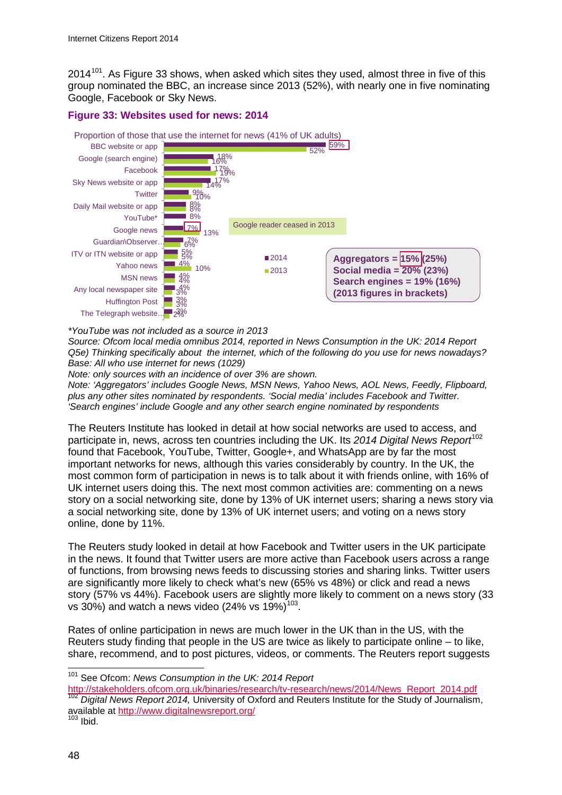$2014^{101}$  $2014^{101}$  $2014^{101}$ . As [Figure 33](#page-50-0) shows, when asked which sites they used, almost three in five of this group nominated the BBC, an increase since 2013 (52%), with nearly one in five nominating Google, Facebook or Sky News.

#### <span id="page-50-0"></span>**Figure 33: Websites used for news: 2014**



*\*YouTube was not included as a source in 2013*

*Source: Ofcom local media omnibus 2014, reported in News Consumption in the UK: 2014 Report Q5e) Thinking specifically about the internet, which of the following do you use for news nowadays? Base: All who use internet for news (1029)* 

*Note: only sources with an incidence of over 3% are shown.* 

*Note: 'Aggregators' includes Google News, MSN News, Yahoo News, AOL News, Feedly, Flipboard, plus any other sites nominated by respondents. 'Social media' includes Facebook and Twitter. 'Search engines' include Google and any other search engine nominated by respondents* 

The Reuters Institute has looked in detail at how social networks are used to access, and participate in, news, across ten countries including the UK. Its 2014 Digital News Report<sup>[102](#page-50-2)</sup> found that Facebook, YouTube, Twitter, Google+, and WhatsApp are by far the most important networks for news, although this varies considerably by country. In the UK, the most common form of participation in news is to talk about it with friends online, with 16% of UK internet users doing this. The next most common activities are: commenting on a news story on a social networking site, done by 13% of UK internet users; sharing a news story via a social networking site, done by 13% of UK internet users; and voting on a news story online, done by 11%.

The Reuters study looked in detail at how Facebook and Twitter users in the UK participate in the news. It found that Twitter users are more active than Facebook users across a range of functions, from browsing news feeds to discussing stories and sharing links. Twitter users are significantly more likely to check what's new (65% vs 48%) or click and read a news story (57% vs 44%). Facebook users are slightly more likely to comment on a news story (33 vs 30%) and watch a news video (24% vs  $19\%$ )<sup>103</sup>.

Rates of online participation in news are much lower in the UK than in the US, with the Reuters study finding that people in the US are twice as likely to participate online – to like, share, recommend, and to post pictures, videos, or comments. The Reuters report suggests

<sup>101</sup> See Ofcom: *News Consumption in the UK: 2014 Report*  $\overline{a}$ 

<span id="page-50-2"></span><span id="page-50-1"></span>[http://stakeholders.ofcom.org.uk/binaries/research/tv-research/news/2014/News\\_Report\\_2014.pdf](http://stakeholders.ofcom.org.uk/binaries/research/tv-research/news/2014/News_Report_2014.pdf) <sup>102</sup> *Digital News Report 2014,* University of Oxford and Reuters Institute for the Study of Journalism, available at<http://www.digitalnewsreport.org/> <sup>103</sup> Ibid.

<span id="page-50-3"></span>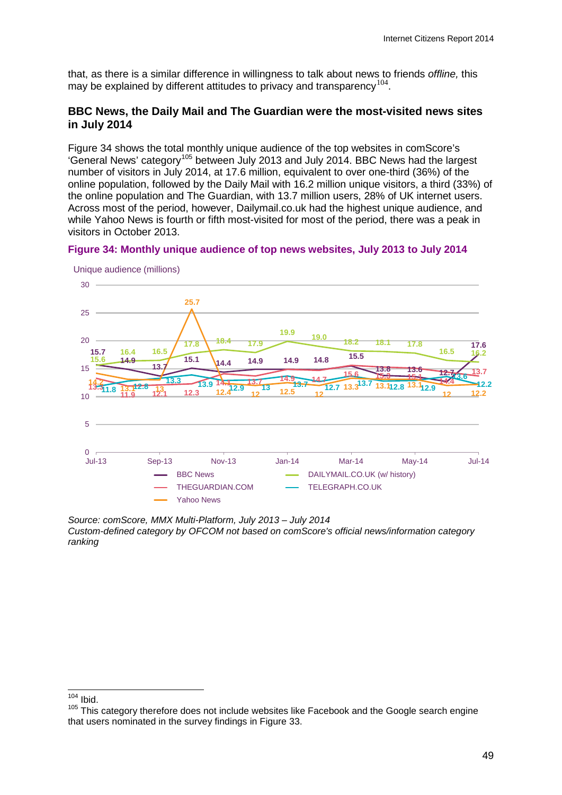that, as there is a similar difference in willingness to talk about news to friends *offline,* this may be explained by different attitudes to privacy and transparency  $104$ .

#### **BBC News, the Daily Mail and The Guardian were the most-visited news sites in July 2014**

[Figure 34](#page-51-0) shows the total monthly unique audience of the top websites in comScore's 'General News' category[105](#page-51-2) between July 2013 and July 2014. BBC News had the largest number of visitors in July 2014, at 17.6 million, equivalent to over one-third (36%) of the online population, followed by the Daily Mail with 16.2 million unique visitors, a third (33%) of the online population and The Guardian, with 13.7 million users, 28% of UK internet users. Across most of the period, however, Dailymail.co.uk had the highest unique audience, and while Yahoo News is fourth or fifth most-visited for most of the period, there was a peak in visitors in October 2013.

<span id="page-51-0"></span>



Unique audience (millions)

*Source: comScore, MMX Multi-Platform, July 2013 – July 2014 Custom-defined category by OFCOM not based on comScore's official news/information category ranking*

Ibid.  $104$ 

<span id="page-51-2"></span><span id="page-51-1"></span><sup>&</sup>lt;sup>105</sup> This category therefore does not include websites like Facebook and the Google search engine that users nominated in the survey findings in [Figure 33.](#page-50-0)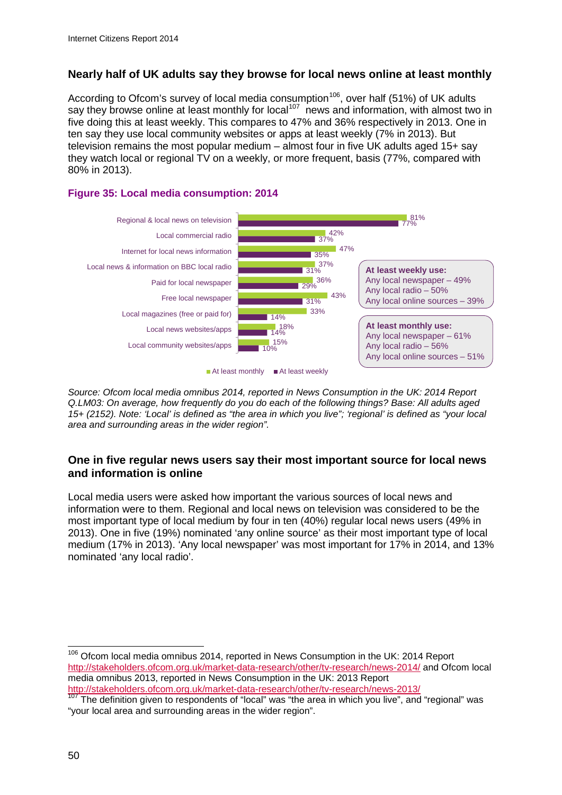## **Nearly half of UK adults say they browse for local news online at least monthly**

According to Ofcom's survey of local media consumption<sup>[106](#page-52-0)</sup>, over half (51%) of UK adults say they browse online at least monthly for local<sup>107</sup> news and information, with almost two in five doing this at least weekly. This compares to 47% and 36% respectively in 2013. One in ten say they use local community websites or apps at least weekly (7% in 2013). But television remains the most popular medium  $-$  almost four in five UK adults aged 15+ say they watch local or regional TV on a weekly, or more frequent, basis (77%, compared with 80% in 2013).

### **Figure 35: Local media consumption: 2014**



*Source: Ofcom local media omnibus 2014, reported in News Consumption in the UK: 2014 Report Q.LM03: On average, how frequently do you do each of the following things? Base: All adults aged 15+ (2152). Note: 'Local' is defined as "the area in which you live"; 'regional' is defined as "your local area and surrounding areas in the wider region".* 

#### **One in five regular news users say their most important source for local news and information is online**

Local media users were asked how important the various sources of local news and information were to them. Regional and local news on television was considered to be the most important type of local medium by four in ten (40%) regular local news users (49% in 2013). One in five (19%) nominated 'any online source' as their most important type of local medium (17% in 2013). 'Any local newspaper' was most important for 17% in 2014, and 13% nominated 'any local radio'.

<span id="page-52-0"></span><sup>106</sup> Ofcom local media omnibus 2014, reported in News Consumption in the UK: 2014 Report <http://stakeholders.ofcom.org.uk/market-data-research/other/tv-research/news-2014/> and Ofcom local media omnibus 2013, reported in News Consumption in the UK: 2013 Report <http://stakeholders.ofcom.org.uk/market-data-research/other/tv-research/news-2013/>  $\overline{a}$ 

<span id="page-52-1"></span>The definition given to respondents of "local" was "the area in which you live", and "regional" was "your local area and surrounding areas in the wider region".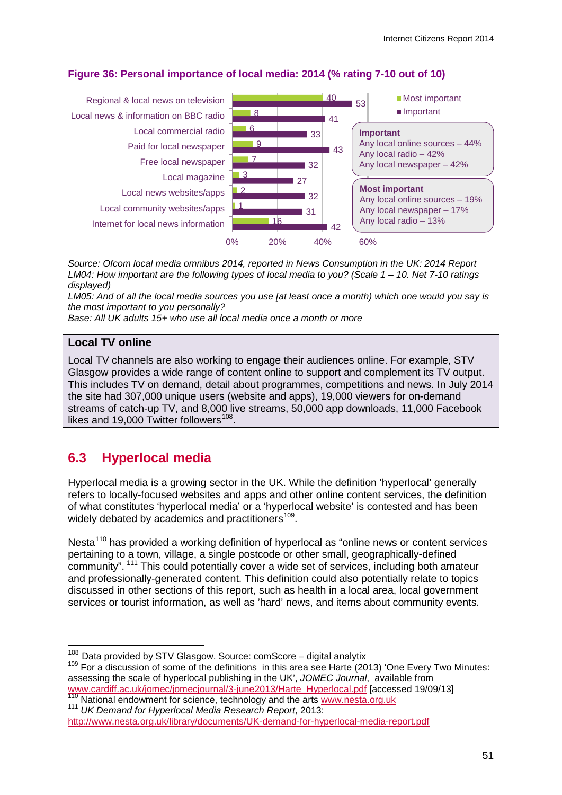

## **Figure 36: Personal importance of local media: 2014 (% rating 7-10 out of 10)**

*Source: Ofcom local media omnibus 2014, reported in News Consumption in the UK: 2014 Report LM04: How important are the following types of local media to you? (Scale 1 – 10. Net 7-10 ratings displayed)*

*LM05: And of all the local media sources you use [at least once a month) which one would you say is the most important to you personally?* 

*Base: All UK adults 15+ who use all local media once a month or more*

#### **Local TV online**

Local TV channels are also working to engage their audiences online. For example, STV Glasgow provides a wide range of content online to support and complement its TV output. This includes TV on demand, detail about programmes, competitions and news. In July 2014 the site had 307,000 unique users (website and apps), 19,000 viewers for on-demand streams of catch-up TV, and 8,000 live streams, 50,000 app downloads, 11,000 Facebook likes and 19,000 Twitter followers<sup>108</sup>.

# **6.3 Hyperlocal media**

Hyperlocal media is a growing sector in the UK. While the definition 'hyperlocal' generally refers to locally-focused websites and apps and other online content services, the definition of what constitutes 'hyperlocal media' or a 'hyperlocal website' is contested and has been widely debated by academics and practitioners<sup>[109](#page-53-1)</sup>.

Nesta<sup>[110](#page-53-2)</sup> has provided a working definition of hyperlocal as "online news or content services pertaining to a town, village, a single postcode or other small, geographically-defined community". [111](#page-53-3) This could potentially cover a wide set of services, including both amateur and professionally-generated content. This definition could also potentially relate to topics discussed in other sections of this report, such as health in a local area, local government services or tourist information, as well as 'hard' news, and items about community events.

<span id="page-53-2"></span>

<sup>&</sup>lt;sup>108</sup> Data provided by STV Glasgow. Source: comScore - digital analytix

<span id="page-53-1"></span><span id="page-53-0"></span> $109$  For a discussion of some of the definitions in this area see Harte (2013) 'One Every Two Minutes: assessing the scale of hyperlocal publishing in the UK', *JOMEC Journal*, available from [www.cardiff.ac.uk/jomec/jomecjournal/3-june2013/Harte\\_Hyperlocal.pdf](http://www.cardiff.ac.uk/jomec/jomecjournal/3-june2013/Harte_Hyperlocal.pdf) [accessed 19/09/13]<br><sup>110</sup> National endowment for science, technology and the arts [www.nesta.org.uk](http://www.nesta.org.uk/)<br><sup>111</sup> UK Demand for Hyperlocal Media Research Report,

<span id="page-53-3"></span><http://www.nesta.org.uk/library/documents/UK-demand-for-hyperlocal-media-report.pdf>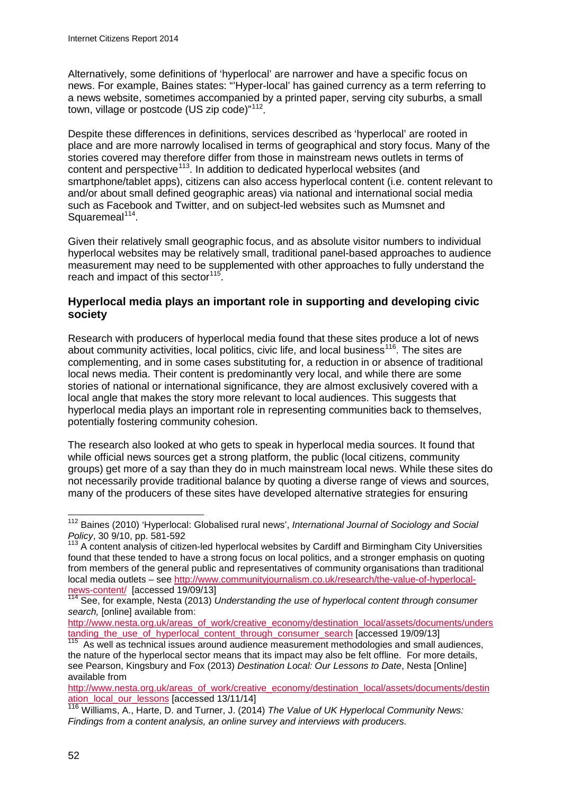Alternatively, some definitions of 'hyperlocal' are narrower and have a specific focus on news. For example, Baines states: "'Hyper-local' has gained currency as a term referring to a news website, sometimes accompanied by a printed paper, serving city suburbs, a small town, village or postcode (US zip code)"<sup>112</sup>.

Despite these differences in definitions, services described as 'hyperlocal' are rooted in place and are more narrowly localised in terms of geographical and story focus. Many of the stories covered may therefore differ from those in mainstream news outlets in terms of content and perspective<sup>113</sup>. In addition to dedicated hyperlocal websites (and smartphone/tablet apps), citizens can also access hyperlocal content (i.e. content relevant to and/or about small defined geographic areas) via national and international social media such as Facebook and Twitter, and on subject-led websites such as Mumsnet and Squaremeal $114$ .

Given their relatively small geographic focus, and as absolute visitor numbers to individual hyperlocal websites may be relatively small, traditional panel-based approaches to audience measurement may need to be supplemented with other approaches to fully understand the reach and impact of this sector  $115$ .

### **Hyperlocal media plays an important role in supporting and developing civic society**

Research with producers of hyperlocal media found that these sites produce a lot of news about community activities, local politics, civic life, and local business<sup>116</sup>. The sites are complementing, and in some cases substituting for, a reduction in or absence of traditional local news media. Their content is predominantly very local, and while there are some stories of national or international significance, they are almost exclusively covered with a local angle that makes the story more relevant to local audiences. This suggests that hyperlocal media plays an important role in representing communities back to themselves, potentially fostering community cohesion.

The research also looked at who gets to speak in hyperlocal media sources. It found that while official news sources get a strong platform, the public (local citizens, community groups) get more of a say than they do in much mainstream local news. While these sites do not necessarily provide traditional balance by quoting a diverse range of views and sources, many of the producers of these sites have developed alternative strategies for ensuring

<span id="page-54-0"></span><sup>112</sup> Baines (2010) 'Hyperlocal: Globalised rural news', *International Journal of Sociology and Social Policy*, 30 9/10, pp. 581-592  $\overline{a}$ 

<span id="page-54-1"></span><sup>113</sup> A content analysis of citizen-led hyperlocal websites by Cardiff and Birmingham City Universities found that these tended to have a strong focus on local politics, and a stronger emphasis on quoting from members of the general public and representatives of community organisations than traditional local media outlets – see [http://www.communityjournalism.co.uk/research/the-value-of-hyperlocal-](http://www.communityjournalism.co.uk/research/the-value-of-hyperlocal-news-content/)

<span id="page-54-2"></span>[news-content/](http://www.communityjournalism.co.uk/research/the-value-of-hyperlocal-news-content/) [accessed 19/09/13]<br><sup>114</sup> See, for example, Nesta (2013) *Understanding the use of hyperlocal content through consumer search,* [online] available from:

[http://www.nesta.org.uk/areas\\_of\\_work/creative\\_economy/destination\\_local/assets/documents/unders](http://www.nesta.org.uk/areas_of_work/creative_economy/destination_local/assets/documents/understanding_the_use_of_hyperlocal_content_through_consumer_search) [tanding\\_the\\_use\\_of\\_hyperlocal\\_content\\_through\\_consumer\\_search](http://www.nesta.org.uk/areas_of_work/creative_economy/destination_local/assets/documents/understanding_the_use_of_hyperlocal_content_through_consumer_search) [accessed 19/09/13]<br><sup>115</sup> As well as technical issues around audience measurement methodologies and small audiences,

<span id="page-54-3"></span>the nature of the hyperlocal sector means that its impact may also be felt offline. For more details, see Pearson, Kingsbury and Fox (2013) *Destination Local: Our Lessons to Date*, Nesta [Online] available from

[http://www.nesta.org.uk/areas\\_of\\_work/creative\\_economy/destination\\_local/assets/documents/destin](http://www.nesta.org.uk/areas_of_work/creative_economy/destination_local/assets/documents/destination_local_our_lessons) [ation\\_local\\_our\\_lessons](http://www.nesta.org.uk/areas_of_work/creative_economy/destination_local/assets/documents/destination_local_our_lessons) [accessed 13/11/14]

<span id="page-54-4"></span><sup>116</sup> Williams, A., Harte, D. and Turner, J. (2014) *The Value of UK Hyperlocal Community News: Findings from a content analysis, an online survey and interviews with producers.*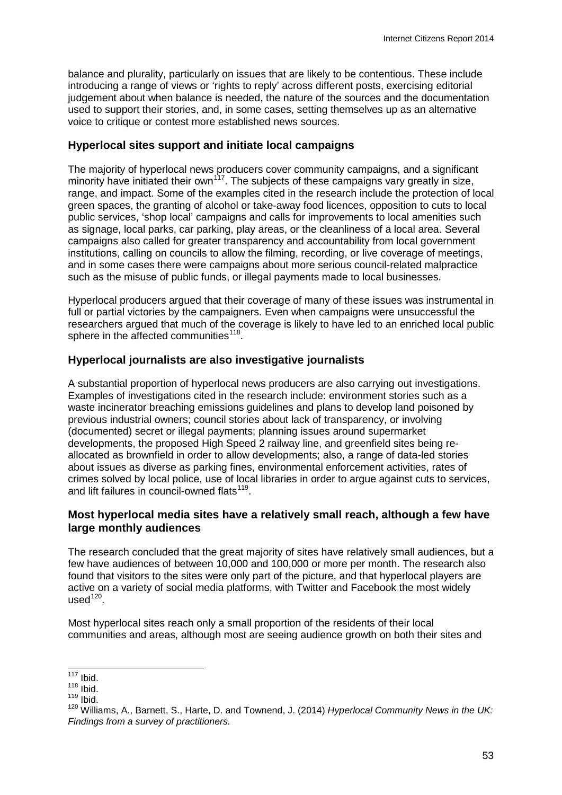balance and plurality, particularly on issues that are likely to be contentious. These include introducing a range of views or 'rights to reply' across different posts, exercising editorial judgement about when balance is needed, the nature of the sources and the documentation used to support their stories, and, in some cases, setting themselves up as an alternative voice to critique or contest more established news sources.

#### **Hyperlocal sites support and initiate local campaigns**

The majority of hyperlocal news producers cover community campaigns, and a significant minority have initiated their own<sup>[117](#page-55-0)</sup>. The subjects of these campaigns vary greatly in size, range, and impact. Some of the examples cited in the research include the protection of local green spaces, the granting of alcohol or take-away food licences, opposition to cuts to local public services, 'shop local' campaigns and calls for improvements to local amenities such as signage, local parks, car parking, play areas, or the cleanliness of a local area. Several campaigns also called for greater transparency and accountability from local government institutions, calling on councils to allow the filming, recording, or live coverage of meetings, and in some cases there were campaigns about more serious council-related malpractice such as the misuse of public funds, or illegal payments made to local businesses.

Hyperlocal producers argued that their coverage of many of these issues was instrumental in full or partial victories by the campaigners. Even when campaigns were unsuccessful the researchers argued that much of the coverage is likely to have led to an enriched local public sphere in the affected communities<sup>118</sup>.

#### **Hyperlocal journalists are also investigative journalists**

A substantial proportion of hyperlocal news producers are also carrying out investigations. Examples of investigations cited in the research include: environment stories such as a waste incinerator breaching emissions guidelines and plans to develop land poisoned by previous industrial owners; council stories about lack of transparency, or involving (documented) secret or illegal payments; planning issues around supermarket developments, the proposed High Speed 2 railway line, and greenfield sites being reallocated as brownfield in order to allow developments; also, a range of data-led stories about issues as diverse as parking fines, environmental enforcement activities, rates of crimes solved by local police, use of local libraries in order to argue against cuts to services, and lift failures in council-owned flats<sup>[119](#page-55-2)</sup>.

#### **Most hyperlocal media sites have a relatively small reach, although a few have large monthly audiences**

The research concluded that the great majority of sites have relatively small audiences, but a few have audiences of between 10,000 and 100,000 or more per month. The research also found that visitors to the sites were only part of the picture, and that hyperlocal players are active on a variety of social media platforms, with Twitter and Facebook the most widely  $used<sup>120</sup>$ .

Most hyperlocal sites reach only a small proportion of the residents of their local communities and areas, although most are seeing audience growth on both their sites and

 $117$  Ibid.  $\overline{a}$ 

<span id="page-55-0"></span> $118$  Ibid.

<span id="page-55-2"></span><span id="page-55-1"></span> $119$  Ibid.

<span id="page-55-3"></span><sup>120</sup> Williams, A., Barnett, S., Harte, D. and Townend, J. (2014) *Hyperlocal Community News in the UK: Findings from a survey of practitioners.*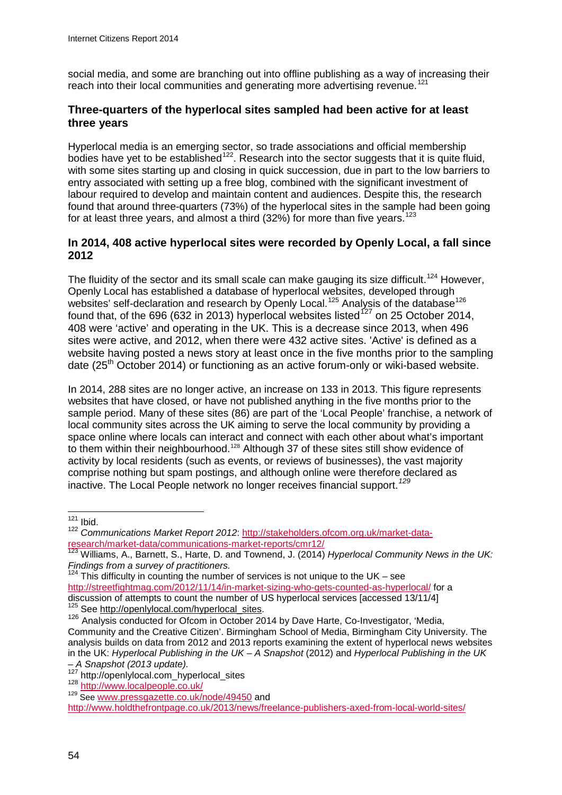social media, and some are branching out into offline publishing as a way of increasing their reach into their local communities and generating more advertising revenue.<sup>[121](#page-56-0)</sup>

#### **Three-quarters of the hyperlocal sites sampled had been active for at least three years**

Hyperlocal media is an emerging sector, so trade associations and official membership bodies have yet to be established<sup>[122](#page-56-1)</sup>. Research into the sector suggests that it is quite fluid, with some sites starting up and closing in quick succession, due in part to the low barriers to entry associated with setting up a free blog, combined with the significant investment of labour required to develop and maintain content and audiences. Despite this, the research found that around three-quarters (73%) of the hyperlocal sites in the sample had been going for at least three years, and almost a third  $(32%)$  for more than five years.<sup>[123](#page-56-2)</sup>

#### **In 2014, 408 active hyperlocal sites were recorded by Openly Local, a fall since 2012**

The fluidity of the sector and its small scale can make gauging its size difficult.<sup>[124](#page-56-3)</sup> However, Openly Local has established a database of hyperlocal websites, developed through websites' self-declaration and research by Openly Local.<sup>[125](#page-56-4)</sup> Analysis of the database<sup>[126](#page-56-5)</sup> found that, of the 696 (632 in 2013) hyperlocal websites listed<sup>[127](#page-56-6)</sup> on 25 October 2014. 408 were 'active' and operating in the UK. This is a decrease since 2013, when 496 sites were active, and 2012, when there were 432 active sites. 'Active' is defined as a website having posted a news story at least once in the five months prior to the sampling date  $(25<sup>th</sup> October 2014)$  or functioning as an active forum-only or wiki-based website.

In 2014, 288 sites are no longer active, an increase on 133 in 2013. This figure represents websites that have closed, or have not published anything in the five months prior to the sample period. Many of these sites (86) are part of the 'Local People' franchise, a network of local community sites across the UK aiming to serve the local community by providing a space online where locals can interact and connect with each other about what's important to them within their neighbourhood.<sup>[128](#page-56-7)</sup> Although 37 of these sites still show evidence of activity by local residents (such as events, or reviews of businesses), the vast majority comprise nothing but spam postings, and although online were therefore declared as inactive. The Local People network no longer receives financial support. *[129](#page-56-8)*

 $121$  Ibid.  $\overline{a}$ 

<span id="page-56-1"></span><span id="page-56-0"></span><sup>&</sup>lt;sup>122</sup> Communications Market Report 2012: http://stakeholders.ofcom.org.uk/market-data-<br>research/market-data/communications-market-reports/cmr12/

<span id="page-56-2"></span>Williams, A., Barnett, S., Harte, D. and Townend, J. (2014) *Hyperlocal Community News in the UK: Findings from a survey of practitioners.* 

<span id="page-56-3"></span><sup>1&</sup>lt;sup>24</sup> This difficulty in counting the number of services is not unique to the UK – see <http://streetfightmag.com/2012/11/14/in-market-sizing-who-gets-counted-as-hyperlocal/> for a discussion of attempts to count the number of US hyperlocal services [accessed 13/11/4]<br><sup>125</sup> See http://openlylocal.com/hyperlocal sites.

<span id="page-56-5"></span><span id="page-56-4"></span><sup>&</sup>lt;sup>126</sup> Analysis conducted for Ofcom in October 2014 by Dave Harte, Co-Investigator, 'Media, Community and the Creative Citizen'. Birmingham School of Media, Birmingham City University. The analysis builds on data from 2012 and 2013 reports examining the extent of hyperlocal news websites in the UK: *Hyperlocal Publishing in the UK – A Snapshot* (2012) and *Hyperlocal Publishing in the UK* 

<span id="page-56-7"></span>

<span id="page-56-6"></span>*<sup>–</sup> A Snapshot (2013 update).* <sup>127</sup> http://openlylocal.com\_hyperlocal\_sites <sup>128</sup> <http://www.localpeople.co.uk/> <sup>129</sup> See [www.pressgazette.co.uk/node/49450](http://www.pressgazette.co.uk/node/49450) and

<span id="page-56-8"></span><http://www.holdthefrontpage.co.uk/2013/news/freelance-publishers-axed-from-local-world-sites/>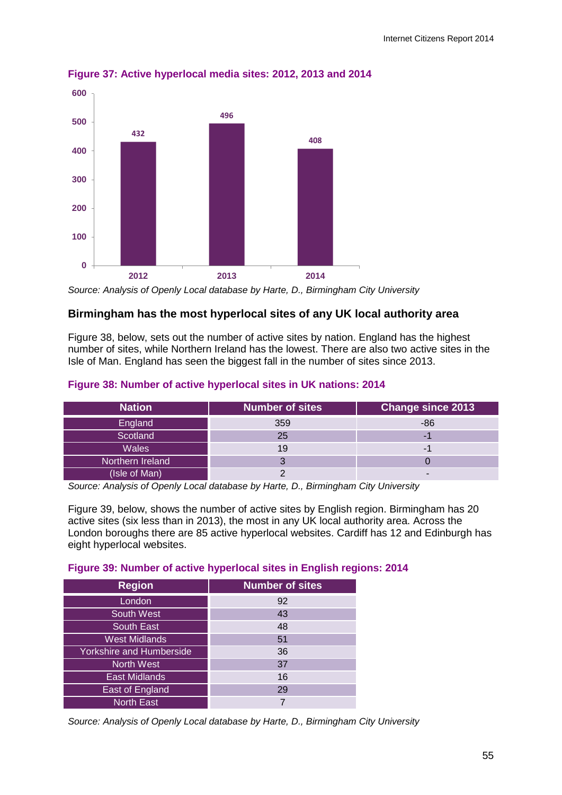

**Figure 37: Active hyperlocal media sites: 2012, 2013 and 2014**

*Source: Analysis of Openly Local database by Harte, D., Birmingham City University*

#### **Birmingham has the most hyperlocal sites of any UK local authority area**

Figure 38, below, sets out the number of active sites by nation. England has the highest number of sites, while Northern Ireland has the lowest. There are also two active sites in the Isle of Man. England has seen the biggest fall in the number of sites since 2013.

#### **Figure 38: Number of active hyperlocal sites in UK nations: 2014**

| <b>Nation</b>    | Number of sites | <b>Change since 2013</b> |
|------------------|-----------------|--------------------------|
| England          | 359             | $-86$                    |
| Scotland         | 25              |                          |
| <b>Wales</b>     |                 |                          |
| Northern Ireland |                 |                          |
| (Isle of Man)    |                 | -                        |

*Source: Analysis of Openly Local database by Harte, D., Birmingham City University*

Figure 39, below, shows the number of active sites by English region. Birmingham has 20 active sites (six less than in 2013), the most in any UK local authority area. Across the London boroughs there are 85 active hyperlocal websites. Cardiff has 12 and Edinburgh has eight hyperlocal websites.

#### **Figure 39: Number of active hyperlocal sites in English regions: 2014**

| <b>Region</b>                   | <b>Number of sites</b> |  |
|---------------------------------|------------------------|--|
| London                          | 92                     |  |
| <b>South West</b>               | 43                     |  |
| South East                      | 48                     |  |
| <b>West Midlands</b>            | 51                     |  |
| <b>Yorkshire and Humberside</b> | 36                     |  |
| <b>North West</b>               | 37                     |  |
| <b>East Midlands</b>            | 16                     |  |
| East of England                 | 29                     |  |
| <b>North East</b>               |                        |  |

*Source: Analysis of Openly Local database by Harte, D., Birmingham City University*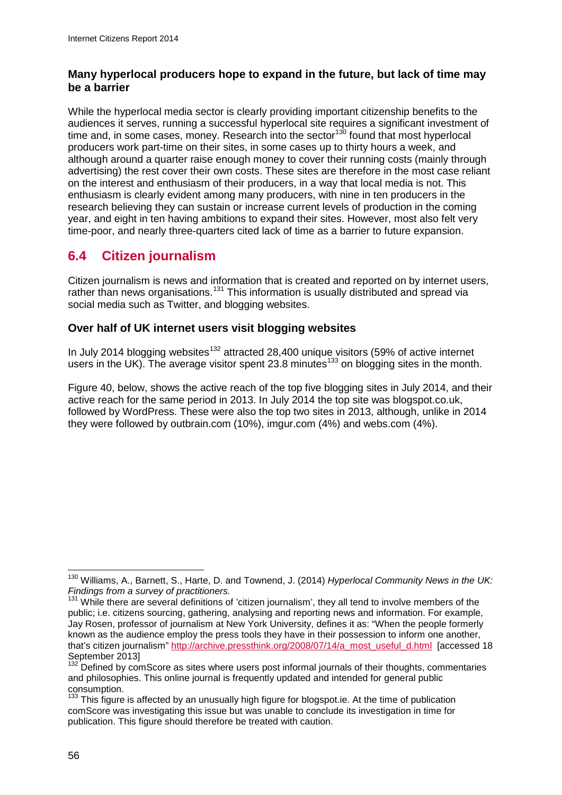### **Many hyperlocal producers hope to expand in the future, but lack of time may be a barrier**

While the hyperlocal media sector is clearly providing important citizenship benefits to the audiences it serves, running a successful hyperlocal site requires a significant investment of time and, in some cases, money. Research into the sector<sup>[130](#page-58-0)</sup> found that most hyperlocal producers work part-time on their sites, in some cases up to thirty hours a week, and although around a quarter raise enough money to cover their running costs (mainly through advertising) the rest cover their own costs. These sites are therefore in the most case reliant on the interest and enthusiasm of their producers, in a way that local media is not. This enthusiasm is clearly evident among many producers, with nine in ten producers in the research believing they can sustain or increase current levels of production in the coming year, and eight in ten having ambitions to expand their sites. However, most also felt very time-poor, and nearly three-quarters cited lack of time as a barrier to future expansion.

# **6.4 Citizen journalism**

Citizen journalism is news and information that is created and reported on by internet users, rather than news organisations.<sup>[131](#page-58-1)</sup> This information is usually distributed and spread via social media such as Twitter, and blogging websites.

## **Over half of UK internet users visit blogging websites**

In July 2014 blogging websites<sup>[132](#page-58-2)</sup> attracted 28,400 unique visitors (59% of active internet users in the UK). The average visitor spent 23.8 minutes<sup>[133](#page-58-3)</sup> on blogging sites in the month.

[Figure 40,](#page-59-0) below, shows the active reach of the top five blogging sites in July 2014, and their active reach for the same period in 2013. In July 2014 the top site was blogspot.co.uk, followed by WordPress. These were also the top two sites in 2013, although, unlike in 2014 they were followed by outbrain.com (10%), imgur.com (4%) and webs.com (4%).

<span id="page-58-0"></span><sup>130</sup> Williams, A., Barnett, S., Harte, D. and Townend, J. (2014) *Hyperlocal Community News in the UK: Findings from a survey of practitioners.*  $\overline{a}$ 

<span id="page-58-1"></span><sup>&</sup>lt;sup>131</sup> While there are several definitions of 'citizen journalism', they all tend to involve members of the public; i.e. citizens sourcing, gathering, analysing and reporting news and information. For example, Jay Rosen, professor of journalism at New York University, defines it as: "When the people formerly known as the audience employ the press tools they have in their possession to inform one another, that's citizen journalism" [http://archive.pressthink.org/2008/07/14/a\\_most\\_useful\\_d.html](http://archive.pressthink.org/2008/07/14/a_most_useful_d.html) [accessed 18 September 2013]

<span id="page-58-2"></span><sup>132</sup> Defined by comScore as sites where users post informal journals of their thoughts, commentaries and philosophies. This online journal is frequently updated and intended for general public

<span id="page-58-3"></span><sup>&</sup>lt;sup>133</sup> This figure is affected by an unusually high figure for blogspot.ie. At the time of publication comScore was investigating this issue but was unable to conclude its investigation in time for publication. This figure should therefore be treated with caution.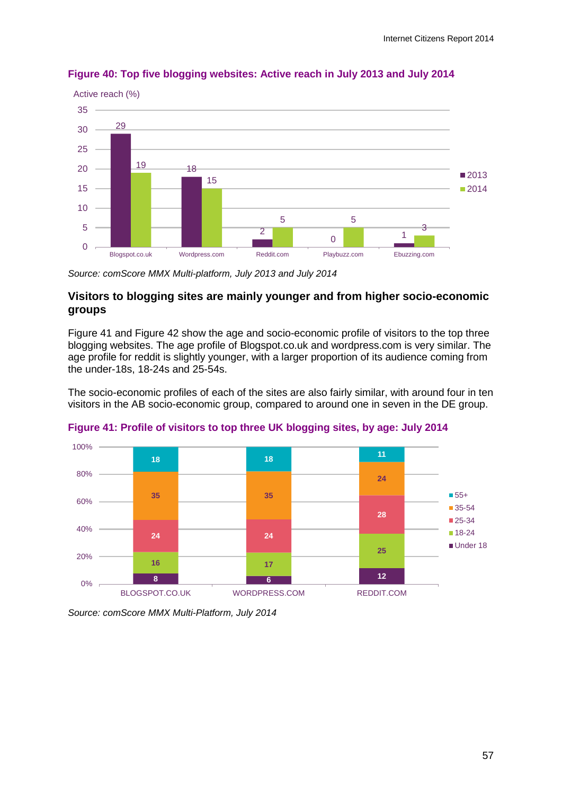

#### <span id="page-59-0"></span>**Figure 40: Top five blogging websites: Active reach in July 2013 and July 2014**

*Source: comScore MMX Multi-platform, July 2013 and July 2014*

#### **Visitors to blogging sites are mainly younger and from higher socio-economic groups**

[Figure 41](#page-59-1) and [Figure 42](#page-60-0) show the age and socio-economic profile of visitors to the top three blogging websites. The age profile of Blogspot.co.uk and wordpress.com is very similar. The age profile for reddit is slightly younger, with a larger proportion of its audience coming from the under-18s, 18-24s and 25-54s.

The socio-economic profiles of each of the sites are also fairly similar, with around four in ten visitors in the AB socio-economic group, compared to around one in seven in the DE group.



<span id="page-59-1"></span>

*Source: comScore MMX Multi-Platform, July 2014*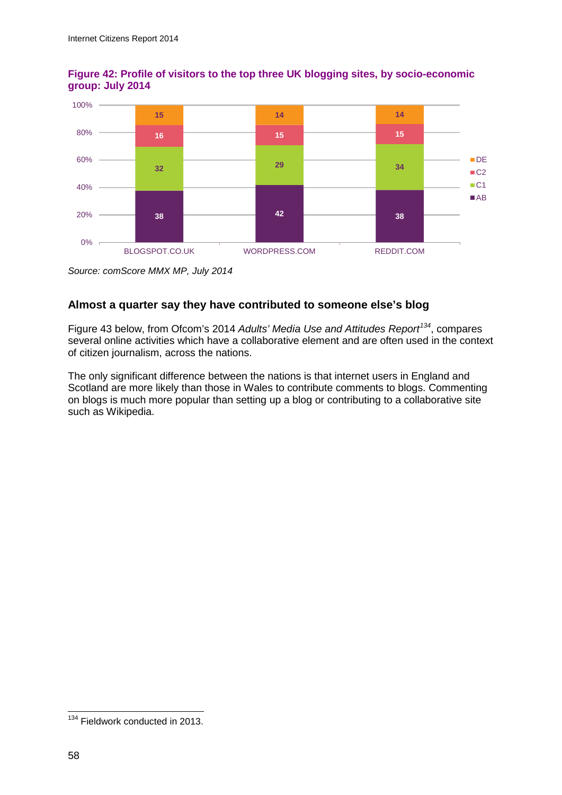

## <span id="page-60-0"></span>**Figure 42: Profile of visitors to the top three UK blogging sites, by socio-economic group: July 2014**

*Source: comScore MMX MP, July 2014*

## **Almost a quarter say they have contributed to someone else's blog**

[Figure 43](#page-61-0) below, from Ofcom's 2014 *Adults' Media Use and Attitudes Report[134](#page-60-1)*, compares several online activities which have a collaborative element and are often used in the context of citizen journalism, across the nations.

The only significant difference between the nations is that internet users in England and Scotland are more likely than those in Wales to contribute comments to blogs. Commenting on blogs is much more popular than setting up a blog or contributing to a collaborative site such as Wikipedia.

<span id="page-60-1"></span><sup>&</sup>lt;sup>134</sup> Fieldwork conducted in 2013.  $\overline{a}$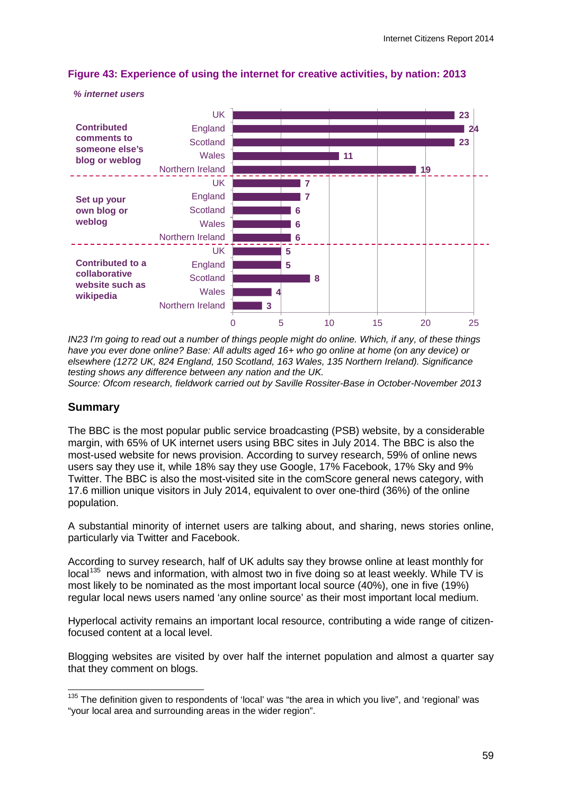

#### <span id="page-61-0"></span>**Figure 43: Experience of using the internet for creative activities, by nation: 2013**

*IN23 I'm going to read out a number of things people might do online. Which, if any, of these things have you ever done online? Base: All adults aged 16+ who go online at home (on any device) or elsewhere (1272 UK, 824 England, 150 Scotland, 163 Wales, 135 Northern Ireland). Significance testing shows any difference between any nation and the UK.*

*Source: Ofcom research, fieldwork carried out by Saville Rossiter-Base in October-November 2013*

#### **Summary**

*% internet users*

The BBC is the most popular public service broadcasting (PSB) website, by a considerable margin, with 65% of UK internet users using BBC sites in July 2014. The BBC is also the most-used website for news provision. According to survey research, 59% of online news users say they use it, while 18% say they use Google, 17% Facebook, 17% Sky and 9% Twitter. The BBC is also the most-visited site in the comScore general news category, with 17.6 million unique visitors in July 2014, equivalent to over one-third (36%) of the online population.

A substantial minority of internet users are talking about, and sharing, news stories online, particularly via Twitter and Facebook.

According to survey research, half of UK adults say they browse online at least monthly for local<sup>135</sup> news and information, with almost two in five doing so at least weekly. While TV is most likely to be nominated as the most important local source (40%), one in five (19%) regular local news users named 'any online source' as their most important local medium.

Hyperlocal activity remains an important local resource, contributing a wide range of citizenfocused content at a local level.

Blogging websites are visited by over half the internet population and almost a quarter say that they comment on blogs.

<span id="page-61-1"></span><sup>&</sup>lt;sup>135</sup> The definition given to respondents of 'local' was "the area in which you live", and 'regional' was "your local area and surrounding areas in the wider region".  $\overline{a}$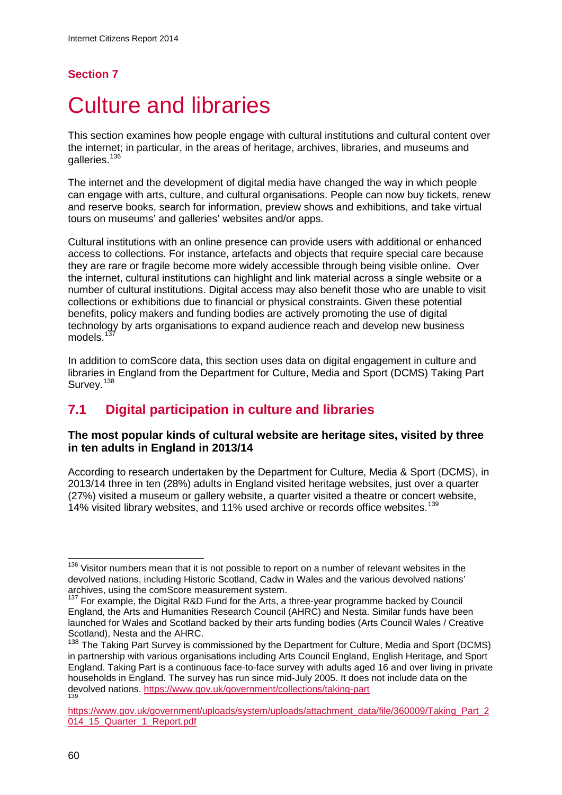## **Section 7**

# **Culture and libraries**

This section examines how people engage with cultural institutions and cultural content over the internet; in particular, in the areas of heritage, archives, libraries, and museums and galleries.<sup>[136](#page-62-0)</sup>

The internet and the development of digital media have changed the way in which people can engage with arts, culture, and cultural organisations. People can now buy tickets, renew and reserve books, search for information, preview shows and exhibitions, and take virtual tours on museums' and galleries' websites and/or apps.

Cultural institutions with an online presence can provide users with additional or enhanced access to collections. For instance, artefacts and objects that require special care because they are rare or fragile become more widely accessible through being visible online. Over the internet, cultural institutions can highlight and link material across a single website or a number of cultural institutions. Digital access may also benefit those who are unable to visit collections or exhibitions due to financial or physical constraints. Given these potential benefits, policy makers and funding bodies are actively promoting the use of digital technology by arts organisations to expand audience reach and develop new business models.<sup>[137](#page-62-1)</sup>

In addition to comScore data, this section uses data on digital engagement in culture and libraries in England from the Department for Culture, Media and Sport (DCMS) Taking Part Survey.<sup>[138](#page-62-2)</sup>

# **7.1 Digital participation in culture and libraries**

#### **The most popular kinds of cultural website are heritage sites, visited by three in ten adults in England in 2013/14**

According to research undertaken by the Department for Culture, Media & Sport (DCMS), in 2013/14 three in ten (28%) adults in England visited heritage websites, just over a quarter (27%) visited a museum or gallery website, a quarter visited a theatre or concert website, 14% visited library websites, and 11% used archive or records office websites. [139](#page-62-3)

<span id="page-62-0"></span> $136$  Visitor numbers mean that it is not possible to report on a number of relevant websites in the devolved nations, including Historic Scotland, Cadw in Wales and the various devolved nations' archives, using the comScore measurement system.<br>
<sup>137</sup> For example, the Digital R&D Fund for the Arts, a three-year programme backed by Council  $\overline{a}$ 

<span id="page-62-1"></span>England, the Arts and Humanities Research Council (AHRC) and Nesta. Similar funds have been launched for Wales and Scotland backed by their arts funding bodies (Arts Council Wales / Creative Scotland), Nesta and the AHRC.

<span id="page-62-2"></span><sup>&</sup>lt;sup>138</sup> The Taking Part Survey is commissioned by the Department for Culture, Media and Sport (DCMS) in partnership with various organisations including Arts Council England, English Heritage, and Sport England. Taking Part is a continuous face-to-face survey with adults aged 16 and over living in private households in England. The survey has run since mid-July 2005. It does not include data on the devolved nations.<https://www.gov.uk/government/collections/taking-part>

<span id="page-62-3"></span>[https://www.gov.uk/government/uploads/system/uploads/attachment\\_data/file/360009/Taking\\_Part\\_2](https://www.gov.uk/government/uploads/system/uploads/attachment_data/file/360009/Taking_Part_2014_15_Quarter_1_Report.pdf) [014\\_15\\_Quarter\\_1\\_Report.pdf](https://www.gov.uk/government/uploads/system/uploads/attachment_data/file/360009/Taking_Part_2014_15_Quarter_1_Report.pdf)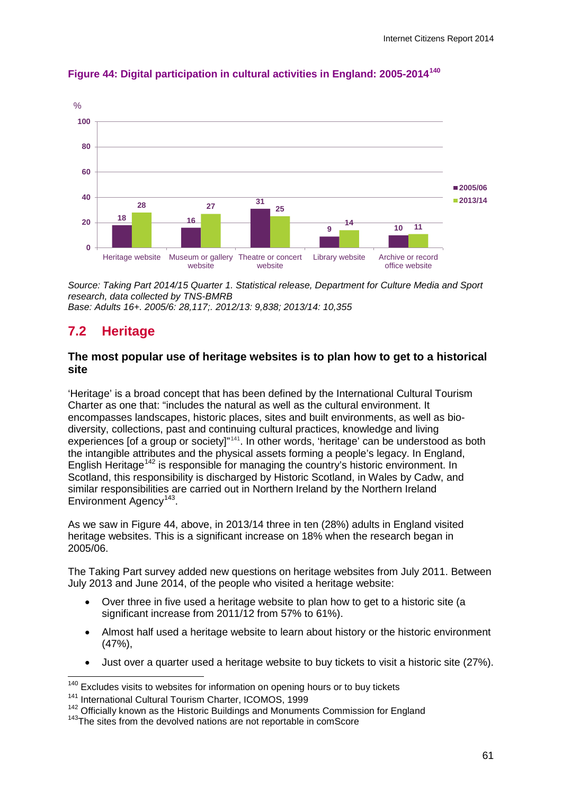

#### **Figure 44: Digital participation in cultural activities in England: 2005-2014[140](#page-63-0)**

*Source: Taking Part 2014/15 Quarter 1. Statistical release, Department for Culture Media and Sport research, data collected by TNS-BMRB Base: Adults 16+. 2005/6: 28,117;. 2012/13: 9,838; 2013/14: 10,355*

## **7.2 Heritage**

#### **The most popular use of heritage websites is to plan how to get to a historical site**

'Heritage' is a broad concept that has been defined by the International Cultural Tourism Charter as one that: "includes the natural as well as the cultural environment. It encompasses landscapes, historic places, sites and built environments, as well as biodiversity, collections, past and continuing cultural practices, knowledge and living experiences [of a group or society]"[141.](#page-63-1) In other words, 'heritage' can be understood as both the intangible attributes and the physical assets forming a people's legacy. In England, English Heritage<sup>[142](#page-63-2)</sup> is responsible for managing the country's historic environment. In Scotland, this responsibility is discharged by Historic Scotland, in Wales by Cadw, and similar responsibilities are carried out in Northern Ireland by the Northern Ireland Environment Agency<sup>143</sup>.

As we saw in Figure 44, above, in 2013/14 three in ten (28%) adults in England visited heritage websites. This is a significant increase on 18% when the research began in 2005/06.

The Taking Part survey added new questions on heritage websites from July 2011. Between July 2013 and June 2014, of the people who visited a heritage website:

- Over three in five used a heritage website to plan how to get to a historic site (a significant increase from 2011/12 from 57% to 61%).
- Almost half used a heritage website to learn about history or the historic environment (47%),
- Just over a quarter used a heritage website to buy tickets to visit a historic site (27%).

Excludes visits to websites for information on opening hours or to buy tickets  $\overline{a}$ 

<span id="page-63-1"></span><span id="page-63-0"></span><sup>141</sup> International Cultural Tourism Charter, ICOMOS, 1999

<span id="page-63-3"></span><span id="page-63-2"></span> $142$  Officially known as the Historic Buildings and Monuments Commission for England  $143$ The sites from the devolved nations are not reportable in comScore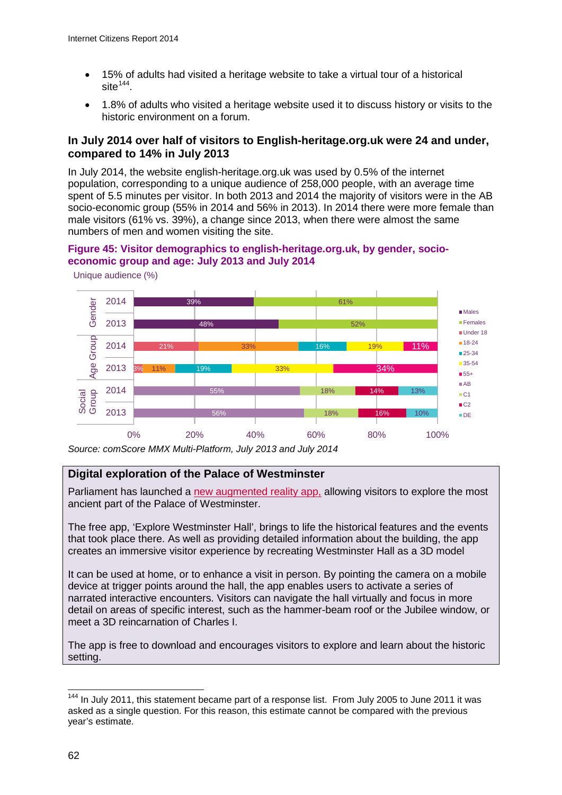- 15% of adults had visited a heritage website to take a virtual tour of a historical site $144$ .
- 1.8% of adults who visited a heritage website used it to discuss history or visits to the historic environment on a forum.

#### **In July 2014 over half of visitors to English-heritage.org.uk were 24 and under, compared to 14% in July 2013**

In July 2014, the website english-heritage.org.uk was used by 0.5% of the internet population, corresponding to a unique audience of 258,000 people, with an average time spent of 5.5 minutes per visitor. In both 2013 and 2014 the majority of visitors were in the AB socio-economic group (55% in 2014 and 56% in 2013). In 2014 there were more female than male visitors (61% vs. 39%), a change since 2013, when there were almost the same numbers of men and women visiting the site.

## **Figure 45: Visitor demographics to english-heritage.org.uk, by gender, socioeconomic group and age: July 2013 and July 2014**



Unique audience (%)

*Source: comScore MMX Multi-Platform, July 2013 and July 2014*

#### **Digital exploration of the Palace of Westminster**

Parliament has launched a [new augmented reality app,](http://www.parliament.uk/visiting/access/explore-westminster-hall-app/) allowing visitors to explore the most ancient part of the Palace of Westminster.

The free app, 'Explore Westminster Hall', brings to life the historical features and the events that took place there. As well as providing detailed information about the building, the app creates an immersive visitor experience by recreating Westminster Hall as a 3D model

It can be used at home, or to enhance a visit in person. By pointing the camera on a mobile device at trigger points around the hall, the app enables users to activate a series of narrated interactive encounters. Visitors can navigate the hall virtually and focus in more detail on areas of specific interest, such as the hammer-beam roof or the Jubilee window, or meet a 3D reincarnation of Charles I.

The app is free to download and encourages visitors to explore and learn about the historic setting.

<span id="page-64-0"></span><sup>&</sup>lt;sup>144</sup> In July 2011, this statement became part of a response list. From July 2005 to June 2011 it was asked as a single question. For this reason, this estimate cannot be compared with the previous year's estimate.  $\overline{a}$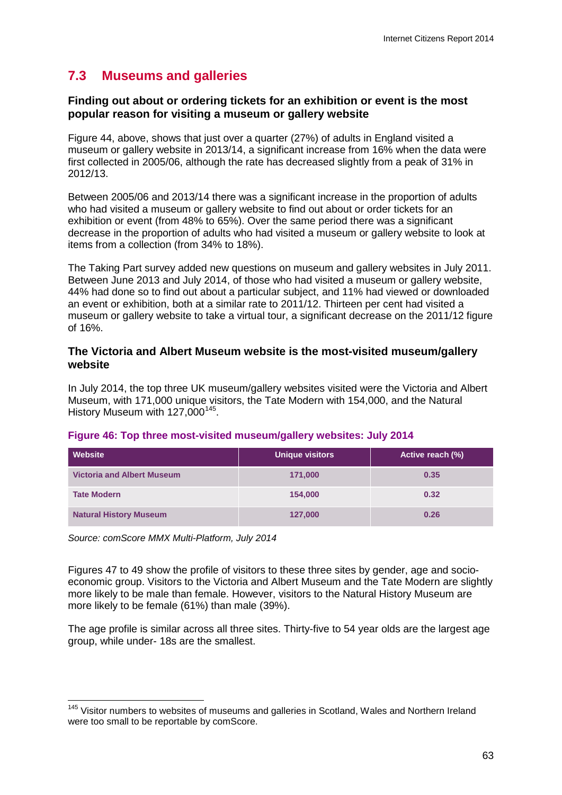# **7.3 Museums and galleries**

#### **Finding out about or ordering tickets for an exhibition or event is the most popular reason for visiting a museum or gallery website**

Figure 44, above, shows that just over a quarter (27%) of adults in England visited a museum or gallery website in 2013/14, a significant increase from 16% when the data were first collected in 2005/06, although the rate has decreased slightly from a peak of 31% in 2012/13.

Between 2005/06 and 2013/14 there was a significant increase in the proportion of adults who had visited a museum or gallery website to find out about or order tickets for an exhibition or event (from 48% to 65%). Over the same period there was a significant decrease in the proportion of adults who had visited a museum or gallery website to look at items from a collection (from 34% to 18%).

The Taking Part survey added new questions on museum and gallery websites in July 2011. Between June 2013 and July 2014, of those who had visited a museum or gallery website, 44% had done so to find out about a particular subject, and 11% had viewed or downloaded an event or exhibition, both at a similar rate to 2011/12. Thirteen per cent had visited a museum or gallery website to take a virtual tour, a significant decrease on the 2011/12 figure of 16%.

#### **The Victoria and Albert Museum website is the most-visited museum/gallery website**

In July 2014, the top three UK museum/gallery websites visited were the Victoria and Albert Museum, with 171,000 unique visitors, the Tate Modern with 154,000, and the Natural History Museum with 127,000<sup>145</sup>.

| Website                           | <b>Unique visitors</b> | Active reach (%) |
|-----------------------------------|------------------------|------------------|
| <b>Victoria and Albert Museum</b> | 171,000                | 0.35             |
| <b>Tate Modern</b>                | 154,000                | 0.32             |
| <b>Natural History Museum</b>     | 127,000                | 0.26             |

#### **Figure 46: Top three most-visited museum/gallery websites: July 2014**

*Source: comScore MMX Multi-Platform, July 2014*

Figures 47 to 49 show the profile of visitors to these three sites by gender, age and socioeconomic group. Visitors to the Victoria and Albert Museum and the Tate Modern are slightly more likely to be male than female. However, visitors to the Natural History Museum are more likely to be female (61%) than male (39%).

The age profile is similar across all three sites. Thirty-five to 54 year olds are the largest age group, while under- 18s are the smallest.

<span id="page-65-0"></span><sup>&</sup>lt;sup>145</sup> Visitor numbers to websites of museums and galleries in Scotland, Wales and Northern Ireland were too small to be reportable by comScore.  $\overline{a}$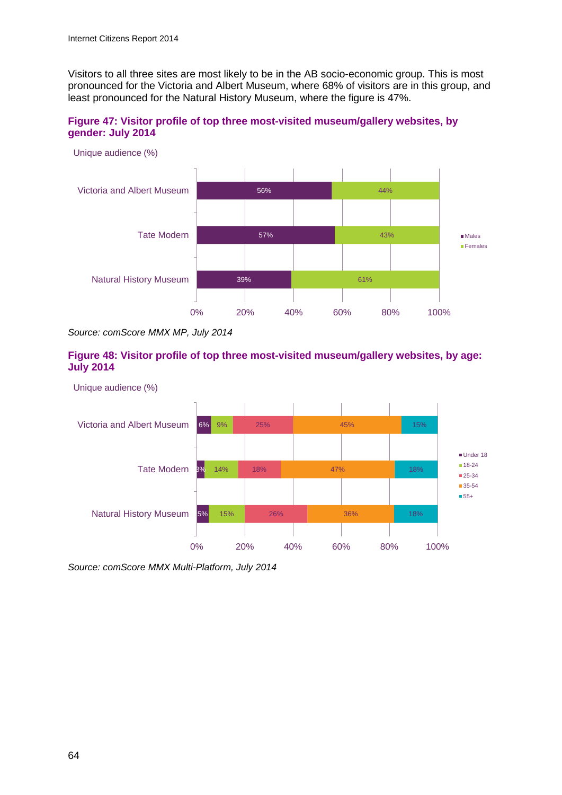Visitors to all three sites are most likely to be in the AB socio-economic group. This is most pronounced for the Victoria and Albert Museum, where 68% of visitors are in this group, and least pronounced for the Natural History Museum, where the figure is 47%.

**Figure 47: Visitor profile of top three most-visited museum/gallery websites, by gender: July 2014**



*Source: comScore MMX MP, July 2014*

#### **Figure 48: Visitor profile of top three most-visited museum/gallery websites, by age: July 2014**



*Source: comScore MMX Multi-Platform, July 2014*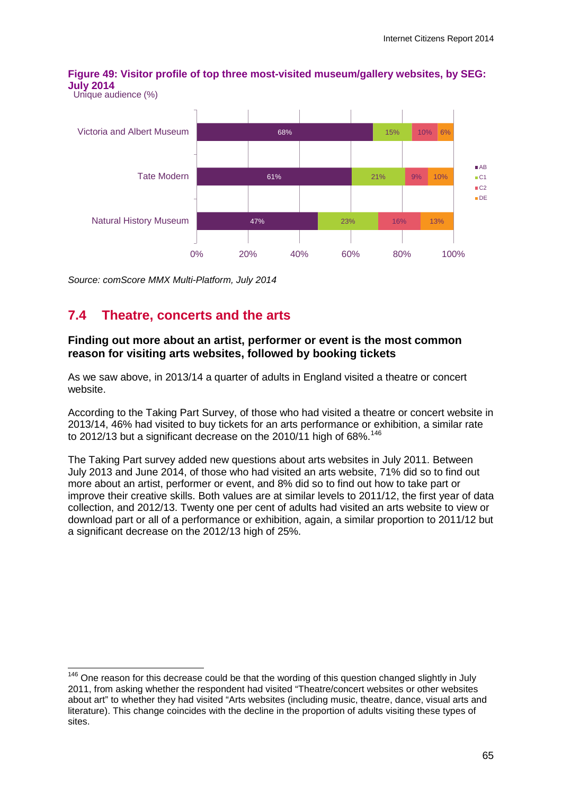**Figure 49: Visitor profile of top three most-visited museum/gallery websites, by SEG: July 2014** Unique audience (%)



*Source: comScore MMX Multi-Platform, July 2014*

# **7.4 Theatre, concerts and the arts**

#### **Finding out more about an artist, performer or event is the most common reason for visiting arts websites, followed by booking tickets**

As we saw above, in 2013/14 a quarter of adults in England visited a theatre or concert website.

According to the Taking Part Survey, of those who had visited a theatre or concert website in 2013/14, 46% had visited to buy tickets for an arts performance or exhibition, a similar rate to 2012/13 but a significant decrease on the 2010/11 high of 68%. $^{146}$  $^{146}$  $^{146}$ 

The Taking Part survey added new questions about arts websites in July 2011. Between July 2013 and June 2014, of those who had visited an arts website, 71% did so to find out more about an artist, performer or event, and 8% did so to find out how to take part or improve their creative skills. Both values are at similar levels to 2011/12, the first year of data collection, and 2012/13. Twenty one per cent of adults had visited an arts website to view or download part or all of a performance or exhibition, again, a similar proportion to 2011/12 but a significant decrease on the 2012/13 high of 25%.

<span id="page-67-0"></span> $146$  One reason for this decrease could be that the wording of this question changed slightly in July 2011, from asking whether the respondent had visited "Theatre/concert websites or other websites about art" to whether they had visited "Arts websites (including music, theatre, dance, visual arts and literature). This change coincides with the decline in the proportion of adults visiting these types of sites.  $\overline{a}$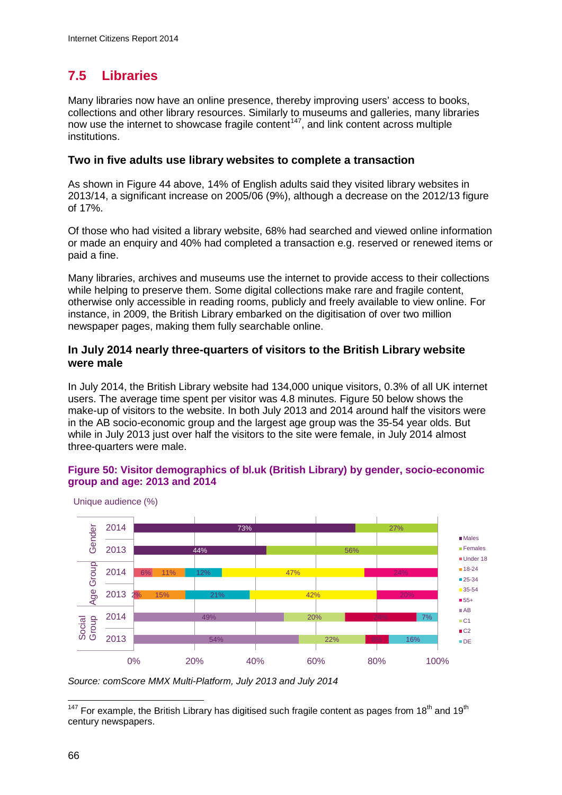# **7.5 Libraries**

Many libraries now have an online presence, thereby improving users' access to books, collections and other library resources. Similarly to museums and galleries, many libraries now use the internet to showcase fragile content<sup>[147](#page-68-0)</sup>, and link content across multiple institutions.

#### **Two in five adults use library websites to complete a transaction**

As shown in Figure 44 above, 14% of English adults said they visited library websites in 2013/14, a significant increase on 2005/06 (9%), although a decrease on the 2012/13 figure of 17%.

Of those who had visited a library website, 68% had searched and viewed online information or made an enquiry and 40% had completed a transaction e.g. reserved or renewed items or paid a fine.

Many libraries, archives and museums use the internet to provide access to their collections while helping to preserve them. Some digital collections make rare and fragile content, otherwise only accessible in reading rooms, publicly and freely available to view online. For instance, in 2009, the British Library embarked on the digitisation of over two million newspaper pages, making them fully searchable online.

#### **In July 2014 nearly three-quarters of visitors to the British Library website were male**

In July 2014, the British Library website had 134,000 unique visitors, 0.3% of all UK internet users. The average time spent per visitor was 4.8 minutes. Figure 50 below shows the make-up of visitors to the website. In both July 2013 and 2014 around half the visitors were in the AB socio-economic group and the largest age group was the 35-54 year olds. But while in July 2013 just over half the visitors to the site were female, in July 2014 almost three-quarters were male.

#### **Figure 50: Visitor demographics of bl.uk (British Library) by gender, socio-economic group and age: 2013 and 2014**



Unique audience (%)

*Source: comScore MMX Multi-Platform, July 2013 and July 2014*

<span id="page-68-0"></span><sup>&</sup>lt;sup>147</sup> For example, the British Library has digitised such fragile content as pages from 18<sup>th</sup> and 19<sup>th</sup> century newspapers.  $\overline{a}$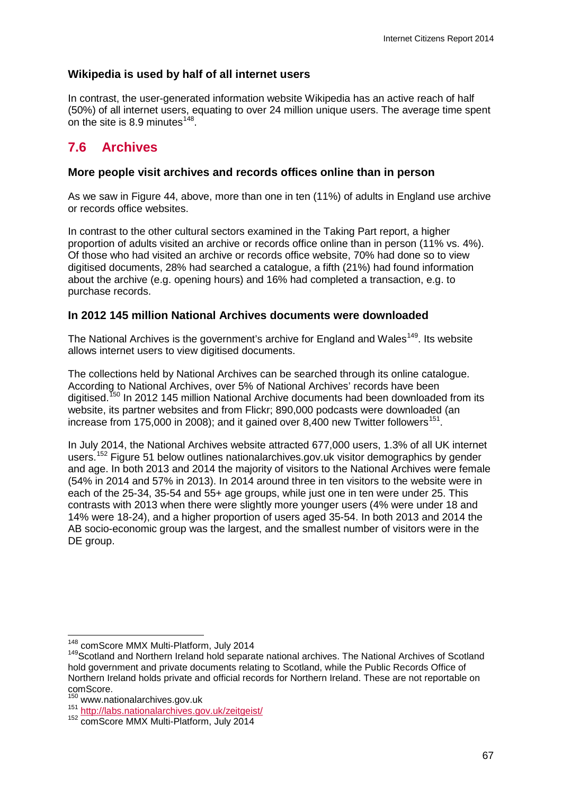## **Wikipedia is used by half of all internet users**

In contrast, the user-generated information website Wikipedia has an active reach of half (50%) of all internet users, equating to over 24 million unique users. The average time spent on the site is  $8.9$  minutes<sup>148</sup>.

# **7.6 Archives**

#### **More people visit archives and records offices online than in person**

As we saw in Figure 44, above, more than one in ten (11%) of adults in England use archive or records office websites.

In contrast to the other cultural sectors examined in the Taking Part report, a higher proportion of adults visited an archive or records office online than in person (11% vs. 4%). Of those who had visited an archive or records office website, 70% had done so to view digitised documents, 28% had searched a catalogue, a fifth (21%) had found information about the archive (e.g. opening hours) and 16% had completed a transaction, e.g. to purchase records.

#### **In 2012 145 million National Archives documents were downloaded**

The National Archives is the government's archive for England and Wales<sup>149</sup>. Its website allows internet users to view digitised documents.

The collections held by National Archives can be searched through its online catalogue. According to National Archives, over 5% of National Archives' records have been digitised.<sup>[150](#page-69-2)</sup> In 2012 145 million National Archive documents had been downloaded from its website, its partner websites and from Flickr; 890,000 podcasts were downloaded (an increase from 175,000 in 2008); and it gained over 8,400 new Twitter followers<sup>[151](#page-69-3)</sup>.

In July 2014, the National Archives website attracted 677,000 users, 1.3% of all UK internet users.<sup>[152](#page-69-4)</sup> [Figure 51](#page-70-0) below outlines nationalarchives.gov.uk visitor demographics by gender and age. In both 2013 and 2014 the majority of visitors to the National Archives were female (54% in 2014 and 57% in 2013). In 2014 around three in ten visitors to the website were in each of the 25-34, 35-54 and 55+ age groups, while just one in ten were under 25. This contrasts with 2013 when there were slightly more younger users (4% were under 18 and 14% were 18-24), and a higher proportion of users aged 35-54. In both 2013 and 2014 the AB socio-economic group was the largest, and the smallest number of visitors were in the DE group.

<sup>&</sup>lt;sup>148</sup> comScore MMX Multi-Platform, July 2014

<span id="page-69-1"></span><span id="page-69-0"></span><sup>149</sup> Scotland and Northern Ireland hold separate national archives. The National Archives of Scotland hold government and private documents relating to Scotland, while the Public Records Office of Northern Ireland holds private and official records for Northern Ireland. These are not reportable on comScore.<br><sup>150</sup> www.nationalarchives.gov.uk

<span id="page-69-3"></span><span id="page-69-2"></span><sup>151</sup> www.nationalarchives.gov.uk/zeitgeist/<br>152 comScore MMX Multi-Platform, July 2014

<span id="page-69-4"></span>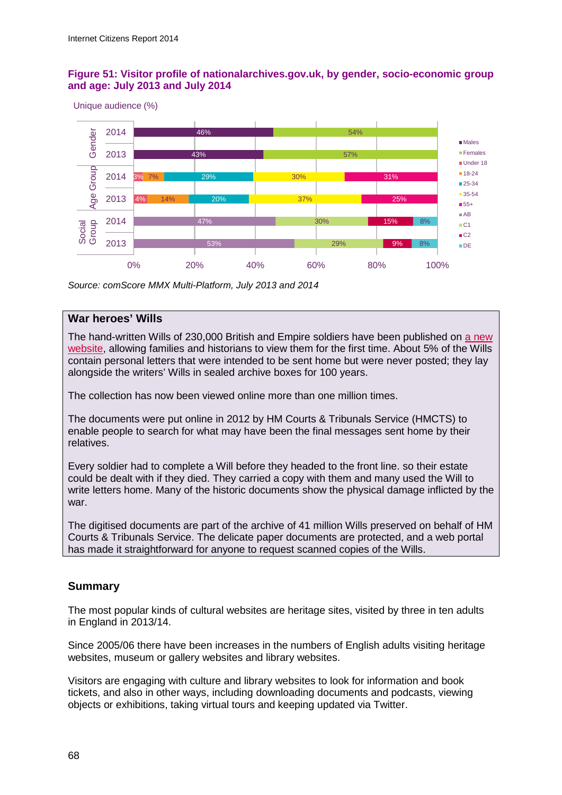#### <span id="page-70-0"></span>**Figure 51: Visitor profile of nationalarchives.gov.uk, by gender, socio-economic group and age: July 2013 and July 2014**

Unique audience (%)



*Source: comScore MMX Multi-Platform, July 2013 and 2014*

#### **War heroes' Wills**

The hand-written Wills of 230,000 British and Empire soldiers have been published on [a new](https://www.gov.uk/probate-search)  [website,](https://www.gov.uk/probate-search) allowing families and historians to view them for the first time. About 5% of the Wills contain personal letters that were intended to be sent home but were never posted; they lay alongside the writers' Wills in sealed archive boxes for 100 years.

The collection has now been viewed online more than one million times.

The documents were put online in 2012 by HM Courts & Tribunals Service (HMCTS) to enable people to search for what may have been the final messages sent home by their relatives.

Every soldier had to complete a Will before they headed to the front line. so their estate could be dealt with if they died. They carried a copy with them and many used the Will to write letters home. Many of the historic documents show the physical damage inflicted by the war.

The digitised documents are part of the archive of 41 million Wills preserved on behalf of HM Courts & Tribunals Service. The delicate paper documents are protected, and a web portal has made it straightforward for anyone to request scanned copies of the Wills.

#### **Summary**

The most popular kinds of cultural websites are heritage sites, visited by three in ten adults in England in 2013/14.

Since 2005/06 there have been increases in the numbers of English adults visiting heritage websites, museum or gallery websites and library websites.

Visitors are engaging with culture and library websites to look for information and book tickets, and also in other ways, including downloading documents and podcasts, viewing objects or exhibitions, taking virtual tours and keeping updated via Twitter.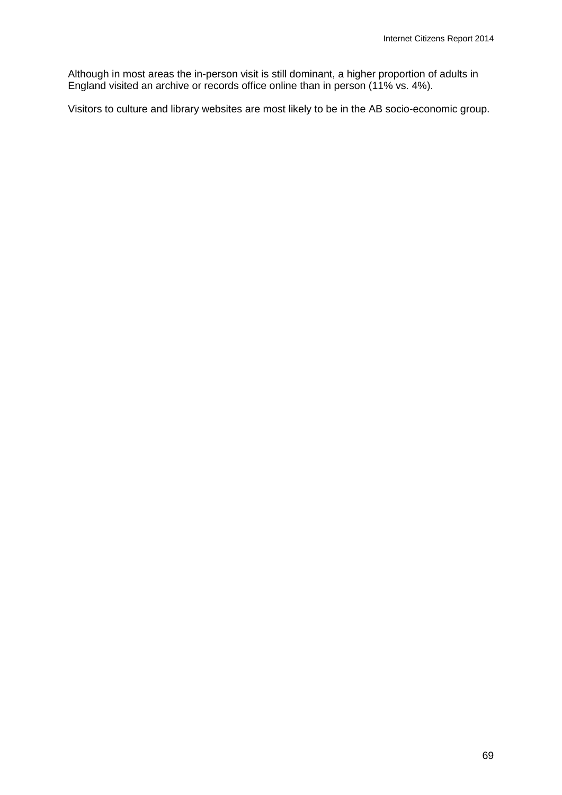Although in most areas the in-person visit is still dominant, a higher proportion of adults in England visited an archive or records office online than in person (11% vs. 4%).

Visitors to culture and library websites are most likely to be in the AB socio-economic group.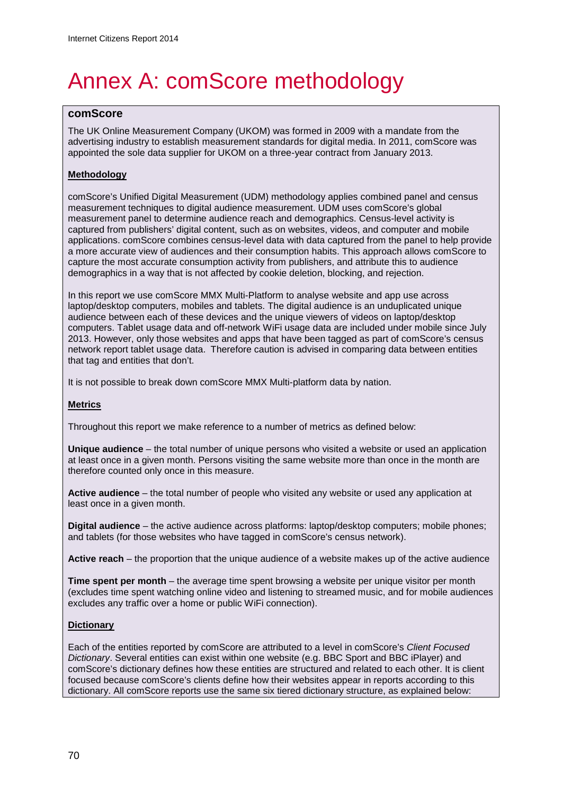# Annex A: comScore methodology

# **comScore**

The UK Online Measurement Company (UKOM) was formed in 2009 with a mandate from the advertising industry to establish measurement standards for digital media. In 2011, comScore was appointed the sole data supplier for UKOM on a three-year contract from January 2013.

## **Methodology**

comScore's Unified Digital Measurement (UDM) methodology applies combined panel and census measurement techniques to digital audience measurement. UDM uses comScore's global measurement panel to determine audience reach and demographics. Census-level activity is captured from publishers' digital content, such as on websites, videos, and computer and mobile applications. comScore combines census-level data with data captured from the panel to help provide a more accurate view of audiences and their consumption habits. This approach allows comScore to capture the most accurate consumption activity from publishers, and attribute this to audience demographics in a way that is not affected by cookie deletion, blocking, and rejection.

In this report we use comScore MMX Multi-Platform to analyse website and app use across laptop/desktop computers, mobiles and tablets. The digital audience is an unduplicated unique audience between each of these devices and the unique viewers of videos on laptop/desktop computers. Tablet usage data and off-network WiFi usage data are included under mobile since July 2013. However, only those websites and apps that have been tagged as part of comScore's census network report tablet usage data. Therefore caution is advised in comparing data between entities that tag and entities that don't.

It is not possible to break down comScore MMX Multi-platform data by nation.

### **Metrics**

Throughout this report we make reference to a number of metrics as defined below:

**Unique audience** – the total number of unique persons who visited a website or used an application at least once in a given month. Persons visiting the same website more than once in the month are therefore counted only once in this measure.

**Active audience** – the total number of people who visited any website or used any application at least once in a given month.

**Digital audience** – the active audience across platforms: laptop/desktop computers; mobile phones; and tablets (for those websites who have tagged in comScore's census network).

**Active reach** – the proportion that the unique audience of a website makes up of the active audience

**Time spent per month** – the average time spent browsing a website per unique visitor per month (excludes time spent watching online video and listening to streamed music, and for mobile audiences excludes any traffic over a home or public WiFi connection).

### **Dictionary**

Each of the entities reported by comScore are attributed to a level in comScore's *Client Focused Dictionary*. Several entities can exist within one website (e.g. BBC Sport and BBC iPlayer) and comScore's dictionary defines how these entities are structured and related to each other. It is client focused because comScore's clients define how their websites appear in reports according to this dictionary. All comScore reports use the same six tiered dictionary structure, as explained below: